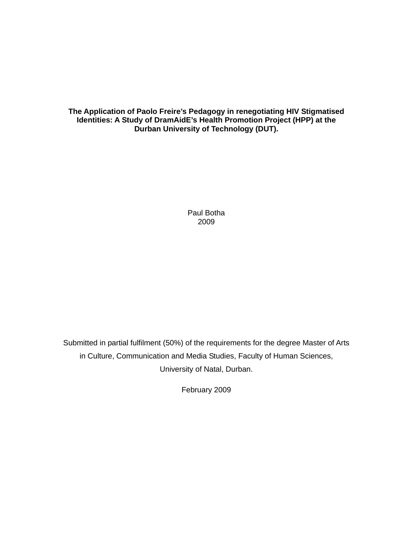# **The Application of Paolo Freire's Pedagogy in renegotiating HIV Stigmatised Identities: A Study of DramAidE's Health Promotion Project (HPP) at the Durban University of Technology (DUT).**

Paul Botha 2009

Submitted in partial fulfilment (50%) of the requirements for the degree Master of Arts in Culture, Communication and Media Studies, Faculty of Human Sciences, University of Natal, Durban.

February 2009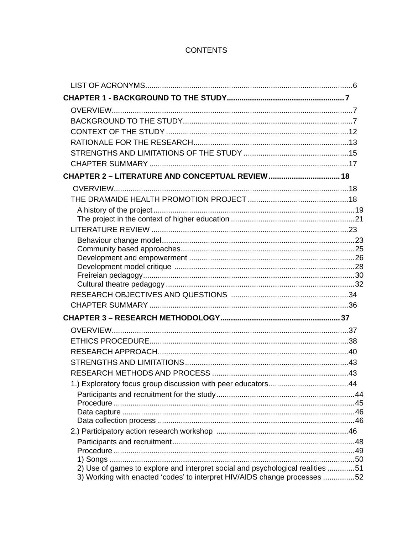# **CONTENTS**

| CHAPTER 2 - LITERATURE AND CONCEPTUAL REVIEW  18                               |  |
|--------------------------------------------------------------------------------|--|
|                                                                                |  |
|                                                                                |  |
|                                                                                |  |
|                                                                                |  |
|                                                                                |  |
|                                                                                |  |
|                                                                                |  |
|                                                                                |  |
|                                                                                |  |
|                                                                                |  |
|                                                                                |  |
|                                                                                |  |
|                                                                                |  |
|                                                                                |  |
|                                                                                |  |
|                                                                                |  |
|                                                                                |  |
|                                                                                |  |
|                                                                                |  |
|                                                                                |  |
|                                                                                |  |
|                                                                                |  |
|                                                                                |  |
|                                                                                |  |
|                                                                                |  |
|                                                                                |  |
| 2) Use of games to explore and interpret social and psychological realities 51 |  |
| 3) Working with enacted 'codes' to interpret HIV/AIDS change processes 52      |  |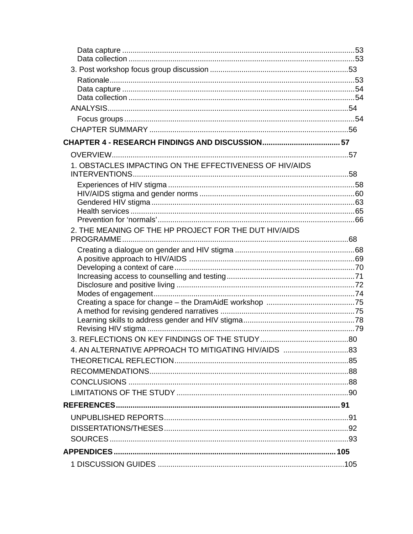| 1. OBSTACLES IMPACTING ON THE EFFECTIVENESS OF HIV/AIDS |  |
|---------------------------------------------------------|--|
|                                                         |  |
|                                                         |  |
|                                                         |  |
|                                                         |  |
| 2. THE MEANING OF THE HP PROJECT FOR THE DUT HIV/AIDS   |  |
|                                                         |  |
|                                                         |  |
|                                                         |  |
|                                                         |  |
|                                                         |  |
|                                                         |  |
|                                                         |  |
|                                                         |  |
|                                                         |  |
|                                                         |  |
|                                                         |  |
|                                                         |  |
|                                                         |  |
|                                                         |  |
|                                                         |  |
|                                                         |  |
|                                                         |  |
|                                                         |  |
|                                                         |  |
|                                                         |  |
|                                                         |  |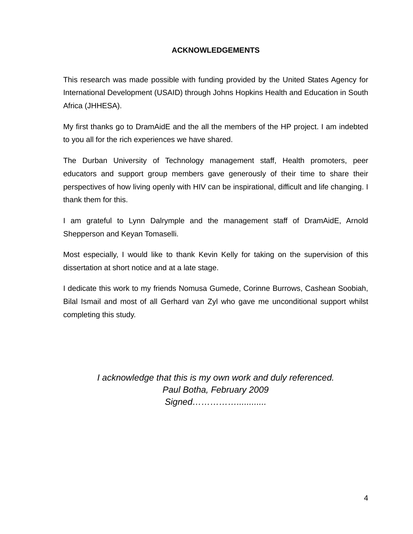# **ACKNOWLEDGEMENTS**

This research was made possible with funding provided by the United States Agency for International Development (USAID) through Johns Hopkins Health and Education in South Africa (JHHESA).

My first thanks go to DramAidE and the all the members of the HP project. I am indebted to you all for the rich experiences we have shared.

The Durban University of Technology management staff, Health promoters, peer educators and support group members gave generously of their time to share their perspectives of how living openly with HIV can be inspirational, difficult and life changing. I thank them for this.

I am grateful to Lynn Dalrymple and the management staff of DramAidE, Arnold Shepperson and Keyan Tomaselli.

Most especially, I would like to thank Kevin Kelly for taking on the supervision of this dissertation at short notice and at a late stage.

I dedicate this work to my friends Nomusa Gumede, Corinne Burrows, Cashean Soobiah, Bilal Ismail and most of all Gerhard van Zyl who gave me unconditional support whilst completing this study.

> *I acknowledge that this is my own work and duly referenced. Paul Botha, February 2009 Signed……………............*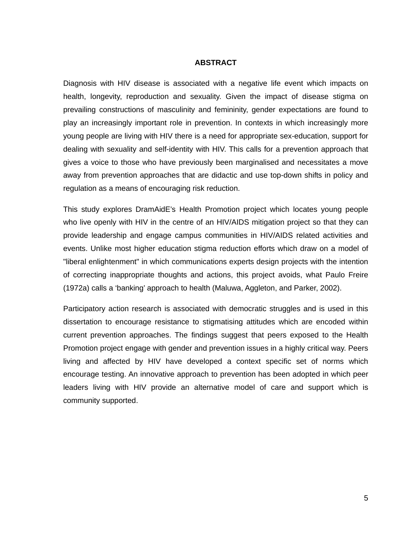## **ABSTRACT**

Diagnosis with HIV disease is associated with a negative life event which impacts on health, longevity, reproduction and sexuality. Given the impact of disease stigma on prevailing constructions of masculinity and femininity, gender expectations are found to play an increasingly important role in prevention. In contexts in which increasingly more young people are living with HIV there is a need for appropriate sex-education, support for dealing with sexuality and self-identity with HIV. This calls for a prevention approach that gives a voice to those who have previously been marginalised and necessitates a move away from prevention approaches that are didactic and use top-down shifts in policy and regulation as a means of encouraging risk reduction.

This study explores DramAidE's Health Promotion project which locates young people who live openly with HIV in the centre of an HIV/AIDS mitigation project so that they can provide leadership and engage campus communities in HIV/AIDS related activities and events. Unlike most higher education stigma reduction efforts which draw on a model of "liberal enlightenment" in which communications experts design projects with the intention of correcting inappropriate thoughts and actions, this project avoids, what Paulo Freire (1972a) calls a 'banking' approach to health (Maluwa, Aggleton, and Parker, 2002).

Participatory action research is associated with democratic struggles and is used in this dissertation to encourage resistance to stigmatising attitudes which are encoded within current prevention approaches. The findings suggest that peers exposed to the Health Promotion project engage with gender and prevention issues in a highly critical way. Peers living and affected by HIV have developed a context specific set of norms which encourage testing. An innovative approach to prevention has been adopted in which peer leaders living with HIV provide an alternative model of care and support which is community supported.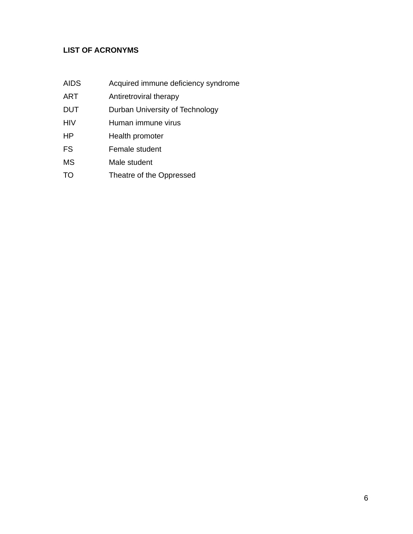# **LIST OF ACRONYMS**

- AIDS Acquired immune deficiency syndrome
- ART Antiretroviral therapy
- DUT Durban University of Technology
- HIV Human immune virus
- HP Health promoter
- FS Female student
- MS Male student
- TO Theatre of the Oppressed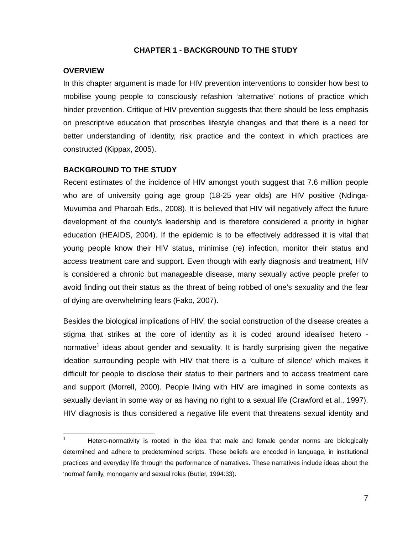# **CHAPTER 1 - BACKGROUND TO THE STUDY**

## **OVERVIEW**

In this chapter argument is made for HIV prevention interventions to consider how best to mobilise young people to consciously refashion 'alternative' notions of practice which hinder prevention. Critique of HIV prevention suggests that there should be less emphasis on prescriptive education that proscribes lifestyle changes and that there is a need for better understanding of identity, risk practice and the context in which practices are constructed (Kippax, 2005).

# **BACKGROUND TO THE STUDY**

Recent estimates of the incidence of HIV amongst youth suggest that 7.6 million people who are of university going age group (18-25 year olds) are HIV positive (Ndinga-Muvumba and Pharoah Eds., 2008). It is believed that HIV will negatively affect the future development of the county's leadership and is therefore considered a priority in higher education (HEAIDS, 2004). If the epidemic is to be effectively addressed it is vital that young people know their HIV status, minimise (re) infection, monitor their status and access treatment care and support. Even though with early diagnosis and treatment, HIV is considered a chronic but manageable disease, many sexually active people prefer to avoid finding out their status as the threat of being robbed of one's sexuality and the fear of dying are overwhelming fears (Fako, 2007).

Besides the biological implications of HIV, the social construction of the disease creates a stigma that strikes at the core of identity as it is coded around idealised hetero normative<sup>1</sup> ideas about gender and sexuality. It is hardly surprising given the negative ideation surrounding people with HIV that there is a 'culture of silence' which makes it difficult for people to disclose their status to their partners and to access treatment care and support (Morrell, 2000). People living with HIV are imagined in some contexts as sexually deviant in some way or as having no right to a sexual life (Crawford et al., 1997). HIV diagnosis is thus considered a negative life event that threatens sexual identity and

 $\frac{1}{1}$  Hetero-normativity is rooted in the idea that male and female gender norms are biologically determined and adhere to predetermined scripts. These beliefs are encoded in language, in institutional practices and everyday life through the performance of narratives. These narratives include ideas about the 'normal' family, monogamy and sexual roles (Butler, 1994:33).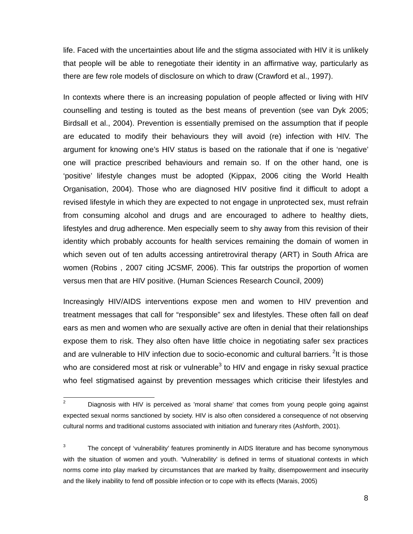life. Faced with the uncertainties about life and the stigma associated with HIV it is unlikely that people will be able to renegotiate their identity in an affirmative way, particularly as there are few role models of disclosure on which to draw (Crawford et al., 1997).

In contexts where there is an increasing population of people affected or living with HIV counselling and testing is touted as the best means of prevention (see van Dyk 2005; Birdsall et al., 2004). Prevention is essentially premised on the assumption that if people are educated to modify their behaviours they will avoid (re) infection with HIV. The argument for knowing one's HIV status is based on the rationale that if one is 'negative' one will practice prescribed behaviours and remain so. If on the other hand, one is 'positive' lifestyle changes must be adopted (Kippax, 2006 citing the World Health Organisation, 2004). Those who are diagnosed HIV positive find it difficult to adopt a revised lifestyle in which they are expected to not engage in unprotected sex, must refrain from consuming alcohol and drugs and are encouraged to adhere to healthy diets, lifestyles and drug adherence. Men especially seem to shy away from this revision of their identity which probably accounts for health services remaining the domain of women in which seven out of ten adults accessing antiretroviral therapy (ART) in South Africa are women (Robins , 2007 citing JCSMF, 2006). This far outstrips the proportion of women versus men that are HIV positive. (Human Sciences Research Council, 2009)

Increasingly HIV/AIDS interventions expose men and women to HIV prevention and treatment messages that call for "responsible" sex and lifestyles. These often fall on deaf ears as men and women who are sexually active are often in denial that their relationships expose them to risk. They also often have little choice in negotiating safer sex practices and are vulnerable to HIV infection due to socio-economic and cultural barriers. <sup>2</sup>It is those who are considered most at risk or vulnerable $3$  to HIV and engage in risky sexual practice who feel stigmatised against by prevention messages which criticise their lifestyles and

 $\frac{1}{2}$  Diagnosis with HIV is perceived as 'moral shame' that comes from young people going against expected sexual norms sanctioned by society. HIV is also often considered a consequence of not observing cultural norms and traditional customs associated with initiation and funerary rites (Ashforth, 2001).

<sup>3</sup> The concept of 'vulnerability' features prominently in AIDS literature and has become synonymous with the situation of women and youth. 'Vulnerability' is defined in terms of situational contexts in which norms come into play marked by circumstances that are marked by frailty, disempowerment and insecurity and the likely inability to fend off possible infection or to cope with its effects (Marais, 2005)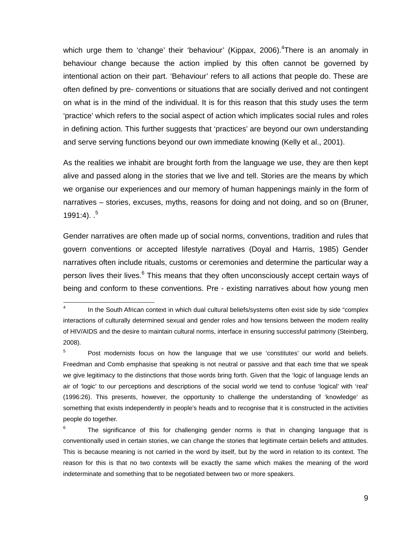which urge them to 'change' their 'behaviour' (Kippax, 2006).<sup>4</sup>There is an anomaly in behaviour change because the action implied by this often cannot be governed by intentional action on their part. 'Behaviour' refers to all actions that people do. These are often defined by pre- conventions or situations that are socially derived and not contingent on what is in the mind of the individual. It is for this reason that this study uses the term 'practice' which refers to the social aspect of action which implicates social rules and roles in defining action. This further suggests that 'practices' are beyond our own understanding and serve serving functions beyond our own immediate knowing (Kelly et al., 2001).

As the realities we inhabit are brought forth from the language we use, they are then kept alive and passed along in the stories that we live and tell. Stories are the means by which we organise our experiences and our memory of human happenings mainly in the form of narratives – stories, excuses, myths, reasons for doing and not doing, and so on (Bruner, 1991:4).  $5$ 

Gender narratives are often made up of social norms, conventions, tradition and rules that govern conventions or accepted lifestyle narratives (Doyal and Harris, 1985) Gender narratives often include rituals, customs or ceremonies and determine the particular way a person lives their lives.<sup>6</sup> This means that they often unconsciously accept certain ways of being and conform to these conventions. Pre - existing narratives about how young men

 $\frac{1}{4}$  In the South African context in which dual cultural beliefs/systems often exist side by side "complex interactions of culturally determined sexual and gender roles and how tensions between the modern reality of HIV/AIDS and the desire to maintain cultural norms, interface in ensuring successful patrimony (Steinberg, 2008).

<sup>5</sup> Post modernists focus on how the language that we use 'constitutes' our world and beliefs. Freedman and Comb emphasise that speaking is not neutral or passive and that each time that we speak we give legitimacy to the distinctions that those words bring forth. Given that the 'logic of language lends an air of 'logic' to our perceptions and descriptions of the social world we tend to confuse 'logical' with 'real' (1996:26). This presents, however, the opportunity to challenge the understanding of 'knowledge' as something that exists independently in people's heads and to recognise that it is constructed in the activities people do together.

<sup>6</sup> The significance of this for challenging gender norms is that in changing language that is conventionally used in certain stories, we can change the stories that legitimate certain beliefs and attitudes. This is because meaning is not carried in the word by itself, but by the word in relation to its context. The reason for this is that no two contexts will be exactly the same which makes the meaning of the word indeterminate and something that to be negotiated between two or more speakers.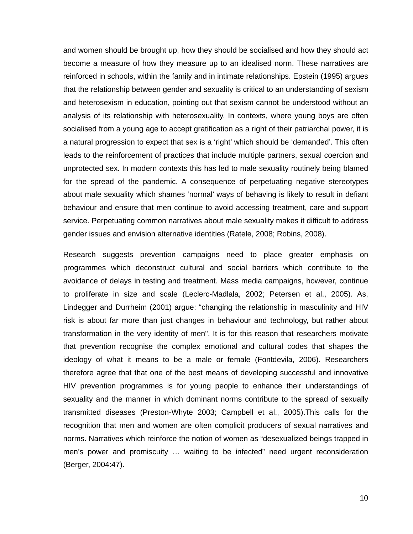and women should be brought up, how they should be socialised and how they should act become a measure of how they measure up to an idealised norm. These narratives are reinforced in schools, within the family and in intimate relationships. Epstein (1995) argues that the relationship between gender and sexuality is critical to an understanding of sexism and heterosexism in education, pointing out that sexism cannot be understood without an analysis of its relationship with heterosexuality. In contexts, where young boys are often socialised from a young age to accept gratification as a right of their patriarchal power, it is a natural progression to expect that sex is a 'right' which should be 'demanded'. This often leads to the reinforcement of practices that include multiple partners, sexual coercion and unprotected sex. In modern contexts this has led to male sexuality routinely being blamed for the spread of the pandemic. A consequence of perpetuating negative stereotypes about male sexuality which shames 'normal' ways of behaving is likely to result in defiant behaviour and ensure that men continue to avoid accessing treatment, care and support service. Perpetuating common narratives about male sexuality makes it difficult to address gender issues and envision alternative identities (Ratele, 2008; Robins, 2008).

Research suggests prevention campaigns need to place greater emphasis on programmes which deconstruct cultural and social barriers which contribute to the avoidance of delays in testing and treatment. Mass media campaigns, however, continue to proliferate in size and scale (Leclerc-Madlala, 2002; Petersen et al., 2005). As, Lindegger and Durrheim (2001) argue: "changing the relationship in masculinity and HIV risk is about far more than just changes in behaviour and technology, but rather about transformation in the very identity of men". It is for this reason that researchers motivate that prevention recognise the complex emotional and cultural codes that shapes the ideology of what it means to be a male or female (Fontdevila, 2006). Researchers therefore agree that that one of the best means of developing successful and innovative HIV prevention programmes is for young people to enhance their understandings of sexuality and the manner in which dominant norms contribute to the spread of sexually transmitted diseases (Preston-Whyte 2003; Campbell et al., 2005).This calls for the recognition that men and women are often complicit producers of sexual narratives and norms. Narratives which reinforce the notion of women as "desexualized beings trapped in men's power and promiscuity … waiting to be infected" need urgent reconsideration (Berger, 2004:47).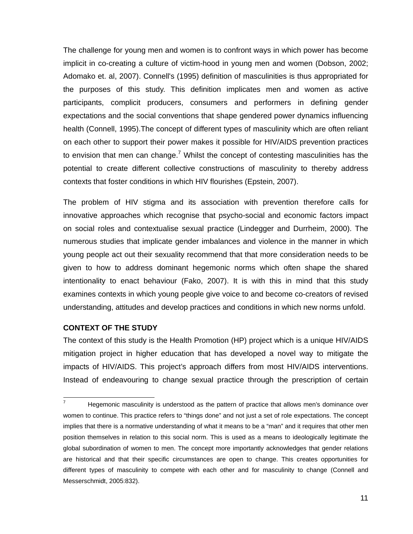The challenge for young men and women is to confront ways in which power has become implicit in co-creating a culture of victim-hood in young men and women (Dobson, 2002; Adomako et. al, 2007). Connell's (1995) definition of masculinities is thus appropriated for the purposes of this study. This definition implicates men and women as active participants, complicit producers, consumers and performers in defining gender expectations and the social conventions that shape gendered power dynamics influencing health (Connell, 1995).The concept of different types of masculinity which are often reliant on each other to support their power makes it possible for HIV/AIDS prevention practices to envision that men can change.<sup>7</sup> Whilst the concept of contesting masculinities has the potential to create different collective constructions of masculinity to thereby address contexts that foster conditions in which HIV flourishes (Epstein, 2007).

The problem of HIV stigma and its association with prevention therefore calls for innovative approaches which recognise that psycho-social and economic factors impact on social roles and contextualise sexual practice (Lindegger and Durrheim, 2000). The numerous studies that implicate gender imbalances and violence in the manner in which young people act out their sexuality recommend that that more consideration needs to be given to how to address dominant hegemonic norms which often shape the shared intentionality to enact behaviour (Fako, 2007). It is with this in mind that this study examines contexts in which young people give voice to and become co-creators of revised understanding, attitudes and develop practices and conditions in which new norms unfold.

# **CONTEXT OF THE STUDY**

The context of this study is the Health Promotion (HP) project which is a unique HIV/AIDS mitigation project in higher education that has developed a novel way to mitigate the impacts of HIV/AIDS. This project's approach differs from most HIV/AIDS interventions. Instead of endeavouring to change sexual practice through the prescription of certain

<sup>–&</sup>lt;br>7 Hegemonic masculinity is understood as the pattern of practice that allows men's dominance over women to continue. This practice refers to "things done" and not just a set of role expectations. The concept implies that there is a normative understanding of what it means to be a "man" and it requires that other men position themselves in relation to this social norm. This is used as a means to ideologically legitimate the global subordination of women to men. The concept more importantly acknowledges that gender relations are historical and that their specific circumstances are open to change. This creates opportunities for different types of masculinity to compete with each other and for masculinity to change (Connell and Messerschmidt, 2005:832).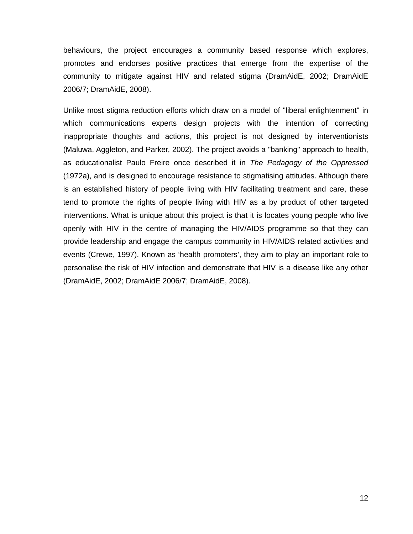behaviours, the project encourages a community based response which explores, promotes and endorses positive practices that emerge from the expertise of the community to mitigate against HIV and related stigma (DramAidE, 2002; DramAidE 2006/7; DramAidE, 2008).

Unlike most stigma reduction efforts which draw on a model of "liberal enlightenment" in which communications experts design projects with the intention of correcting inappropriate thoughts and actions, this project is not designed by interventionists (Maluwa, Aggleton, and Parker, 2002). The project avoids a "banking" approach to health, as educationalist Paulo Freire once described it in *The Pedagogy of the Oppressed* (1972a), and is designed to encourage resistance to stigmatising attitudes. Although there is an established history of people living with HIV facilitating treatment and care, these tend to promote the rights of people living with HIV as a by product of other targeted interventions. What is unique about this project is that it is locates young people who live openly with HIV in the centre of managing the HIV/AIDS programme so that they can provide leadership and engage the campus community in HIV/AIDS related activities and events (Crewe, 1997). Known as 'health promoters', they aim to play an important role to personalise the risk of HIV infection and demonstrate that HIV is a disease like any other (DramAidE, 2002; DramAidE 2006/7; DramAidE, 2008).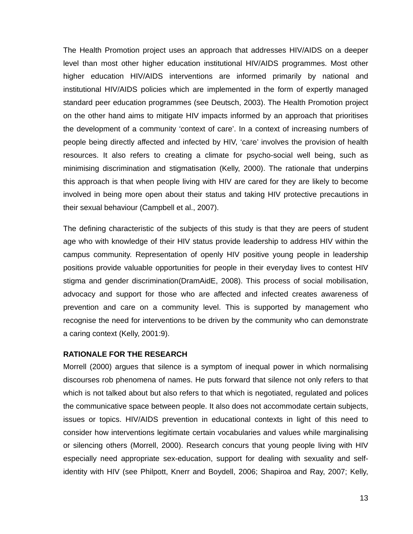The Health Promotion project uses an approach that addresses HIV/AIDS on a deeper level than most other higher education institutional HIV/AIDS programmes. Most other higher education HIV/AIDS interventions are informed primarily by national and institutional HIV/AIDS policies which are implemented in the form of expertly managed standard peer education programmes (see Deutsch, 2003). The Health Promotion project on the other hand aims to mitigate HIV impacts informed by an approach that prioritises the development of a community 'context of care'. In a context of increasing numbers of people being directly affected and infected by HIV, 'care' involves the provision of health resources. It also refers to creating a climate for psycho-social well being, such as minimising discrimination and stigmatisation (Kelly, 2000). The rationale that underpins this approach is that when people living with HIV are cared for they are likely to become involved in being more open about their status and taking HIV protective precautions in their sexual behaviour (Campbell et al., 2007).

The defining characteristic of the subjects of this study is that they are peers of student age who with knowledge of their HIV status provide leadership to address HIV within the campus community. Representation of openly HIV positive young people in leadership positions provide valuable opportunities for people in their everyday lives to contest HIV stigma and gender discrimination(DramAidE, 2008). This process of social mobilisation, advocacy and support for those who are affected and infected creates awareness of prevention and care on a community level. This is supported by management who recognise the need for interventions to be driven by the community who can demonstrate a caring context (Kelly, 2001:9).

## **RATIONALE FOR THE RESEARCH**

Morrell (2000) argues that silence is a symptom of inequal power in which normalising discourses rob phenomena of names. He puts forward that silence not only refers to that which is not talked about but also refers to that which is negotiated, regulated and polices the communicative space between people. It also does not accommodate certain subjects, issues or topics. HIV/AIDS prevention in educational contexts in light of this need to consider how interventions legitimate certain vocabularies and values while marginalising or silencing others (Morrell, 2000). Research concurs that young people living with HIV especially need appropriate sex-education, support for dealing with sexuality and selfidentity with HIV (see Philpott, Knerr and Boydell, 2006; Shapiroa and Ray, 2007; Kelly,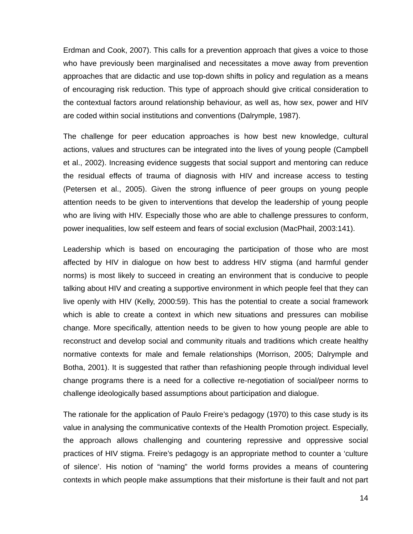Erdman and Cook, 2007). This calls for a prevention approach that gives a voice to those who have previously been marginalised and necessitates a move away from prevention approaches that are didactic and use top-down shifts in policy and regulation as a means of encouraging risk reduction. This type of approach should give critical consideration to the contextual factors around relationship behaviour, as well as, how sex, power and HIV are coded within social institutions and conventions (Dalrymple, 1987).

The challenge for peer education approaches is how best new knowledge, cultural actions, values and structures can be integrated into the lives of young people (Campbell et al., 2002). Increasing evidence suggests that social support and mentoring can reduce the residual effects of trauma of diagnosis with HIV and increase access to testing (Petersen et al., 2005). Given the strong influence of peer groups on young people attention needs to be given to interventions that develop the leadership of young people who are living with HIV. Especially those who are able to challenge pressures to conform, power inequalities, low self esteem and fears of social exclusion (MacPhail, 2003:141).

Leadership which is based on encouraging the participation of those who are most affected by HIV in dialogue on how best to address HIV stigma (and harmful gender norms) is most likely to succeed in creating an environment that is conducive to people talking about HIV and creating a supportive environment in which people feel that they can live openly with HIV (Kelly, 2000:59). This has the potential to create a social framework which is able to create a context in which new situations and pressures can mobilise change. More specifically, attention needs to be given to how young people are able to reconstruct and develop social and community rituals and traditions which create healthy normative contexts for male and female relationships (Morrison, 2005; Dalrymple and Botha, 2001). It is suggested that rather than refashioning people through individual level change programs there is a need for a collective re-negotiation of social/peer norms to challenge ideologically based assumptions about participation and dialogue.

The rationale for the application of Paulo Freire's pedagogy (1970) to this case study is its value in analysing the communicative contexts of the Health Promotion project. Especially, the approach allows challenging and countering repressive and oppressive social practices of HIV stigma. Freire's pedagogy is an appropriate method to counter a 'culture of silence'. His notion of "naming" the world forms provides a means of countering contexts in which people make assumptions that their misfortune is their fault and not part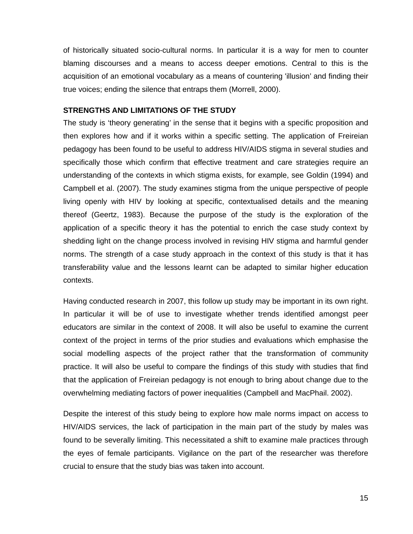of historically situated socio-cultural norms. In particular it is a way for men to counter blaming discourses and a means to access deeper emotions. Central to this is the acquisition of an emotional vocabulary as a means of countering 'illusion' and finding their true voices; ending the silence that entraps them (Morrell, 2000).

## **STRENGTHS AND LIMITATIONS OF THE STUDY**

The study is 'theory generating' in the sense that it begins with a specific proposition and then explores how and if it works within a specific setting. The application of Freireian pedagogy has been found to be useful to address HIV/AIDS stigma in several studies and specifically those which confirm that effective treatment and care strategies require an understanding of the contexts in which stigma exists, for example, see Goldin (1994) and Campbell et al. (2007). The study examines stigma from the unique perspective of people living openly with HIV by looking at specific, contextualised details and the meaning thereof (Geertz, 1983). Because the purpose of the study is the exploration of the application of a specific theory it has the potential to enrich the case study context by shedding light on the change process involved in revising HIV stigma and harmful gender norms. The strength of a case study approach in the context of this study is that it has transferability value and the lessons learnt can be adapted to similar higher education contexts.

Having conducted research in 2007, this follow up study may be important in its own right. In particular it will be of use to investigate whether trends identified amongst peer educators are similar in the context of 2008. It will also be useful to examine the current context of the project in terms of the prior studies and evaluations which emphasise the social modelling aspects of the project rather that the transformation of community practice. It will also be useful to compare the findings of this study with studies that find that the application of Freireian pedagogy is not enough to bring about change due to the overwhelming mediating factors of power inequalities (Campbell and MacPhail. 2002).

Despite the interest of this study being to explore how male norms impact on access to HIV/AIDS services, the lack of participation in the main part of the study by males was found to be severally limiting. This necessitated a shift to examine male practices through the eyes of female participants. Vigilance on the part of the researcher was therefore crucial to ensure that the study bias was taken into account.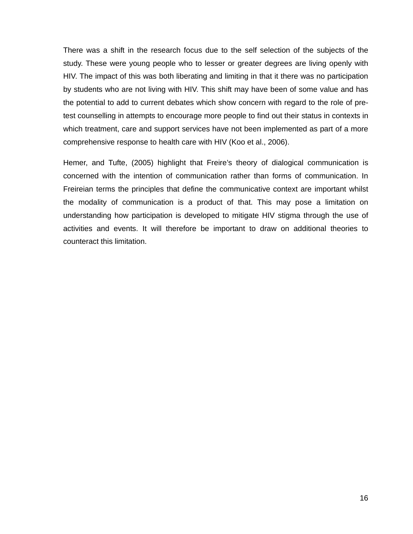There was a shift in the research focus due to the self selection of the subjects of the study. These were young people who to lesser or greater degrees are living openly with HIV. The impact of this was both liberating and limiting in that it there was no participation by students who are not living with HIV. This shift may have been of some value and has the potential to add to current debates which show concern with regard to the role of pretest counselling in attempts to encourage more people to find out their status in contexts in which treatment, care and support services have not been implemented as part of a more comprehensive response to health care with HIV (Koo et al., 2006).

Hemer, and Tufte, (2005) highlight that Freire's theory of dialogical communication is concerned with the intention of communication rather than forms of communication. In Freireian terms the principles that define the communicative context are important whilst the modality of communication is a product of that. This may pose a limitation on understanding how participation is developed to mitigate HIV stigma through the use of activities and events. It will therefore be important to draw on additional theories to counteract this limitation.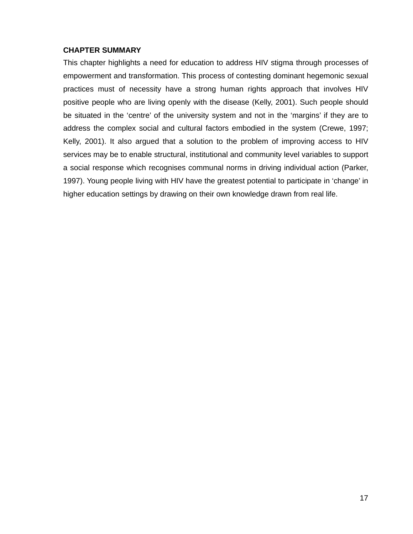# **CHAPTER SUMMARY**

This chapter highlights a need for education to address HIV stigma through processes of empowerment and transformation. This process of contesting dominant hegemonic sexual practices must of necessity have a strong human rights approach that involves HIV positive people who are living openly with the disease (Kelly, 2001). Such people should be situated in the 'centre' of the university system and not in the 'margins' if they are to address the complex social and cultural factors embodied in the system (Crewe, 1997; Kelly, 2001). It also argued that a solution to the problem of improving access to HIV services may be to enable structural, institutional and community level variables to support a social response which recognises communal norms in driving individual action (Parker, 1997). Young people living with HIV have the greatest potential to participate in 'change' in higher education settings by drawing on their own knowledge drawn from real life.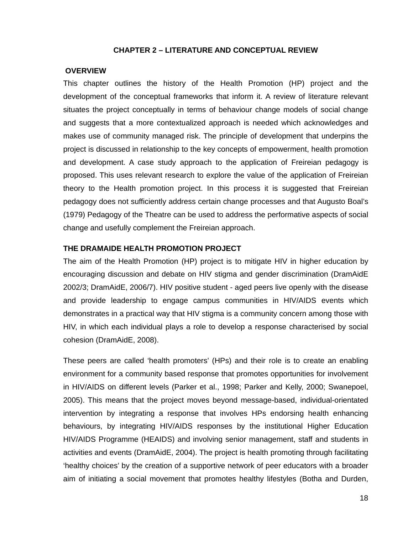### **CHAPTER 2 – LITERATURE AND CONCEPTUAL REVIEW**

## **OVERVIEW**

This chapter outlines the history of the Health Promotion (HP) project and the development of the conceptual frameworks that inform it. A review of literature relevant situates the project conceptually in terms of behaviour change models of social change and suggests that a more contextualized approach is needed which acknowledges and makes use of community managed risk. The principle of development that underpins the project is discussed in relationship to the key concepts of empowerment, health promotion and development. A case study approach to the application of Freireian pedagogy is proposed. This uses relevant research to explore the value of the application of Freireian theory to the Health promotion project. In this process it is suggested that Freireian pedagogy does not sufficiently address certain change processes and that Augusto Boal's (1979) Pedagogy of the Theatre can be used to address the performative aspects of social change and usefully complement the Freireian approach.

## **THE DRAMAIDE HEALTH PROMOTION PROJECT**

The aim of the Health Promotion (HP) project is to mitigate HIV in higher education by encouraging discussion and debate on HIV stigma and gender discrimination (DramAidE 2002/3; DramAidE, 2006/7). HIV positive student - aged peers live openly with the disease and provide leadership to engage campus communities in HIV/AIDS events which demonstrates in a practical way that HIV stigma is a community concern among those with HIV, in which each individual plays a role to develop a response characterised by social cohesion (DramAidE, 2008).

These peers are called 'health promoters' (HPs) and their role is to create an enabling environment for a community based response that promotes opportunities for involvement in HIV/AIDS on different levels (Parker et al., 1998; Parker and Kelly, 2000; Swanepoel, 2005). This means that the project moves beyond message-based, individual-orientated intervention by integrating a response that involves HPs endorsing health enhancing behaviours, by integrating HIV/AIDS responses by the institutional Higher Education HIV/AIDS Programme (HEAIDS) and involving senior management, staff and students in activities and events (DramAidE, 2004). The project is health promoting through facilitating 'healthy choices' by the creation of a supportive network of peer educators with a broader aim of initiating a social movement that promotes healthy lifestyles (Botha and Durden,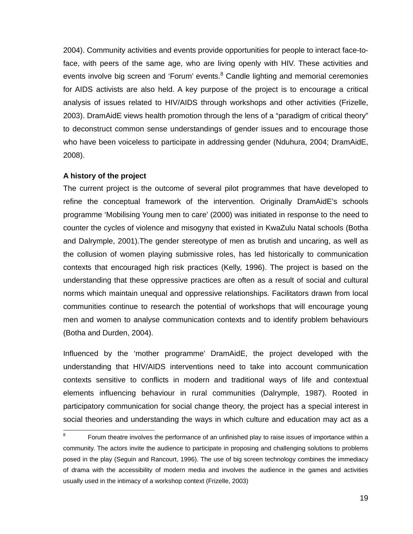2004). Community activities and events provide opportunities for people to interact face-toface, with peers of the same age, who are living openly with HIV. These activities and events involve big screen and 'Forum' events.<sup>8</sup> Candle lighting and memorial ceremonies for AIDS activists are also held. A key purpose of the project is to encourage a critical analysis of issues related to HIV/AIDS through workshops and other activities (Frizelle, 2003). DramAidE views health promotion through the lens of a "paradigm of critical theory" to deconstruct common sense understandings of gender issues and to encourage those who have been voiceless to participate in addressing gender (Nduhura, 2004; DramAidE, 2008).

## **A history of the project**

The current project is the outcome of several pilot programmes that have developed to refine the conceptual framework of the intervention. Originally DramAidE's schools programme 'Mobilising Young men to care' (2000) was initiated in response to the need to counter the cycles of violence and misogyny that existed in KwaZulu Natal schools (Botha and Dalrymple, 2001).The gender stereotype of men as brutish and uncaring, as well as the collusion of women playing submissive roles, has led historically to communication contexts that encouraged high risk practices (Kelly, 1996). The project is based on the understanding that these oppressive practices are often as a result of social and cultural norms which maintain unequal and oppressive relationships. Facilitators drawn from local communities continue to research the potential of workshops that will encourage young men and women to analyse communication contexts and to identify problem behaviours (Botha and Durden, 2004).

Influenced by the 'mother programme' DramAidE, the project developed with the understanding that HIV/AIDS interventions need to take into account communication contexts sensitive to conflicts in modern and traditional ways of life and contextual elements influencing behaviour in rural communities (Dalrymple, 1987). Rooted in participatory communication for social change theory, the project has a special interest in social theories and understanding the ways in which culture and education may act as a

<sup>-&</sup>lt;br>8 Forum theatre involves the performance of an unfinished play to raise issues of importance within a community. The actors invite the audience to participate in proposing and challenging solutions to problems posed in the play (Seguin and Rancourt, 1996). The use of big screen technology combines the immediacy of drama with the accessibility of modern media and involves the audience in the games and activities usually used in the intimacy of a workshop context (Frizelle, 2003)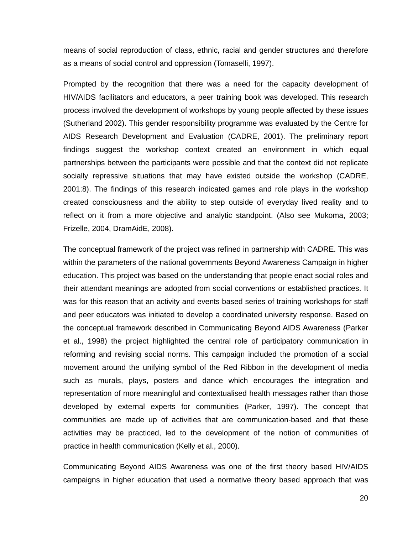means of social reproduction of class, ethnic, racial and gender structures and therefore as a means of social control and oppression (Tomaselli, 1997).

Prompted by the recognition that there was a need for the capacity development of HIV/AIDS facilitators and educators, a peer training book was developed. This research process involved the development of workshops by young people affected by these issues (Sutherland 2002). This gender responsibility programme was evaluated by the Centre for AIDS Research Development and Evaluation (CADRE, 2001). The preliminary report findings suggest the workshop context created an environment in which equal partnerships between the participants were possible and that the context did not replicate socially repressive situations that may have existed outside the workshop (CADRE, 2001:8). The findings of this research indicated games and role plays in the workshop created consciousness and the ability to step outside of everyday lived reality and to reflect on it from a more objective and analytic standpoint. (Also see Mukoma, 2003; Frizelle, 2004, DramAidE, 2008).

The conceptual framework of the project was refined in partnership with CADRE. This was within the parameters of the national governments Beyond Awareness Campaign in higher education. This project was based on the understanding that people enact social roles and their attendant meanings are adopted from social conventions or established practices. It was for this reason that an activity and events based series of training workshops for staff and peer educators was initiated to develop a coordinated university response. Based on the conceptual framework described in Communicating Beyond AIDS Awareness (Parker et al., 1998) the project highlighted the central role of participatory communication in reforming and revising social norms. This campaign included the promotion of a social movement around the unifying symbol of the Red Ribbon in the development of media such as murals, plays, posters and dance which encourages the integration and representation of more meaningful and contextualised health messages rather than those developed by external experts for communities (Parker, 1997). The concept that communities are made up of activities that are communication-based and that these activities may be practiced, led to the development of the notion of communities of practice in health communication (Kelly et al., 2000).

Communicating Beyond AIDS Awareness was one of the first theory based HIV/AIDS campaigns in higher education that used a normative theory based approach that was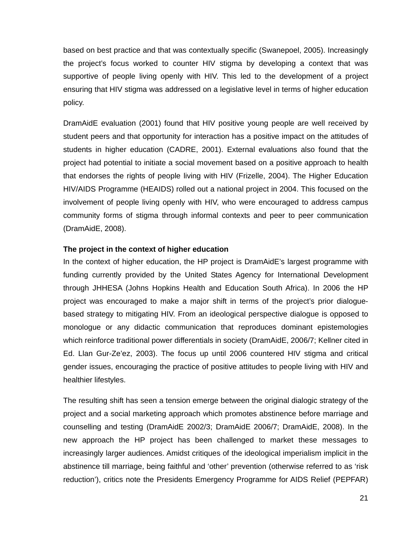based on best practice and that was contextually specific (Swanepoel, 2005). Increasingly the project's focus worked to counter HIV stigma by developing a context that was supportive of people living openly with HIV. This led to the development of a project ensuring that HIV stigma was addressed on a legislative level in terms of higher education policy.

DramAidE evaluation (2001) found that HIV positive young people are well received by student peers and that opportunity for interaction has a positive impact on the attitudes of students in higher education (CADRE, 2001). External evaluations also found that the project had potential to initiate a social movement based on a positive approach to health that endorses the rights of people living with HIV (Frizelle, 2004). The Higher Education HIV/AIDS Programme (HEAIDS) rolled out a national project in 2004. This focused on the involvement of people living openly with HIV, who were encouraged to address campus community forms of stigma through informal contexts and peer to peer communication (DramAidE, 2008).

## **The project in the context of higher education**

In the context of higher education, the HP project is DramAidE's largest programme with funding currently provided by the United States Agency for International Development through JHHESA (Johns Hopkins Health and Education South Africa). In 2006 the HP project was encouraged to make a major shift in terms of the project's prior dialoguebased strategy to mitigating HIV. From an ideological perspective dialogue is opposed to monologue or any didactic communication that reproduces dominant epistemologies which reinforce traditional power differentials in society (DramAidE, 2006/7; Kellner cited in Ed. Llan Gur-Ze'ez, 2003). The focus up until 2006 countered HIV stigma and critical gender issues, encouraging the practice of positive attitudes to people living with HIV and healthier lifestyles.

The resulting shift has seen a tension emerge between the original dialogic strategy of the project and a social marketing approach which promotes abstinence before marriage and counselling and testing (DramAidE 2002/3; DramAidE 2006/7; DramAidE, 2008). In the new approach the HP project has been challenged to market these messages to increasingly larger audiences. Amidst critiques of the ideological imperialism implicit in the abstinence till marriage, being faithful and 'other' prevention (otherwise referred to as 'risk reduction'), critics note the Presidents Emergency Programme for AIDS Relief (PEPFAR)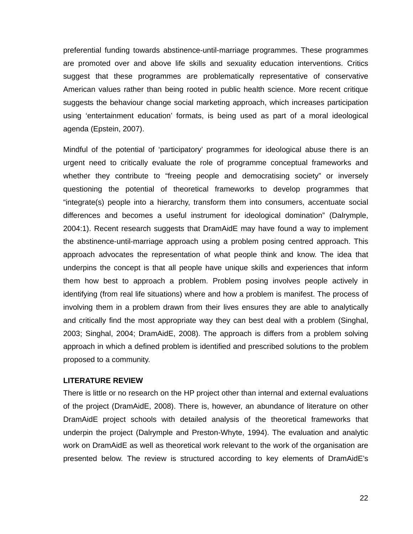preferential funding towards abstinence-until-marriage programmes. These programmes are promoted over and above life skills and sexuality education interventions. Critics suggest that these programmes are problematically representative of conservative American values rather than being rooted in public health science. More recent critique suggests the behaviour change social marketing approach, which increases participation using 'entertainment education' formats, is being used as part of a moral ideological agenda (Epstein, 2007).

Mindful of the potential of 'participatory' programmes for ideological abuse there is an urgent need to critically evaluate the role of programme conceptual frameworks and whether they contribute to "freeing people and democratising society" or inversely questioning the potential of theoretical frameworks to develop programmes that "integrate(s) people into a hierarchy, transform them into consumers, accentuate social differences and becomes a useful instrument for ideological domination" (Dalrymple, 2004:1). Recent research suggests that DramAidE may have found a way to implement the abstinence-until-marriage approach using a problem posing centred approach. This approach advocates the representation of what people think and know. The idea that underpins the concept is that all people have unique skills and experiences that inform them how best to approach a problem. Problem posing involves people actively in identifying (from real life situations) where and how a problem is manifest. The process of involving them in a problem drawn from their lives ensures they are able to analytically and critically find the most appropriate way they can best deal with a problem (Singhal, 2003; Singhal, 2004; DramAidE, 2008). The approach is differs from a problem solving approach in which a defined problem is identified and prescribed solutions to the problem proposed to a community.

#### **LITERATURE REVIEW**

There is little or no research on the HP project other than internal and external evaluations of the project (DramAidE, 2008). There is, however, an abundance of literature on other DramAidE project schools with detailed analysis of the theoretical frameworks that underpin the project (Dalrymple and Preston-Whyte, 1994). The evaluation and analytic work on DramAidE as well as theoretical work relevant to the work of the organisation are presented below. The review is structured according to key elements of DramAidE's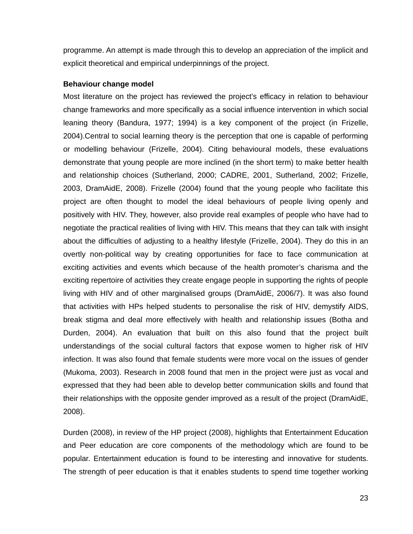programme. An attempt is made through this to develop an appreciation of the implicit and explicit theoretical and empirical underpinnings of the project.

#### **Behaviour change model**

Most literature on the project has reviewed the project's efficacy in relation to behaviour change frameworks and more specifically as a social influence intervention in which social leaning theory (Bandura, 1977; 1994) is a key component of the project (in Frizelle, 2004).Central to social learning theory is the perception that one is capable of performing or modelling behaviour (Frizelle, 2004). Citing behavioural models, these evaluations demonstrate that young people are more inclined (in the short term) to make better health and relationship choices (Sutherland, 2000; CADRE, 2001, Sutherland, 2002; Frizelle, 2003, DramAidE, 2008). Frizelle (2004) found that the young people who facilitate this project are often thought to model the ideal behaviours of people living openly and positively with HIV. They, however, also provide real examples of people who have had to negotiate the practical realities of living with HIV. This means that they can talk with insight about the difficulties of adjusting to a healthy lifestyle (Frizelle, 2004). They do this in an overtly non-political way by creating opportunities for face to face communication at exciting activities and events which because of the health promoter's charisma and the exciting repertoire of activities they create engage people in supporting the rights of people living with HIV and of other marginalised groups (DramAidE, 2006/7). It was also found that activities with HPs helped students to personalise the risk of HIV, demystify AIDS, break stigma and deal more effectively with health and relationship issues (Botha and Durden, 2004). An evaluation that built on this also found that the project built understandings of the social cultural factors that expose women to higher risk of HIV infection. It was also found that female students were more vocal on the issues of gender (Mukoma, 2003). Research in 2008 found that men in the project were just as vocal and expressed that they had been able to develop better communication skills and found that their relationships with the opposite gender improved as a result of the project (DramAidE, 2008).

Durden (2008), in review of the HP project (2008), highlights that Entertainment Education and Peer education are core components of the methodology which are found to be popular. Entertainment education is found to be interesting and innovative for students. The strength of peer education is that it enables students to spend time together working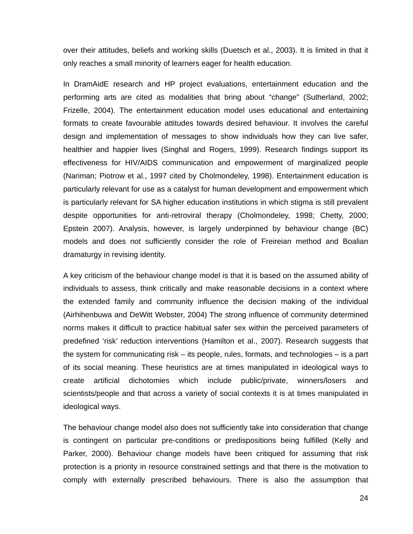over their attitudes, beliefs and working skills (Duetsch et al., 2003). It is limited in that it only reaches a small minority of learners eager for health education.

In DramAidE research and HP project evaluations, entertainment education and the performing arts are cited as modalities that bring about "change" (Sutherland, 2002; Frizelle, 2004). The entertainment education model uses educational and entertaining formats to create favourable attitudes towards desired behaviour. It involves the careful design and implementation of messages to show individuals how they can live safer, healthier and happier lives (Singhal and Rogers, 1999). Research findings support its effectiveness for HIV/AIDS communication and empowerment of marginalized people (Nariman; Piotrow et al., 1997 cited by Cholmondeley, 1998). Entertainment education is particularly relevant for use as a catalyst for human development and empowerment which is particularly relevant for SA higher education institutions in which stigma is still prevalent despite opportunities for anti-retroviral therapy (Cholmondeley, 1998; Chetty, 2000; Epstein 2007). Analysis, however, is largely underpinned by behaviour change (BC) models and does not sufficiently consider the role of Freireian method and Boalian dramaturgy in revising identity.

A key criticism of the behaviour change model is that it is based on the assumed ability of individuals to assess, think critically and make reasonable decisions in a context where the extended family and community influence the decision making of the individual (Airhihenbuwa and DeWitt Webster, 2004) The strong influence of community determined norms makes it difficult to practice habitual safer sex within the perceived parameters of predefined 'risk' reduction interventions (Hamilton et al., 2007). Research suggests that the system for communicating risk – its people, rules, formats, and technologies – is a part of its social meaning. These heuristics are at times manipulated in ideological ways to create artificial dichotomies which include public/private, winners/losers and scientists/people and that across a variety of social contexts it is at times manipulated in ideological ways.

The behaviour change model also does not sufficiently take into consideration that change is contingent on particular pre-conditions or predispositions being fulfilled (Kelly and Parker, 2000). Behaviour change models have been critiqued for assuming that risk protection is a priority in resource constrained settings and that there is the motivation to comply with externally prescribed behaviours. There is also the assumption that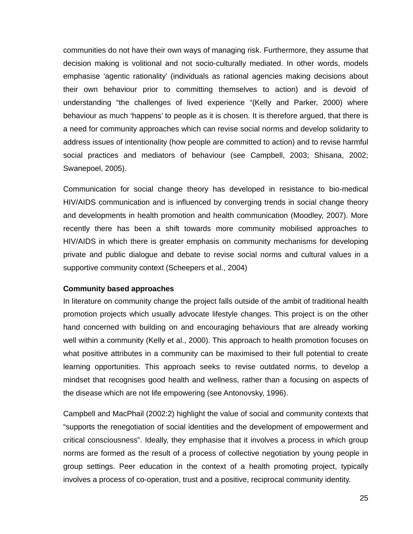communities do not have their own ways of managing risk. Furthermore, they assume that decision making is volitional and not socio-culturally mediated. In other words, models emphasise 'agentic rationality' (individuals as rational agencies making decisions about their own behaviour prior to committing themselves to action) and is devoid of understanding "the challenges of lived experience "(Kelly and Parker, 2000) where behaviour as much 'happens' to people as it is chosen. It is therefore argued, that there is a need for community approaches which can revise social norms and develop solidarity to address issues of intentionality (how people are committed to action) and to revise harmful social practices and mediators of behaviour (see Campbell, 2003; Shisana, 2002; Swanepoel, 2005).

Communication for social change theory has developed in resistance to bio-medical HIV/AIDS communication and is influenced by converging trends in social change theory and developments in health promotion and health communication (Moodley, 2007). More recently there has been a shift towards more community mobilised approaches to HIV/AIDS in which there is greater emphasis on community mechanisms for developing private and public dialogue and debate to revise social norms and cultural values in a supportive community context (Scheepers et al., 2004)

## **Community based approaches**

In literature on community change the project falls outside of the ambit of traditional health promotion projects which usually advocate lifestyle changes. This project is on the other hand concerned with building on and encouraging behaviours that are already working well within a community (Kelly et al., 2000). This approach to health promotion focuses on what positive attributes in a community can be maximised to their full potential to create learning opportunities. This approach seeks to revise outdated norms, to develop a mindset that recognises good health and wellness, rather than a focusing on aspects of the disease which are not life empowering (see Antonovsky, 1996).

Campbell and MacPhail (2002:2) highlight the value of social and community contexts that "supports the renegotiation of social identities and the development of empowerment and critical consciousness". Ideally, they emphasise that it involves a process in which group norms are formed as the result of a process of collective negotiation by young people in group settings. Peer education in the context of a health promoting project, typically involves a process of co-operation, trust and a positive, reciprocal community identity.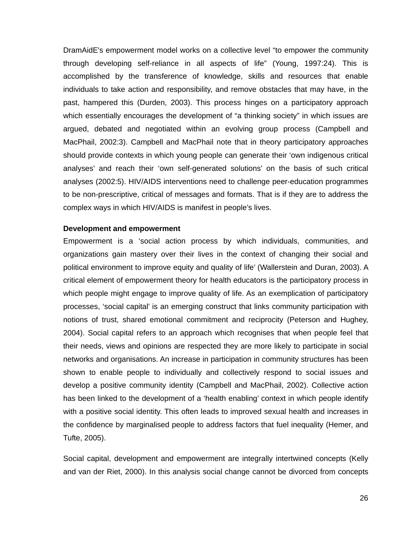DramAidE's empowerment model works on a collective level "to empower the community through developing self-reliance in all aspects of life" (Young, 1997:24). This is accomplished by the transference of knowledge, skills and resources that enable individuals to take action and responsibility, and remove obstacles that may have, in the past, hampered this (Durden, 2003). This process hinges on a participatory approach which essentially encourages the development of "a thinking society" in which issues are argued, debated and negotiated within an evolving group process (Campbell and MacPhail, 2002:3). Campbell and MacPhail note that in theory participatory approaches should provide contexts in which young people can generate their 'own indigenous critical analyses' and reach their 'own self-generated solutions' on the basis of such critical analyses (2002:5). HIV/AIDS interventions need to challenge peer-education programmes to be non-prescriptive, critical of messages and formats. That is if they are to address the complex ways in which HIV/AIDS is manifest in people's lives.

#### **Development and empowerment**

Empowerment is a 'social action process by which individuals, communities, and organizations gain mastery over their lives in the context of changing their social and political environment to improve equity and quality of life' (Wallerstein and Duran, 2003). A critical element of empowerment theory for health educators is the participatory process in which people might engage to improve quality of life. As an exemplication of participatory processes, 'social capital' is an emerging construct that links community participation with notions of trust, shared emotional commitment and reciprocity (Peterson and Hughey, 2004). Social capital refers to an approach which recognises that when people feel that their needs, views and opinions are respected they are more likely to participate in social networks and organisations. An increase in participation in community structures has been shown to enable people to individually and collectively respond to social issues and develop a positive community identity (Campbell and MacPhail, 2002). Collective action has been linked to the development of a 'health enabling' context in which people identify with a positive social identity. This often leads to improved sexual health and increases in the confidence by marginalised people to address factors that fuel inequality (Hemer, and Tufte, 2005).

Social capital, development and empowerment are integrally intertwined concepts (Kelly and van der Riet, 2000). In this analysis social change cannot be divorced from concepts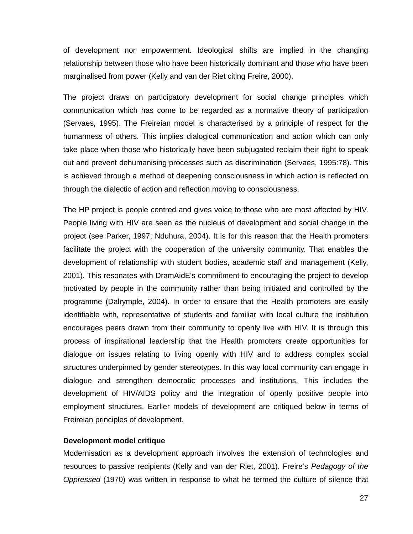of development nor empowerment. Ideological shifts are implied in the changing relationship between those who have been historically dominant and those who have been marginalised from power (Kelly and van der Riet citing Freire, 2000).

The project draws on participatory development for social change principles which communication which has come to be regarded as a normative theory of participation (Servaes, 1995). The Freireian model is characterised by a principle of respect for the humanness of others. This implies dialogical communication and action which can only take place when those who historically have been subjugated reclaim their right to speak out and prevent dehumanising processes such as discrimination (Servaes, 1995:78). This is achieved through a method of deepening consciousness in which action is reflected on through the dialectic of action and reflection moving to consciousness.

The HP project is people centred and gives voice to those who are most affected by HIV. People living with HIV are seen as the nucleus of development and social change in the project (see Parker, 1997; Nduhura, 2004). It is for this reason that the Health promoters facilitate the project with the cooperation of the university community. That enables the development of relationship with student bodies, academic staff and management (Kelly, 2001). This resonates with DramAidE's commitment to encouraging the project to develop motivated by people in the community rather than being initiated and controlled by the programme (Dalrymple, 2004). In order to ensure that the Health promoters are easily identifiable with, representative of students and familiar with local culture the institution encourages peers drawn from their community to openly live with HIV. It is through this process of inspirational leadership that the Health promoters create opportunities for dialogue on issues relating to living openly with HIV and to address complex social structures underpinned by gender stereotypes. In this way local community can engage in dialogue and strengthen democratic processes and institutions. This includes the development of HIV/AIDS policy and the integration of openly positive people into employment structures. Earlier models of development are critiqued below in terms of Freireian principles of development.

# **Development model critique**

Modernisation as a development approach involves the extension of technologies and resources to passive recipients (Kelly and van der Riet, 2001). Freire's *Pedagogy of the Oppressed* (1970) was written in response to what he termed the culture of silence that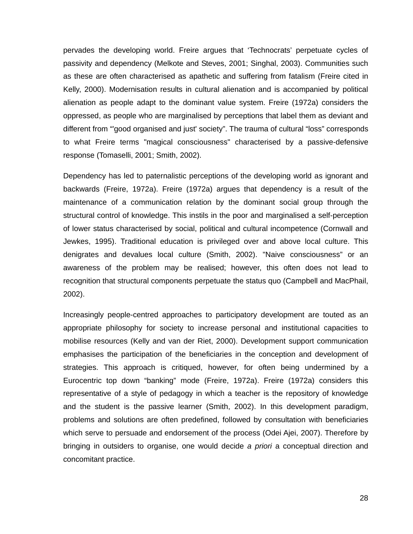pervades the developing world. Freire argues that 'Technocrats' perpetuate cycles of passivity and dependency (Melkote and Steves, 2001; Singhal, 2003). Communities such as these are often characterised as apathetic and suffering from fatalism (Freire cited in Kelly, 2000). Modernisation results in cultural alienation and is accompanied by political alienation as people adapt to the dominant value system. Freire (1972a) considers the oppressed, as people who are marginalised by perceptions that label them as deviant and different from "'good organised and just' society". The trauma of cultural "loss" corresponds to what Freire terms "magical consciousness" characterised by a passive-defensive response (Tomaselli, 2001; Smith, 2002).

Dependency has led to paternalistic perceptions of the developing world as ignorant and backwards (Freire, 1972a). Freire (1972a) argues that dependency is a result of the maintenance of a communication relation by the dominant social group through the structural control of knowledge. This instils in the poor and marginalised a self-perception of lower status characterised by social, political and cultural incompetence (Cornwall and Jewkes, 1995). Traditional education is privileged over and above local culture. This denigrates and devalues local culture (Smith, 2002). "Naive consciousness" or an awareness of the problem may be realised; however, this often does not lead to recognition that structural components perpetuate the status quo (Campbell and MacPhail, 2002).

Increasingly people-centred approaches to participatory development are touted as an appropriate philosophy for society to increase personal and institutional capacities to mobilise resources (Kelly and van der Riet, 2000). Development support communication emphasises the participation of the beneficiaries in the conception and development of strategies. This approach is critiqued, however, for often being undermined by a Eurocentric top down "banking" mode (Freire, 1972a). Freire (1972a) considers this representative of a style of pedagogy in which a teacher is the repository of knowledge and the student is the passive learner (Smith, 2002). In this development paradigm, problems and solutions are often predefined, followed by consultation with beneficiaries which serve to persuade and endorsement of the process (Odei Ajei, 2007). Therefore by bringing in outsiders to organise, one would decide *a priori* a conceptual direction and concomitant practice.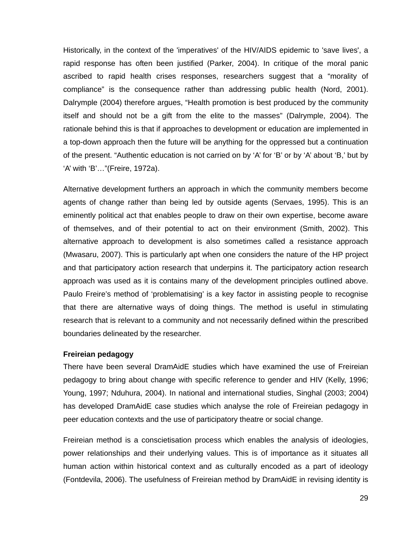Historically, in the context of the 'imperatives' of the HIV/AIDS epidemic to 'save lives', a rapid response has often been justified (Parker, 2004). In critique of the moral panic ascribed to rapid health crises responses, researchers suggest that a "morality of compliance" is the consequence rather than addressing public health (Nord, 2001). Dalrymple (2004) therefore argues, "Health promotion is best produced by the community itself and should not be a gift from the elite to the masses" (Dalrymple, 2004). The rationale behind this is that if approaches to development or education are implemented in a top-down approach then the future will be anything for the oppressed but a continuation of the present. "Authentic education is not carried on by 'A' for 'B' or by 'A' about 'B,' but by 'A' with 'B'…"(Freire, 1972a).

Alternative development furthers an approach in which the community members become agents of change rather than being led by outside agents (Servaes, 1995). This is an eminently political act that enables people to draw on their own expertise, become aware of themselves, and of their potential to act on their environment (Smith, 2002). This alternative approach to development is also sometimes called a resistance approach (Mwasaru, 2007). This is particularly apt when one considers the nature of the HP project and that participatory action research that underpins it. The participatory action research approach was used as it is contains many of the development principles outlined above. Paulo Freire's method of 'problematising' is a key factor in assisting people to recognise that there are alternative ways of doing things. The method is useful in stimulating research that is relevant to a community and not necessarily defined within the prescribed boundaries delineated by the researcher.

## **Freireian pedagogy**

There have been several DramAidE studies which have examined the use of Freireian pedagogy to bring about change with specific reference to gender and HIV (Kelly, 1996; Young, 1997; Nduhura, 2004). In national and international studies, Singhal (2003; 2004) has developed DramAidE case studies which analyse the role of Freireian pedagogy in peer education contexts and the use of participatory theatre or social change.

Freireian method is a conscietisation process which enables the analysis of ideologies, power relationships and their underlying values. This is of importance as it situates all human action within historical context and as culturally encoded as a part of ideology (Fontdevila, 2006). The usefulness of Freireian method by DramAidE in revising identity is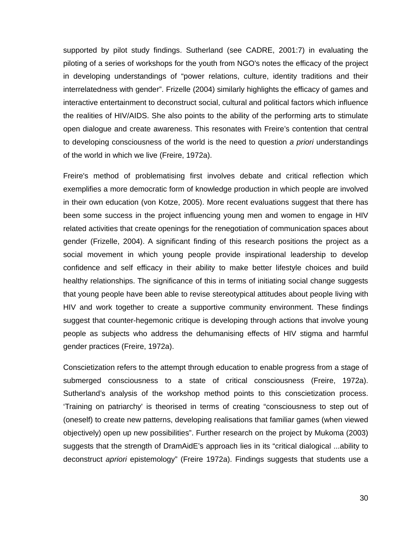supported by pilot study findings. Sutherland (see CADRE, 2001:7) in evaluating the piloting of a series of workshops for the youth from NGO's notes the efficacy of the project in developing understandings of "power relations, culture, identity traditions and their interrelatedness with gender". Frizelle (2004) similarly highlights the efficacy of games and interactive entertainment to deconstruct social, cultural and political factors which influence the realities of HIV/AIDS. She also points to the ability of the performing arts to stimulate open dialogue and create awareness. This resonates with Freire's contention that central to developing consciousness of the world is the need to question *a priori* understandings of the world in which we live (Freire, 1972a).

Freire's method of problematising first involves debate and critical reflection which exemplifies a more democratic form of knowledge production in which people are involved in their own education (von Kotze, 2005). More recent evaluations suggest that there has been some success in the project influencing young men and women to engage in HIV related activities that create openings for the renegotiation of communication spaces about gender (Frizelle, 2004). A significant finding of this research positions the project as a social movement in which young people provide inspirational leadership to develop confidence and self efficacy in their ability to make better lifestyle choices and build healthy relationships. The significance of this in terms of initiating social change suggests that young people have been able to revise stereotypical attitudes about people living with HIV and work together to create a supportive community environment. These findings suggest that counter-hegemonic critique is developing through actions that involve young people as subjects who address the dehumanising effects of HIV stigma and harmful gender practices (Freire, 1972a).

Conscietization refers to the attempt through education to enable progress from a stage of submerged consciousness to a state of critical consciousness (Freire, 1972a). Sutherland's analysis of the workshop method points to this conscietization process. 'Training on patriarchy' is theorised in terms of creating "consciousness to step out of (oneself) to create new patterns, developing realisations that familiar games (when viewed objectively) open up new possibilities". Further research on the project by Mukoma (2003) suggests that the strength of DramAidE's approach lies in its "critical dialogical ...ability to deconstruct *apriori* epistemology" (Freire 1972a). Findings suggests that students use a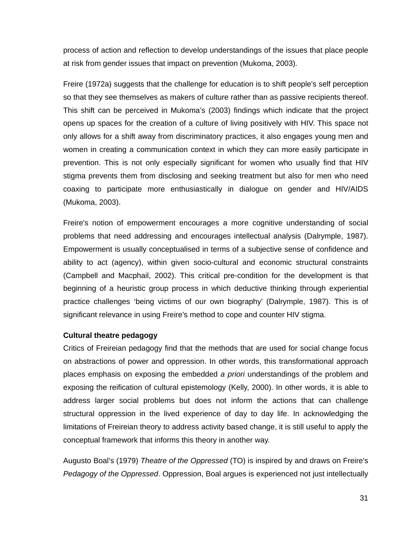process of action and reflection to develop understandings of the issues that place people at risk from gender issues that impact on prevention (Mukoma, 2003).

Freire (1972a) suggests that the challenge for education is to shift people's self perception so that they see themselves as makers of culture rather than as passive recipients thereof. This shift can be perceived in Mukoma's (2003) findings which indicate that the project opens up spaces for the creation of a culture of living positively with HIV. This space not only allows for a shift away from discriminatory practices, it also engages young men and women in creating a communication context in which they can more easily participate in prevention. This is not only especially significant for women who usually find that HIV stigma prevents them from disclosing and seeking treatment but also for men who need coaxing to participate more enthusiastically in dialogue on gender and HIV/AIDS (Mukoma, 2003).

Freire's notion of empowerment encourages a more cognitive understanding of social problems that need addressing and encourages intellectual analysis (Dalrymple, 1987). Empowerment is usually conceptualised in terms of a subjective sense of confidence and ability to act (agency), within given socio-cultural and economic structural constraints (Campbell and Macphail, 2002). This critical pre-condition for the development is that beginning of a heuristic group process in which deductive thinking through experiential practice challenges 'being victims of our own biography' (Dalrymple, 1987). This is of significant relevance in using Freire's method to cope and counter HIV stigma.

# **Cultural theatre pedagogy**

Critics of Freireian pedagogy find that the methods that are used for social change focus on abstractions of power and oppression. In other words, this transformational approach places emphasis on exposing the embedded *a priori* understandings of the problem and exposing the reification of cultural epistemology (Kelly, 2000). In other words, it is able to address larger social problems but does not inform the actions that can challenge structural oppression in the lived experience of day to day life. In acknowledging the limitations of Freireian theory to address activity based change, it is still useful to apply the conceptual framework that informs this theory in another way.

Augusto Boal's (1979) *Theatre of the Oppressed* (TO) is inspired by and draws on Freire's *Pedagogy of the Oppressed*. Oppression, Boal argues is experienced not just intellectually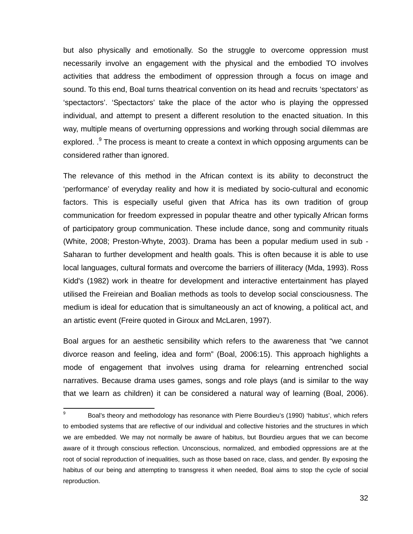but also physically and emotionally. So the struggle to overcome oppression must necessarily involve an engagement with the physical and the embodied TO involves activities that address the embodiment of oppression through a focus on image and sound. To this end, Boal turns theatrical convention on its head and recruits 'spectators' as 'spectactors'. 'Spectactors' take the place of the actor who is playing the oppressed individual, and attempt to present a different resolution to the enacted situation. In this way, multiple means of overturning oppressions and working through social dilemmas are explored.  $.9$  The process is meant to create a context in which opposing arguments can be considered rather than ignored.

The relevance of this method in the African context is its ability to deconstruct the 'performance' of everyday reality and how it is mediated by socio-cultural and economic factors. This is especially useful given that Africa has its own tradition of group communication for freedom expressed in popular theatre and other typically African forms of participatory group communication. These include dance, song and community rituals (White, 2008; Preston-Whyte, 2003). Drama has been a popular medium used in sub - Saharan to further development and health goals. This is often because it is able to use local languages, cultural formats and overcome the barriers of illiteracy (Mda, 1993). Ross Kidd's (1982) work in theatre for development and interactive entertainment has played utilised the Freireian and Boalian methods as tools to develop social consciousness. The medium is ideal for education that is simultaneously an act of knowing, a political act, and an artistic event (Freire quoted in Giroux and McLaren, 1997).

Boal argues for an aesthetic sensibility which refers to the awareness that "we cannot divorce reason and feeling, idea and form" (Boal, 2006:15). This approach highlights a mode of engagement that involves using drama for relearning entrenched social narratives. Because drama uses games, songs and role plays (and is similar to the way that we learn as children) it can be considered a natural way of learning (Boal, 2006).

-

<sup>9</sup> Boal's theory and methodology has resonance with Pierre Bourdieu's (1990) 'habitus', which refers to embodied systems that are reflective of our individual and collective histories and the structures in which we are embedded. We may not normally be aware of habitus, but Bourdieu argues that we can become aware of it through conscious reflection. Unconscious, normalized, and embodied oppressions are at the root of social reproduction of inequalities, such as those based on race, class, and gender. By exposing the habitus of our being and attempting to transgress it when needed, Boal aims to stop the cycle of social reproduction.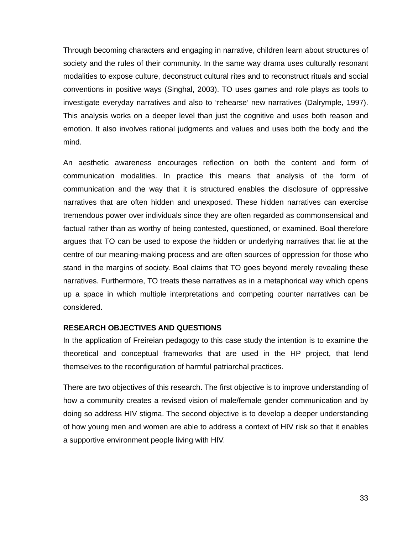Through becoming characters and engaging in narrative, children learn about structures of society and the rules of their community. In the same way drama uses culturally resonant modalities to expose culture, deconstruct cultural rites and to reconstruct rituals and social conventions in positive ways (Singhal, 2003). TO uses games and role plays as tools to investigate everyday narratives and also to 'rehearse' new narratives (Dalrymple, 1997). This analysis works on a deeper level than just the cognitive and uses both reason and emotion. It also involves rational judgments and values and uses both the body and the mind.

An aesthetic awareness encourages reflection on both the content and form of communication modalities. In practice this means that analysis of the form of communication and the way that it is structured enables the disclosure of oppressive narratives that are often hidden and unexposed. These hidden narratives can exercise tremendous power over individuals since they are often regarded as commonsensical and factual rather than as worthy of being contested, questioned, or examined. Boal therefore argues that TO can be used to expose the hidden or underlying narratives that lie at the centre of our meaning-making process and are often sources of oppression for those who stand in the margins of society. Boal claims that TO goes beyond merely revealing these narratives. Furthermore, TO treats these narratives as in a metaphorical way which opens up a space in which multiple interpretations and competing counter narratives can be considered.

## **RESEARCH OBJECTIVES AND QUESTIONS**

In the application of Freireian pedagogy to this case study the intention is to examine the theoretical and conceptual frameworks that are used in the HP project, that lend themselves to the reconfiguration of harmful patriarchal practices.

There are two objectives of this research. The first objective is to improve understanding of how a community creates a revised vision of male/female gender communication and by doing so address HIV stigma. The second objective is to develop a deeper understanding of how young men and women are able to address a context of HIV risk so that it enables a supportive environment people living with HIV.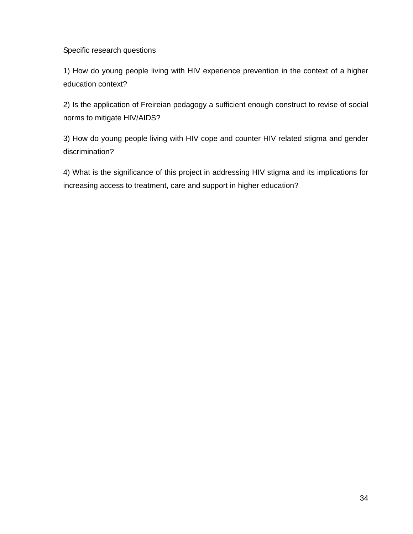Specific research questions

1) How do young people living with HIV experience prevention in the context of a higher education context?

2) Is the application of Freireian pedagogy a sufficient enough construct to revise of social norms to mitigate HIV/AIDS?

3) How do young people living with HIV cope and counter HIV related stigma and gender discrimination?

4) What is the significance of this project in addressing HIV stigma and its implications for increasing access to treatment, care and support in higher education?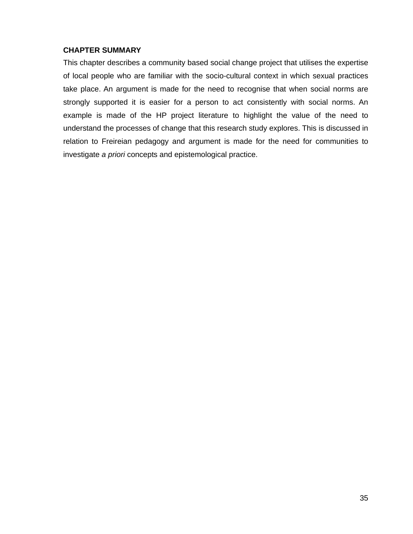# **CHAPTER SUMMARY**

This chapter describes a community based social change project that utilises the expertise of local people who are familiar with the socio-cultural context in which sexual practices take place. An argument is made for the need to recognise that when social norms are strongly supported it is easier for a person to act consistently with social norms. An example is made of the HP project literature to highlight the value of the need to understand the processes of change that this research study explores. This is discussed in relation to Freireian pedagogy and argument is made for the need for communities to investigate *a priori* concepts and epistemological practice.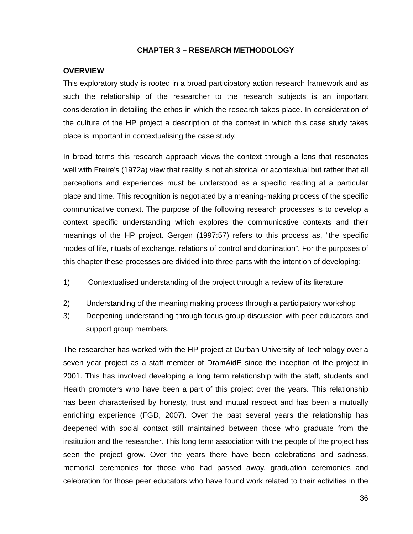## **CHAPTER 3 – RESEARCH METHODOLOGY**

## **OVERVIEW**

This exploratory study is rooted in a broad participatory action research framework and as such the relationship of the researcher to the research subjects is an important consideration in detailing the ethos in which the research takes place. In consideration of the culture of the HP project a description of the context in which this case study takes place is important in contextualising the case study.

In broad terms this research approach views the context through a lens that resonates well with Freire's (1972a) view that reality is not ahistorical or acontextual but rather that all perceptions and experiences must be understood as a specific reading at a particular place and time. This recognition is negotiated by a meaning-making process of the specific communicative context. The purpose of the following research processes is to develop a context specific understanding which explores the communicative contexts and their meanings of the HP project. Gergen (1997:57) refers to this process as, "the specific modes of life, rituals of exchange, relations of control and domination". For the purposes of this chapter these processes are divided into three parts with the intention of developing:

- 1) Contextualised understanding of the project through a review of its literature
- 2) Understanding of the meaning making process through a participatory workshop
- 3) Deepening understanding through focus group discussion with peer educators and support group members.

The researcher has worked with the HP project at Durban University of Technology over a seven year project as a staff member of DramAidE since the inception of the project in 2001. This has involved developing a long term relationship with the staff, students and Health promoters who have been a part of this project over the years. This relationship has been characterised by honesty, trust and mutual respect and has been a mutually enriching experience (FGD, 2007). Over the past several years the relationship has deepened with social contact still maintained between those who graduate from the institution and the researcher. This long term association with the people of the project has seen the project grow. Over the years there have been celebrations and sadness, memorial ceremonies for those who had passed away, graduation ceremonies and celebration for those peer educators who have found work related to their activities in the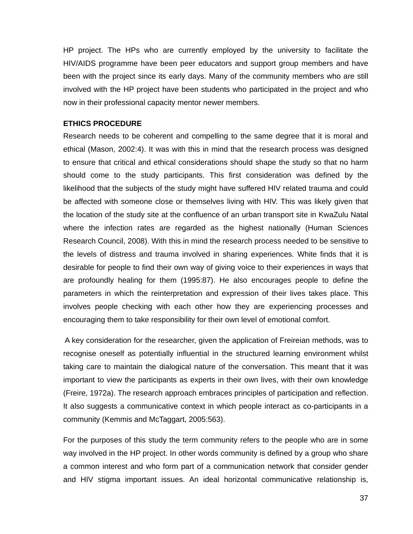HP project. The HPs who are currently employed by the university to facilitate the HIV/AIDS programme have been peer educators and support group members and have been with the project since its early days. Many of the community members who are still involved with the HP project have been students who participated in the project and who now in their professional capacity mentor newer members.

#### **ETHICS PROCEDURE**

Research needs to be coherent and compelling to the same degree that it is moral and ethical (Mason, 2002:4). It was with this in mind that the research process was designed to ensure that critical and ethical considerations should shape the study so that no harm should come to the study participants. This first consideration was defined by the likelihood that the subjects of the study might have suffered HIV related trauma and could be affected with someone close or themselves living with HIV. This was likely given that the location of the study site at the confluence of an urban transport site in KwaZulu Natal where the infection rates are regarded as the highest nationally (Human Sciences Research Council, 2008). With this in mind the research process needed to be sensitive to the levels of distress and trauma involved in sharing experiences. White finds that it is desirable for people to find their own way of giving voice to their experiences in ways that are profoundly healing for them (1995:87). He also encourages people to define the parameters in which the reinterpretation and expression of their lives takes place. This involves people checking with each other how they are experiencing processes and encouraging them to take responsibility for their own level of emotional comfort.

 A key consideration for the researcher, given the application of Freireian methods, was to recognise oneself as potentially influential in the structured learning environment whilst taking care to maintain the dialogical nature of the conversation. This meant that it was important to view the participants as experts in their own lives, with their own knowledge (Freire, 1972a). The research approach embraces principles of participation and reflection. It also suggests a communicative context in which people interact as co-participants in a community (Kemmis and McTaggart, 2005:563).

For the purposes of this study the term community refers to the people who are in some way involved in the HP project. In other words community is defined by a group who share a common interest and who form part of a communication network that consider gender and HIV stigma important issues. An ideal horizontal communicative relationship is,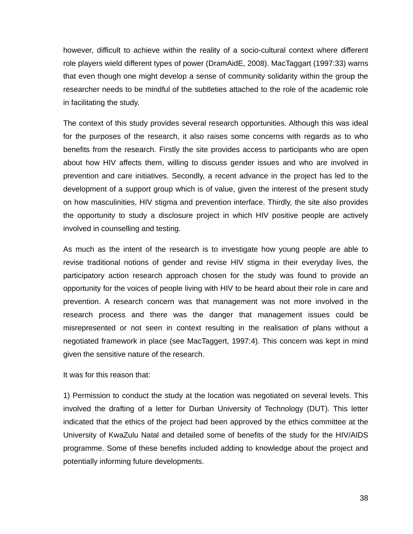however, difficult to achieve within the reality of a socio-cultural context where different role players wield different types of power (DramAidE, 2008). MacTaggart (1997:33) warns that even though one might develop a sense of community solidarity within the group the researcher needs to be mindful of the subtleties attached to the role of the academic role in facilitating the study.

The context of this study provides several research opportunities. Although this was ideal for the purposes of the research, it also raises some concerns with regards as to who benefits from the research. Firstly the site provides access to participants who are open about how HIV affects them, willing to discuss gender issues and who are involved in prevention and care initiatives. Secondly, a recent advance in the project has led to the development of a support group which is of value, given the interest of the present study on how masculinities, HIV stigma and prevention interface. Thirdly, the site also provides the opportunity to study a disclosure project in which HIV positive people are actively involved in counselling and testing.

As much as the intent of the research is to investigate how young people are able to revise traditional notions of gender and revise HIV stigma in their everyday lives, the participatory action research approach chosen for the study was found to provide an opportunity for the voices of people living with HIV to be heard about their role in care and prevention. A research concern was that management was not more involved in the research process and there was the danger that management issues could be misrepresented or not seen in context resulting in the realisation of plans without a negotiated framework in place (see MacTaggert, 1997:4). This concern was kept in mind given the sensitive nature of the research.

It was for this reason that:

1) Permission to conduct the study at the location was negotiated on several levels. This involved the drafting of a letter for Durban University of Technology (DUT). This letter indicated that the ethics of the project had been approved by the ethics committee at the University of KwaZulu Natal and detailed some of benefits of the study for the HIV/AIDS programme. Some of these benefits included adding to knowledge about the project and potentially informing future developments.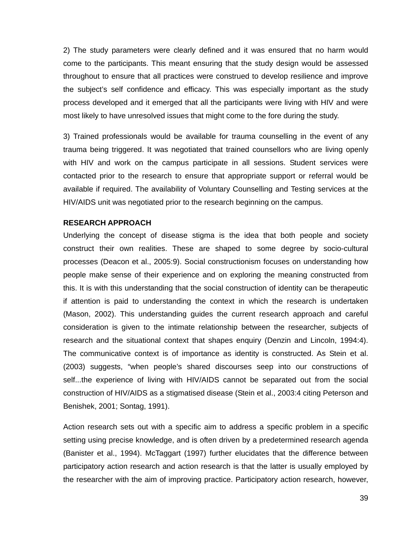2) The study parameters were clearly defined and it was ensured that no harm would come to the participants. This meant ensuring that the study design would be assessed throughout to ensure that all practices were construed to develop resilience and improve the subject's self confidence and efficacy. This was especially important as the study process developed and it emerged that all the participants were living with HIV and were most likely to have unresolved issues that might come to the fore during the study.

3) Trained professionals would be available for trauma counselling in the event of any trauma being triggered. It was negotiated that trained counsellors who are living openly with HIV and work on the campus participate in all sessions. Student services were contacted prior to the research to ensure that appropriate support or referral would be available if required. The availability of Voluntary Counselling and Testing services at the HIV/AIDS unit was negotiated prior to the research beginning on the campus.

### **RESEARCH APPROACH**

Underlying the concept of disease stigma is the idea that both people and society construct their own realities. These are shaped to some degree by socio-cultural processes (Deacon et al., 2005:9). Social constructionism focuses on understanding how people make sense of their experience and on exploring the meaning constructed from this. It is with this understanding that the social construction of identity can be therapeutic if attention is paid to understanding the context in which the research is undertaken (Mason, 2002). This understanding guides the current research approach and careful consideration is given to the intimate relationship between the researcher, subjects of research and the situational context that shapes enquiry (Denzin and Lincoln, 1994:4). The communicative context is of importance as identity is constructed. As Stein et al. (2003) suggests, "when people's shared discourses seep into our constructions of self...the experience of living with HIV/AIDS cannot be separated out from the social construction of HIV/AIDS as a stigmatised disease (Stein et al., 2003:4 citing Peterson and Benishek, 2001; Sontag, 1991).

Action research sets out with a specific aim to address a specific problem in a specific setting using precise knowledge, and is often driven by a predetermined research agenda (Banister et al., 1994). McTaggart (1997) further elucidates that the difference between participatory action research and action research is that the latter is usually employed by the researcher with the aim of improving practice. Participatory action research, however,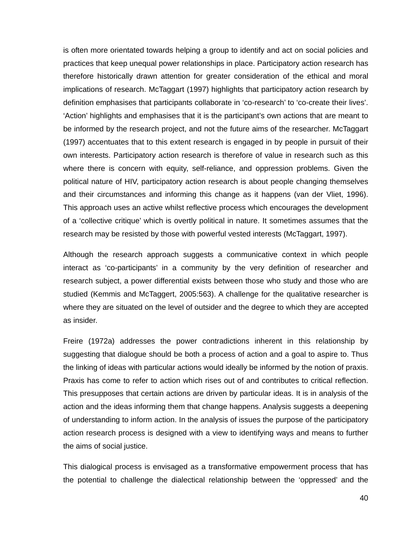is often more orientated towards helping a group to identify and act on social policies and practices that keep unequal power relationships in place. Participatory action research has therefore historically drawn attention for greater consideration of the ethical and moral implications of research. McTaggart (1997) highlights that participatory action research by definition emphasises that participants collaborate in 'co-research' to 'co-create their lives'. 'Action' highlights and emphasises that it is the participant's own actions that are meant to be informed by the research project, and not the future aims of the researcher. McTaggart (1997) accentuates that to this extent research is engaged in by people in pursuit of their own interests. Participatory action research is therefore of value in research such as this where there is concern with equity, self-reliance, and oppression problems. Given the political nature of HIV, participatory action research is about people changing themselves and their circumstances and informing this change as it happens (van der Vliet, 1996). This approach uses an active whilst reflective process which encourages the development of a 'collective critique' which is overtly political in nature. It sometimes assumes that the research may be resisted by those with powerful vested interests (McTaggart, 1997).

Although the research approach suggests a communicative context in which people interact as 'co-participants' in a community by the very definition of researcher and research subject, a power differential exists between those who study and those who are studied (Kemmis and McTaggert, 2005:563). A challenge for the qualitative researcher is where they are situated on the level of outsider and the degree to which they are accepted as insider.

Freire (1972a) addresses the power contradictions inherent in this relationship by suggesting that dialogue should be both a process of action and a goal to aspire to. Thus the linking of ideas with particular actions would ideally be informed by the notion of praxis. Praxis has come to refer to action which rises out of and contributes to critical reflection. This presupposes that certain actions are driven by particular ideas. It is in analysis of the action and the ideas informing them that change happens. Analysis suggests a deepening of understanding to inform action. In the analysis of issues the purpose of the participatory action research process is designed with a view to identifying ways and means to further the aims of social justice.

This dialogical process is envisaged as a transformative empowerment process that has the potential to challenge the dialectical relationship between the 'oppressed' and the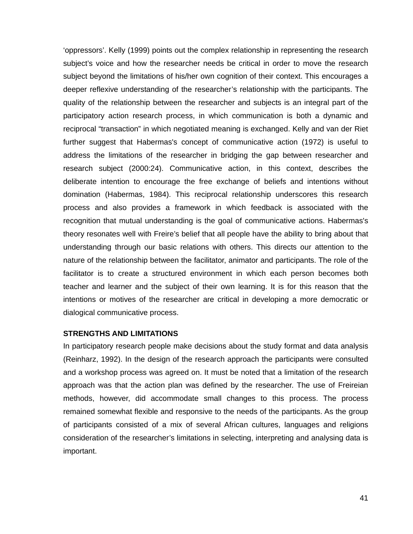'oppressors'. Kelly (1999) points out the complex relationship in representing the research subject's voice and how the researcher needs be critical in order to move the research subject beyond the limitations of his/her own cognition of their context. This encourages a deeper reflexive understanding of the researcher's relationship with the participants. The quality of the relationship between the researcher and subjects is an integral part of the participatory action research process, in which communication is both a dynamic and reciprocal "transaction" in which negotiated meaning is exchanged. Kelly and van der Riet further suggest that Habermas's concept of communicative action (1972) is useful to address the limitations of the researcher in bridging the gap between researcher and research subject (2000:24). Communicative action, in this context, describes the deliberate intention to encourage the free exchange of beliefs and intentions without domination (Habermas, 1984). This reciprocal relationship underscores this research process and also provides a framework in which feedback is associated with the recognition that mutual understanding is the goal of communicative actions. Habermas's theory resonates well with Freire's belief that all people have the ability to bring about that understanding through our basic relations with others. This directs our attention to the nature of the relationship between the facilitator, animator and participants. The role of the facilitator is to create a structured environment in which each person becomes both teacher and learner and the subject of their own learning. It is for this reason that the intentions or motives of the researcher are critical in developing a more democratic or dialogical communicative process.

## **STRENGTHS AND LIMITATIONS**

In participatory research people make decisions about the study format and data analysis (Reinharz, 1992). In the design of the research approach the participants were consulted and a workshop process was agreed on. It must be noted that a limitation of the research approach was that the action plan was defined by the researcher. The use of Freireian methods, however, did accommodate small changes to this process. The process remained somewhat flexible and responsive to the needs of the participants. As the group of participants consisted of a mix of several African cultures, languages and religions consideration of the researcher's limitations in selecting, interpreting and analysing data is important.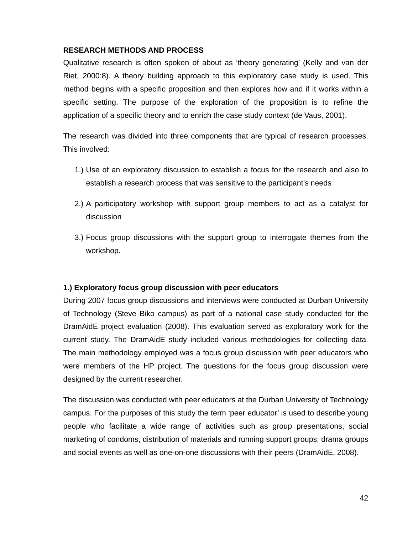## **RESEARCH METHODS AND PROCESS**

Qualitative research is often spoken of about as 'theory generating' (Kelly and van der Riet, 2000:8). A theory building approach to this exploratory case study is used. This method begins with a specific proposition and then explores how and if it works within a specific setting. The purpose of the exploration of the proposition is to refine the application of a specific theory and to enrich the case study context (de Vaus, 2001).

The research was divided into three components that are typical of research processes. This involved:

- 1.) Use of an exploratory discussion to establish a focus for the research and also to establish a research process that was sensitive to the participant's needs
- 2.) A participatory workshop with support group members to act as a catalyst for discussion
- 3.) Focus group discussions with the support group to interrogate themes from the workshop.

## **1.) Exploratory focus group discussion with peer educators**

During 2007 focus group discussions and interviews were conducted at Durban University of Technology (Steve Biko campus) as part of a national case study conducted for the DramAidE project evaluation (2008). This evaluation served as exploratory work for the current study. The DramAidE study included various methodologies for collecting data. The main methodology employed was a focus group discussion with peer educators who were members of the HP project. The questions for the focus group discussion were designed by the current researcher.

The discussion was conducted with peer educators at the Durban University of Technology campus. For the purposes of this study the term 'peer educator' is used to describe young people who facilitate a wide range of activities such as group presentations, social marketing of condoms, distribution of materials and running support groups, drama groups and social events as well as one-on-one discussions with their peers (DramAidE, 2008).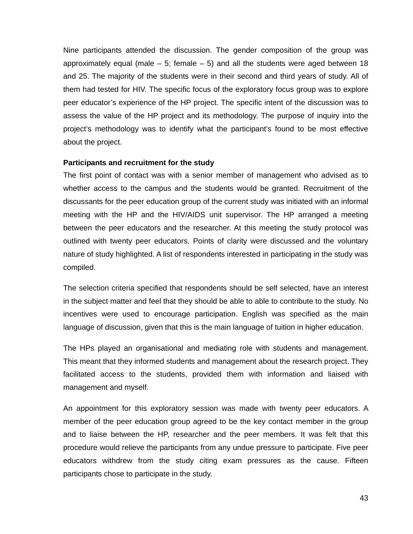Nine participants attended the discussion. The gender composition of the group was approximately equal (male  $-5$ ; female  $-5$ ) and all the students were aged between 18 and 25. The majority of the students were in their second and third years of study. All of them had tested for HIV. The specific focus of the exploratory focus group was to explore peer educator's experience of the HP project. The specific intent of the discussion was to assess the value of the HP project and its methodology. The purpose of inquiry into the project's methodology was to identify what the participant's found to be most effective about the project.

### **Participants and recruitment for the study**

The first point of contact was with a senior member of management who advised as to whether access to the campus and the students would be granted. Recruitment of the discussants for the peer education group of the current study was initiated with an informal meeting with the HP and the HIV/AIDS unit supervisor. The HP arranged a meeting between the peer educators and the researcher. At this meeting the study protocol was outlined with twenty peer educators. Points of clarity were discussed and the voluntary nature of study highlighted. A list of respondents interested in participating in the study was compiled.

The selection criteria specified that respondents should be self selected, have an interest in the subject matter and feel that they should be able to able to contribute to the study. No incentives were used to encourage participation. English was specified as the main language of discussion, given that this is the main language of tuition in higher education.

The HPs played an organisational and mediating role with students and management. This meant that they informed students and management about the research project. They facilitated access to the students, provided them with information and liaised with management and myself.

An appointment for this exploratory session was made with twenty peer educators. A member of the peer education group agreed to be the key contact member in the group and to liaise between the HP, researcher and the peer members. It was felt that this procedure would relieve the participants from any undue pressure to participate. Five peer educators withdrew from the study citing exam pressures as the cause. Fifteen participants chose to participate in the study.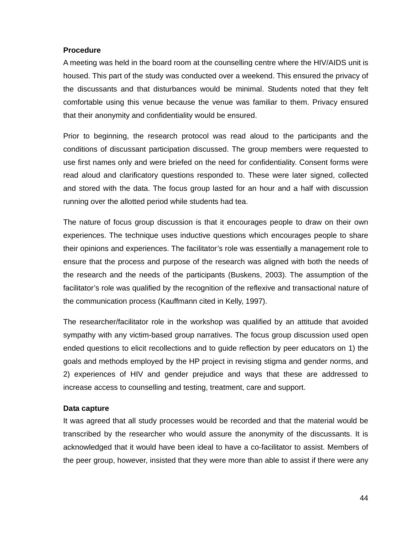### **Procedure**

A meeting was held in the board room at the counselling centre where the HIV/AIDS unit is housed. This part of the study was conducted over a weekend. This ensured the privacy of the discussants and that disturbances would be minimal. Students noted that they felt comfortable using this venue because the venue was familiar to them. Privacy ensured that their anonymity and confidentiality would be ensured.

Prior to beginning, the research protocol was read aloud to the participants and the conditions of discussant participation discussed. The group members were requested to use first names only and were briefed on the need for confidentiality. Consent forms were read aloud and clarificatory questions responded to. These were later signed, collected and stored with the data. The focus group lasted for an hour and a half with discussion running over the allotted period while students had tea.

The nature of focus group discussion is that it encourages people to draw on their own experiences. The technique uses inductive questions which encourages people to share their opinions and experiences. The facilitator's role was essentially a management role to ensure that the process and purpose of the research was aligned with both the needs of the research and the needs of the participants (Buskens, 2003). The assumption of the facilitator's role was qualified by the recognition of the reflexive and transactional nature of the communication process (Kauffmann cited in Kelly, 1997).

The researcher/facilitator role in the workshop was qualified by an attitude that avoided sympathy with any victim-based group narratives. The focus group discussion used open ended questions to elicit recollections and to guide reflection by peer educators on 1) the goals and methods employed by the HP project in revising stigma and gender norms, and 2) experiences of HIV and gender prejudice and ways that these are addressed to increase access to counselling and testing, treatment, care and support.

## **Data capture**

It was agreed that all study processes would be recorded and that the material would be transcribed by the researcher who would assure the anonymity of the discussants. It is acknowledged that it would have been ideal to have a co-facilitator to assist. Members of the peer group, however, insisted that they were more than able to assist if there were any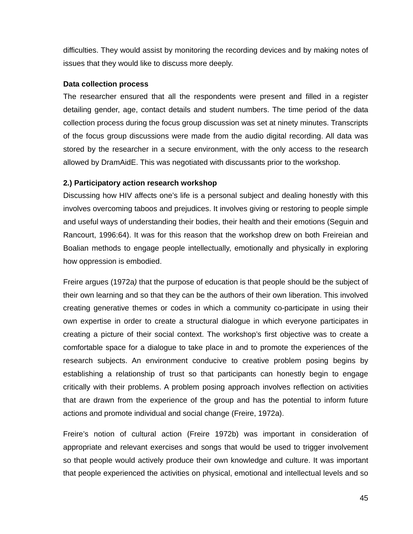difficulties. They would assist by monitoring the recording devices and by making notes of issues that they would like to discuss more deeply.

### **Data collection process**

The researcher ensured that all the respondents were present and filled in a register detailing gender, age, contact details and student numbers. The time period of the data collection process during the focus group discussion was set at ninety minutes. Transcripts of the focus group discussions were made from the audio digital recording. All data was stored by the researcher in a secure environment, with the only access to the research allowed by DramAidE. This was negotiated with discussants prior to the workshop.

## **2.) Participatory action research workshop**

Discussing how HIV affects one's life is a personal subject and dealing honestly with this involves overcoming taboos and prejudices. It involves giving or restoring to people simple and useful ways of understanding their bodies, their health and their emotions (Seguin and Rancourt, 1996:64). It was for this reason that the workshop drew on both Freireian and Boalian methods to engage people intellectually, emotionally and physically in exploring how oppression is embodied.

Freire argues (1972a*)* that the purpose of education is that people should be the subject of their own learning and so that they can be the authors of their own liberation. This involved creating generative themes or codes in which a community co-participate in using their own expertise in order to create a structural dialogue in which everyone participates in creating a picture of their social context. The workshop's first objective was to create a comfortable space for a dialogue to take place in and to promote the experiences of the research subjects. An environment conducive to creative problem posing begins by establishing a relationship of trust so that participants can honestly begin to engage critically with their problems. A problem posing approach involves reflection on activities that are drawn from the experience of the group and has the potential to inform future actions and promote individual and social change (Freire, 1972a).

Freire's notion of cultural action (Freire 1972b) was important in consideration of appropriate and relevant exercises and songs that would be used to trigger involvement so that people would actively produce their own knowledge and culture. It was important that people experienced the activities on physical, emotional and intellectual levels and so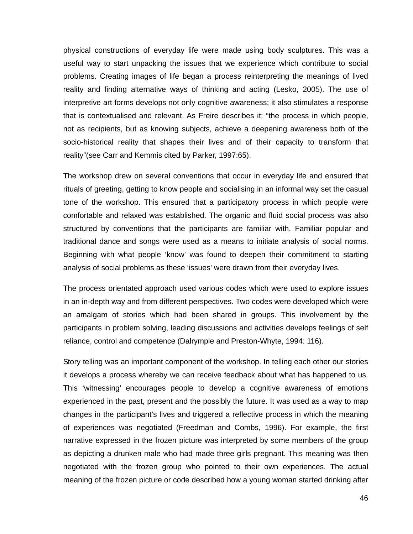physical constructions of everyday life were made using body sculptures. This was a useful way to start unpacking the issues that we experience which contribute to social problems. Creating images of life began a process reinterpreting the meanings of lived reality and finding alternative ways of thinking and acting (Lesko, 2005). The use of interpretive art forms develops not only cognitive awareness; it also stimulates a response that is contextualised and relevant. As Freire describes it: "the process in which people, not as recipients, but as knowing subjects, achieve a deepening awareness both of the socio-historical reality that shapes their lives and of their capacity to transform that reality"(see Carr and Kemmis cited by Parker, 1997:65).

The workshop drew on several conventions that occur in everyday life and ensured that rituals of greeting, getting to know people and socialising in an informal way set the casual tone of the workshop. This ensured that a participatory process in which people were comfortable and relaxed was established. The organic and fluid social process was also structured by conventions that the participants are familiar with. Familiar popular and traditional dance and songs were used as a means to initiate analysis of social norms. Beginning with what people 'know' was found to deepen their commitment to starting analysis of social problems as these 'issues' were drawn from their everyday lives.

The process orientated approach used various codes which were used to explore issues in an in-depth way and from different perspectives. Two codes were developed which were an amalgam of stories which had been shared in groups. This involvement by the participants in problem solving, leading discussions and activities develops feelings of self reliance, control and competence (Dalrymple and Preston-Whyte, 1994: 116).

Story telling was an important component of the workshop. In telling each other our stories it develops a process whereby we can receive feedback about what has happened to us. This 'witnessing' encourages people to develop a cognitive awareness of emotions experienced in the past, present and the possibly the future. It was used as a way to map changes in the participant's lives and triggered a reflective process in which the meaning of experiences was negotiated (Freedman and Combs, 1996). For example, the first narrative expressed in the frozen picture was interpreted by some members of the group as depicting a drunken male who had made three girls pregnant. This meaning was then negotiated with the frozen group who pointed to their own experiences. The actual meaning of the frozen picture or code described how a young woman started drinking after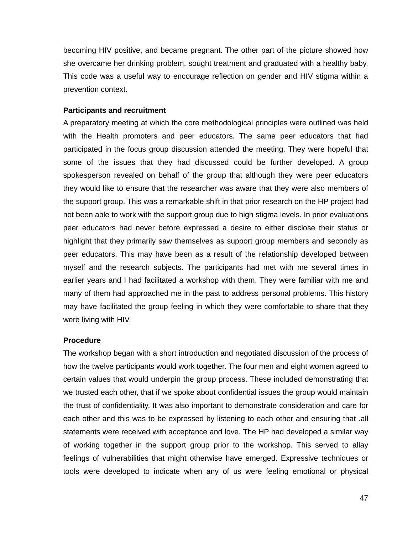becoming HIV positive, and became pregnant. The other part of the picture showed how she overcame her drinking problem, sought treatment and graduated with a healthy baby. This code was a useful way to encourage reflection on gender and HIV stigma within a prevention context.

### **Participants and recruitment**

A preparatory meeting at which the core methodological principles were outlined was held with the Health promoters and peer educators. The same peer educators that had participated in the focus group discussion attended the meeting. They were hopeful that some of the issues that they had discussed could be further developed. A group spokesperson revealed on behalf of the group that although they were peer educators they would like to ensure that the researcher was aware that they were also members of the support group. This was a remarkable shift in that prior research on the HP project had not been able to work with the support group due to high stigma levels. In prior evaluations peer educators had never before expressed a desire to either disclose their status or highlight that they primarily saw themselves as support group members and secondly as peer educators. This may have been as a result of the relationship developed between myself and the research subjects. The participants had met with me several times in earlier years and I had facilitated a workshop with them. They were familiar with me and many of them had approached me in the past to address personal problems. This history may have facilitated the group feeling in which they were comfortable to share that they were living with HIV.

#### **Procedure**

The workshop began with a short introduction and negotiated discussion of the process of how the twelve participants would work together. The four men and eight women agreed to certain values that would underpin the group process. These included demonstrating that we trusted each other, that if we spoke about confidential issues the group would maintain the trust of confidentiality. It was also important to demonstrate consideration and care for each other and this was to be expressed by listening to each other and ensuring that .all statements were received with acceptance and love. The HP had developed a similar way of working together in the support group prior to the workshop. This served to allay feelings of vulnerabilities that might otherwise have emerged. Expressive techniques or tools were developed to indicate when any of us were feeling emotional or physical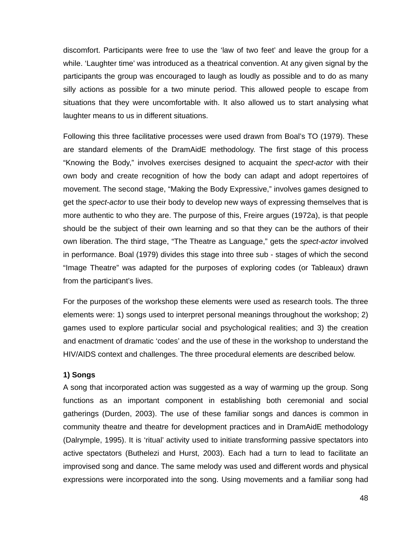discomfort. Participants were free to use the 'law of two feet' and leave the group for a while. 'Laughter time' was introduced as a theatrical convention. At any given signal by the participants the group was encouraged to laugh as loudly as possible and to do as many silly actions as possible for a two minute period. This allowed people to escape from situations that they were uncomfortable with. It also allowed us to start analysing what laughter means to us in different situations.

Following this three facilitative processes were used drawn from Boal's TO (1979). These are standard elements of the DramAidE methodology. The first stage of this process "Knowing the Body," involves exercises designed to acquaint the *spect-actor* with their own body and create recognition of how the body can adapt and adopt repertoires of movement. The second stage, "Making the Body Expressive," involves games designed to get the *spect-actor* to use their body to develop new ways of expressing themselves that is more authentic to who they are. The purpose of this, Freire argues (1972a), is that people should be the subject of their own learning and so that they can be the authors of their own liberation. The third stage, "The Theatre as Language," gets the *spect-actor* involved in performance. Boal (1979) divides this stage into three sub - stages of which the second "Image Theatre" was adapted for the purposes of exploring codes (or Tableaux) drawn from the participant's lives.

For the purposes of the workshop these elements were used as research tools. The three elements were: 1) songs used to interpret personal meanings throughout the workshop; 2) games used to explore particular social and psychological realities; and 3) the creation and enactment of dramatic 'codes' and the use of these in the workshop to understand the HIV/AIDS context and challenges. The three procedural elements are described below.

### **1) Songs**

A song that incorporated action was suggested as a way of warming up the group. Song functions as an important component in establishing both ceremonial and social gatherings (Durden, 2003). The use of these familiar songs and dances is common in community theatre and theatre for development practices and in DramAidE methodology (Dalrymple, 1995). It is 'ritual' activity used to initiate transforming passive spectators into active spectators (Buthelezi and Hurst, 2003). Each had a turn to lead to facilitate an improvised song and dance. The same melody was used and different words and physical expressions were incorporated into the song. Using movements and a familiar song had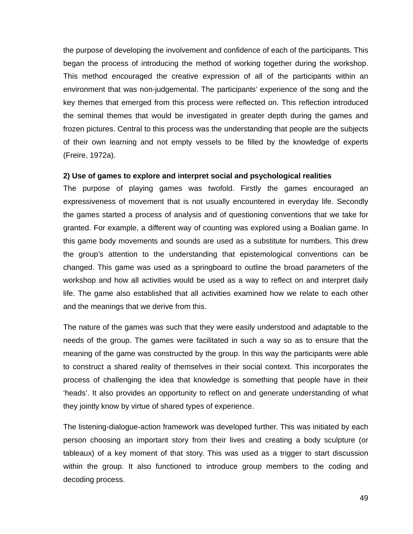the purpose of developing the involvement and confidence of each of the participants. This began the process of introducing the method of working together during the workshop. This method encouraged the creative expression of all of the participants within an environment that was non-judgemental. The participants' experience of the song and the key themes that emerged from this process were reflected on. This reflection introduced the seminal themes that would be investigated in greater depth during the games and frozen pictures. Central to this process was the understanding that people are the subjects of their own learning and not empty vessels to be filled by the knowledge of experts (Freire, 1972a).

#### **2) Use of games to explore and interpret social and psychological realities**

The purpose of playing games was twofold. Firstly the games encouraged an expressiveness of movement that is not usually encountered in everyday life. Secondly the games started a process of analysis and of questioning conventions that we take for granted. For example, a different way of counting was explored using a Boalian game. In this game body movements and sounds are used as a substitute for numbers. This drew the group's attention to the understanding that epistemological conventions can be changed. This game was used as a springboard to outline the broad parameters of the workshop and how all activities would be used as a way to reflect on and interpret daily life. The game also established that all activities examined how we relate to each other and the meanings that we derive from this.

The nature of the games was such that they were easily understood and adaptable to the needs of the group. The games were facilitated in such a way so as to ensure that the meaning of the game was constructed by the group. In this way the participants were able to construct a shared reality of themselves in their social context. This incorporates the process of challenging the idea that knowledge is something that people have in their 'heads'. It also provides an opportunity to reflect on and generate understanding of what they jointly know by virtue of shared types of experience.

The listening-dialogue-action framework was developed further. This was initiated by each person choosing an important story from their lives and creating a body sculpture (or tableaux) of a key moment of that story. This was used as a trigger to start discussion within the group. It also functioned to introduce group members to the coding and decoding process.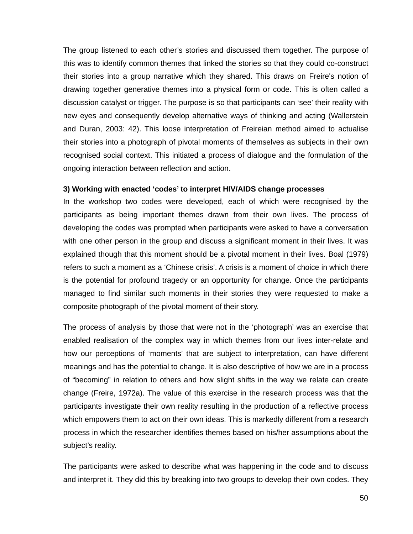The group listened to each other's stories and discussed them together. The purpose of this was to identify common themes that linked the stories so that they could co-construct their stories into a group narrative which they shared. This draws on Freire's notion of drawing together generative themes into a physical form or code. This is often called a discussion catalyst or trigger. The purpose is so that participants can 'see' their reality with new eyes and consequently develop alternative ways of thinking and acting (Wallerstein and Duran, 2003: 42). This loose interpretation of Freireian method aimed to actualise their stories into a photograph of pivotal moments of themselves as subjects in their own recognised social context. This initiated a process of dialogue and the formulation of the ongoing interaction between reflection and action.

### **3) Working with enacted 'codes' to interpret HIV/AIDS change processes**

In the workshop two codes were developed, each of which were recognised by the participants as being important themes drawn from their own lives. The process of developing the codes was prompted when participants were asked to have a conversation with one other person in the group and discuss a significant moment in their lives. It was explained though that this moment should be a pivotal moment in their lives. Boal (1979) refers to such a moment as a 'Chinese crisis'. A crisis is a moment of choice in which there is the potential for profound tragedy or an opportunity for change. Once the participants managed to find similar such moments in their stories they were requested to make a composite photograph of the pivotal moment of their story.

The process of analysis by those that were not in the 'photograph' was an exercise that enabled realisation of the complex way in which themes from our lives inter-relate and how our perceptions of 'moments' that are subject to interpretation, can have different meanings and has the potential to change. It is also descriptive of how we are in a process of "becoming" in relation to others and how slight shifts in the way we relate can create change (Freire, 1972a). The value of this exercise in the research process was that the participants investigate their own reality resulting in the production of a reflective process which empowers them to act on their own ideas. This is markedly different from a research process in which the researcher identifies themes based on his/her assumptions about the subject's reality.

The participants were asked to describe what was happening in the code and to discuss and interpret it. They did this by breaking into two groups to develop their own codes. They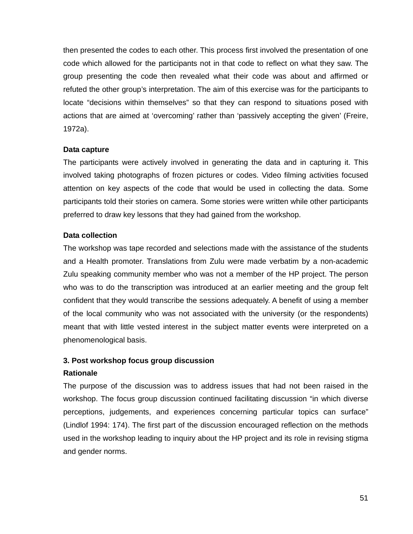then presented the codes to each other. This process first involved the presentation of one code which allowed for the participants not in that code to reflect on what they saw. The group presenting the code then revealed what their code was about and affirmed or refuted the other group's interpretation. The aim of this exercise was for the participants to locate "decisions within themselves" so that they can respond to situations posed with actions that are aimed at 'overcoming' rather than 'passively accepting the given' (Freire, 1972a).

### **Data capture**

The participants were actively involved in generating the data and in capturing it. This involved taking photographs of frozen pictures or codes. Video filming activities focused attention on key aspects of the code that would be used in collecting the data. Some participants told their stories on camera. Some stories were written while other participants preferred to draw key lessons that they had gained from the workshop.

## **Data collection**

The workshop was tape recorded and selections made with the assistance of the students and a Health promoter. Translations from Zulu were made verbatim by a non-academic Zulu speaking community member who was not a member of the HP project. The person who was to do the transcription was introduced at an earlier meeting and the group felt confident that they would transcribe the sessions adequately. A benefit of using a member of the local community who was not associated with the university (or the respondents) meant that with little vested interest in the subject matter events were interpreted on a phenomenological basis.

## **3. Post workshop focus group discussion**

#### **Rationale**

The purpose of the discussion was to address issues that had not been raised in the workshop. The focus group discussion continued facilitating discussion "in which diverse perceptions, judgements, and experiences concerning particular topics can surface" (Lindlof 1994: 174). The first part of the discussion encouraged reflection on the methods used in the workshop leading to inquiry about the HP project and its role in revising stigma and gender norms.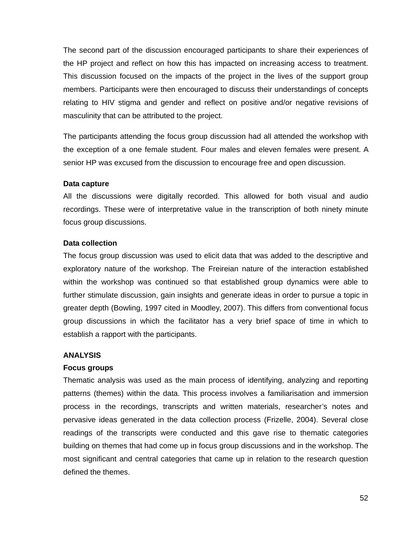The second part of the discussion encouraged participants to share their experiences of the HP project and reflect on how this has impacted on increasing access to treatment. This discussion focused on the impacts of the project in the lives of the support group members. Participants were then encouraged to discuss their understandings of concepts relating to HIV stigma and gender and reflect on positive and/or negative revisions of masculinity that can be attributed to the project.

The participants attending the focus group discussion had all attended the workshop with the exception of a one female student. Four males and eleven females were present. A senior HP was excused from the discussion to encourage free and open discussion.

#### **Data capture**

All the discussions were digitally recorded. This allowed for both visual and audio recordings. These were of interpretative value in the transcription of both ninety minute focus group discussions.

### **Data collection**

The focus group discussion was used to elicit data that was added to the descriptive and exploratory nature of the workshop. The Freireian nature of the interaction established within the workshop was continued so that established group dynamics were able to further stimulate discussion, gain insights and generate ideas in order to pursue a topic in greater depth (Bowling, 1997 cited in Moodley, 2007). This differs from conventional focus group discussions in which the facilitator has a very brief space of time in which to establish a rapport with the participants.

#### **ANALYSIS**

## **Focus groups**

Thematic analysis was used as the main process of identifying, analyzing and reporting patterns (themes) within the data. This process involves a familiarisation and immersion process in the recordings, transcripts and written materials, researcher's notes and pervasive ideas generated in the data collection process (Frizelle, 2004). Several close readings of the transcripts were conducted and this gave rise to thematic categories building on themes that had come up in focus group discussions and in the workshop. The most significant and central categories that came up in relation to the research question defined the themes.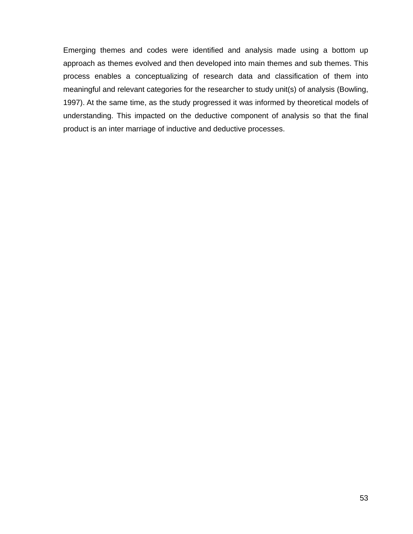Emerging themes and codes were identified and analysis made using a bottom up approach as themes evolved and then developed into main themes and sub themes. This process enables a conceptualizing of research data and classification of them into meaningful and relevant categories for the researcher to study unit(s) of analysis (Bowling, 1997). At the same time, as the study progressed it was informed by theoretical models of understanding. This impacted on the deductive component of analysis so that the final product is an inter marriage of inductive and deductive processes.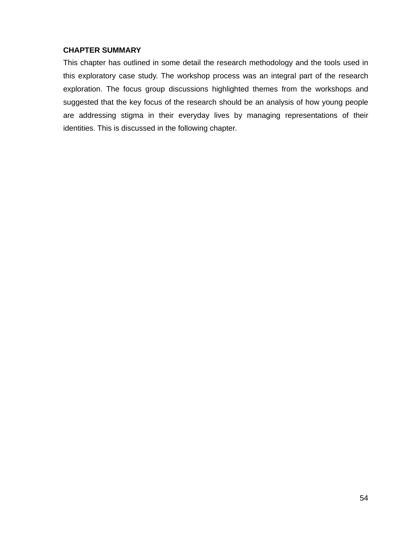## **CHAPTER SUMMARY**

This chapter has outlined in some detail the research methodology and the tools used in this exploratory case study. The workshop process was an integral part of the research exploration. The focus group discussions highlighted themes from the workshops and suggested that the key focus of the research should be an analysis of how young people are addressing stigma in their everyday lives by managing representations of their identities. This is discussed in the following chapter.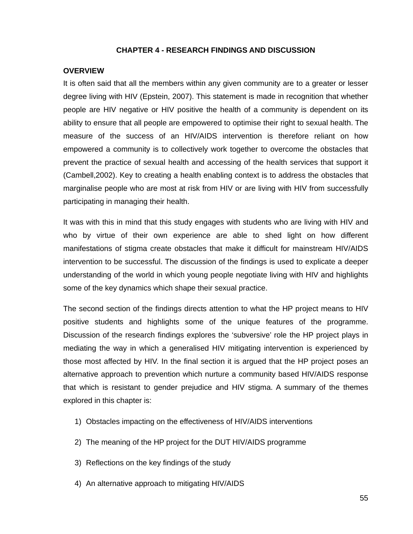### **CHAPTER 4 - RESEARCH FINDINGS AND DISCUSSION**

### **OVERVIEW**

It is often said that all the members within any given community are to a greater or lesser degree living with HIV (Epstein, 2007). This statement is made in recognition that whether people are HIV negative or HIV positive the health of a community is dependent on its ability to ensure that all people are empowered to optimise their right to sexual health. The measure of the success of an HIV/AIDS intervention is therefore reliant on how empowered a community is to collectively work together to overcome the obstacles that prevent the practice of sexual health and accessing of the health services that support it (Cambell,2002). Key to creating a health enabling context is to address the obstacles that marginalise people who are most at risk from HIV or are living with HIV from successfully participating in managing their health.

It was with this in mind that this study engages with students who are living with HIV and who by virtue of their own experience are able to shed light on how different manifestations of stigma create obstacles that make it difficult for mainstream HIV/AIDS intervention to be successful. The discussion of the findings is used to explicate a deeper understanding of the world in which young people negotiate living with HIV and highlights some of the key dynamics which shape their sexual practice.

The second section of the findings directs attention to what the HP project means to HIV positive students and highlights some of the unique features of the programme. Discussion of the research findings explores the 'subversive' role the HP project plays in mediating the way in which a generalised HIV mitigating intervention is experienced by those most affected by HIV. In the final section it is argued that the HP project poses an alternative approach to prevention which nurture a community based HIV/AIDS response that which is resistant to gender prejudice and HIV stigma. A summary of the themes explored in this chapter is:

- 1) Obstacles impacting on the effectiveness of HIV/AIDS interventions
- 2) The meaning of the HP project for the DUT HIV/AIDS programme
- 3) Reflections on the key findings of the study
- 4) An alternative approach to mitigating HIV/AIDS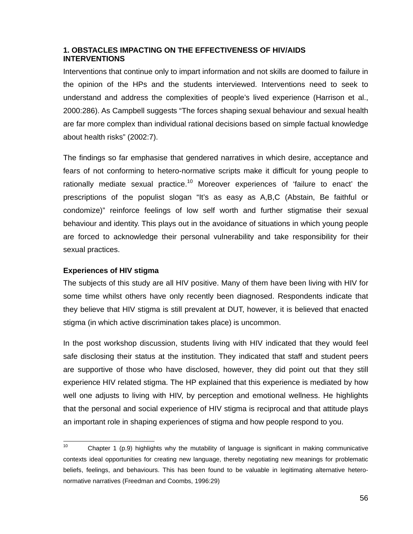# **1. OBSTACLES IMPACTING ON THE EFFECTIVENESS OF HIV/AIDS INTERVENTIONS**

Interventions that continue only to impart information and not skills are doomed to failure in the opinion of the HPs and the students interviewed. Interventions need to seek to understand and address the complexities of people's lived experience (Harrison et al., 2000:286). As Campbell suggests "The forces shaping sexual behaviour and sexual health are far more complex than individual rational decisions based on simple factual knowledge about health risks" (2002:7).

The findings so far emphasise that gendered narratives in which desire, acceptance and fears of not conforming to hetero-normative scripts make it difficult for young people to rationally mediate sexual practice.<sup>10</sup> Moreover experiences of 'failure to enact' the prescriptions of the populist slogan "It's as easy as A,B,C (Abstain, Be faithful or condomize)" reinforce feelings of low self worth and further stigmatise their sexual behaviour and identity. This plays out in the avoidance of situations in which young people are forced to acknowledge their personal vulnerability and take responsibility for their sexual practices.

## **Experiences of HIV stigma**

The subjects of this study are all HIV positive. Many of them have been living with HIV for some time whilst others have only recently been diagnosed. Respondents indicate that they believe that HIV stigma is still prevalent at DUT, however, it is believed that enacted stigma (in which active discrimination takes place) is uncommon.

In the post workshop discussion, students living with HIV indicated that they would feel safe disclosing their status at the institution. They indicated that staff and student peers are supportive of those who have disclosed, however, they did point out that they still experience HIV related stigma. The HP explained that this experience is mediated by how well one adjusts to living with HIV, by perception and emotional wellness. He highlights that the personal and social experience of HIV stigma is reciprocal and that attitude plays an important role in shaping experiences of stigma and how people respond to you.

 $10<sub>1</sub>$ Chapter 1 (p.9) highlights why the mutability of language is significant in making communicative contexts ideal opportunities for creating new language, thereby negotiating new meanings for problematic beliefs, feelings, and behaviours. This has been found to be valuable in legitimating alternative heteronormative narratives (Freedman and Coombs, 1996:29)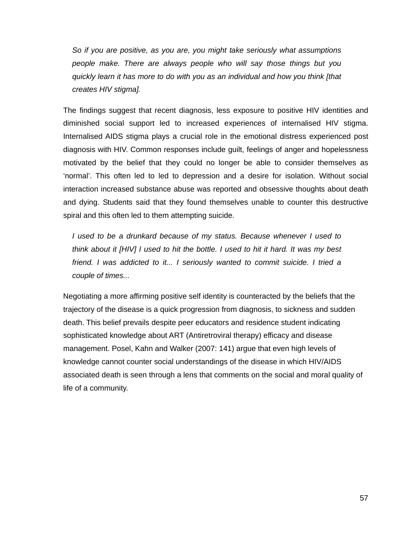*So if you are positive, as you are, you might take seriously what assumptions people make. There are always people who will say those things but you quickly learn it has more to do with you as an individual and how you think [that creates HIV stigma].* 

The findings suggest that recent diagnosis, less exposure to positive HIV identities and diminished social support led to increased experiences of internalised HIV stigma. Internalised AIDS stigma plays a crucial role in the emotional distress experienced post diagnosis with HIV. Common responses include guilt, feelings of anger and hopelessness motivated by the belief that they could no longer be able to consider themselves as 'normal'. This often led to led to depression and a desire for isolation. Without social interaction increased substance abuse was reported and obsessive thoughts about death and dying. Students said that they found themselves unable to counter this destructive spiral and this often led to them attempting suicide.

*I used to be a drunkard because of my status. Because whenever I used to think about it [HIV] I used to hit the bottle. I used to hit it hard. It was my best friend. I was addicted to it... I seriously wanted to commit suicide. I tried a couple of times...* 

Negotiating a more affirming positive self identity is counteracted by the beliefs that the trajectory of the disease is a quick progression from diagnosis, to sickness and sudden death. This belief prevails despite peer educators and residence student indicating sophisticated knowledge about ART (Antiretroviral therapy) efficacy and disease management. Posel, Kahn and Walker (2007: 141) argue that even high levels of knowledge cannot counter social understandings of the disease in which HIV/AIDS associated death is seen through a lens that comments on the social and moral quality of life of a community.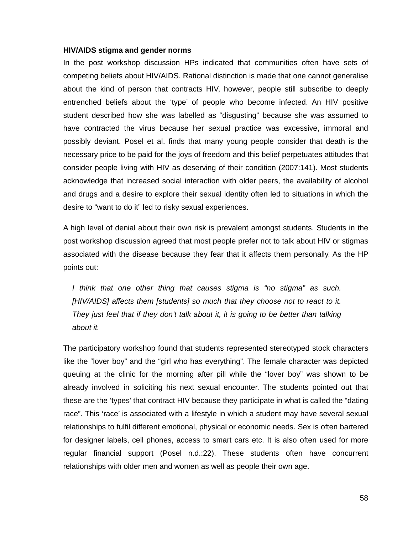#### **HIV/AIDS stigma and gender norms**

In the post workshop discussion HPs indicated that communities often have sets of competing beliefs about HIV/AIDS. Rational distinction is made that one cannot generalise about the kind of person that contracts HIV, however, people still subscribe to deeply entrenched beliefs about the 'type' of people who become infected. An HIV positive student described how she was labelled as "disgusting" because she was assumed to have contracted the virus because her sexual practice was excessive, immoral and possibly deviant. Posel et al. finds that many young people consider that death is the necessary price to be paid for the joys of freedom and this belief perpetuates attitudes that consider people living with HIV as deserving of their condition (2007:141). Most students acknowledge that increased social interaction with older peers, the availability of alcohol and drugs and a desire to explore their sexual identity often led to situations in which the desire to "want to do it" led to risky sexual experiences.

A high level of denial about their own risk is prevalent amongst students. Students in the post workshop discussion agreed that most people prefer not to talk about HIV or stigmas associated with the disease because they fear that it affects them personally. As the HP points out:

*I think that one other thing that causes stigma is "no stigma" as such. [HIV/AIDS] affects them [students] so much that they choose not to react to it. They just feel that if they don't talk about it, it is going to be better than talking about it.* 

The participatory workshop found that students represented stereotyped stock characters like the "lover boy" and the "girl who has everything". The female character was depicted queuing at the clinic for the morning after pill while the "lover boy" was shown to be already involved in soliciting his next sexual encounter. The students pointed out that these are the 'types' that contract HIV because they participate in what is called the "dating race". This 'race' is associated with a lifestyle in which a student may have several sexual relationships to fulfil different emotional, physical or economic needs. Sex is often bartered for designer labels, cell phones, access to smart cars etc. It is also often used for more regular financial support (Posel n.d.:22). These students often have concurrent relationships with older men and women as well as people their own age.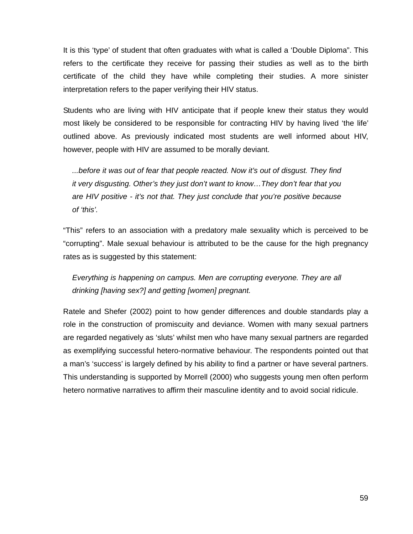It is this 'type' of student that often graduates with what is called a 'Double Diploma". This refers to the certificate they receive for passing their studies as well as to the birth certificate of the child they have while completing their studies. A more sinister interpretation refers to the paper verifying their HIV status.

Students who are living with HIV anticipate that if people knew their status they would most likely be considered to be responsible for contracting HIV by having lived 'the life' outlined above. As previously indicated most students are well informed about HIV, however, people with HIV are assumed to be morally deviant.

*...before it was out of fear that people reacted. Now it's out of disgust. They find it very disgusting. Other's they just don't want to know…They don't fear that you are HIV positive - it's not that. They just conclude that you're positive because of 'this'.* 

"This" refers to an association with a predatory male sexuality which is perceived to be "corrupting". Male sexual behaviour is attributed to be the cause for the high pregnancy rates as is suggested by this statement:

*Everything is happening on campus. Men are corrupting everyone. They are all drinking [having sex?] and getting [women] pregnant.* 

Ratele and Shefer (2002) point to how gender differences and double standards play a role in the construction of promiscuity and deviance. Women with many sexual partners are regarded negatively as 'sluts' whilst men who have many sexual partners are regarded as exemplifying successful hetero-normative behaviour. The respondents pointed out that a man's 'success' is largely defined by his ability to find a partner or have several partners. This understanding is supported by Morrell (2000) who suggests young men often perform hetero normative narratives to affirm their masculine identity and to avoid social ridicule.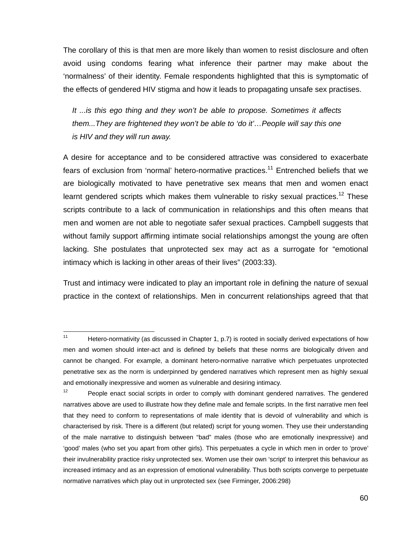The corollary of this is that men are more likely than women to resist disclosure and often avoid using condoms fearing what inference their partner may make about the 'normalness' of their identity. Female respondents highlighted that this is symptomatic of the effects of gendered HIV stigma and how it leads to propagating unsafe sex practises.

*It ...is this ego thing and they won't be able to propose. Sometimes it affects them...They are frightened they won't be able to 'do it'…People will say this one is HIV and they will run away.* 

A desire for acceptance and to be considered attractive was considered to exacerbate fears of exclusion from 'normal' hetero-normative practices.<sup>11</sup> Entrenched beliefs that we are biologically motivated to have penetrative sex means that men and women enact learnt gendered scripts which makes them vulnerable to risky sexual practices.<sup>12</sup> These scripts contribute to a lack of communication in relationships and this often means that men and women are not able to negotiate safer sexual practices. Campbell suggests that without family support affirming intimate social relationships amongst the young are often lacking. She postulates that unprotected sex may act as a surrogate for "emotional intimacy which is lacking in other areas of their lives" (2003:33).

Trust and intimacy were indicated to play an important role in defining the nature of sexual practice in the context of relationships. Men in concurrent relationships agreed that that

 $11$ Hetero-normativity (as discussed in Chapter 1, p.7) is rooted in socially derived expectations of how men and women should inter-act and is defined by beliefs that these norms are biologically driven and cannot be changed. For example, a dominant hetero-normative narrative which perpetuates unprotected penetrative sex as the norm is underpinned by gendered narratives which represent men as highly sexual and emotionally inexpressive and women as vulnerable and desiring intimacy.

 $12$  People enact social scripts in order to comply with dominant gendered narratives. The gendered narratives above are used to illustrate how they define male and female scripts. In the first narrative men feel that they need to conform to representations of male identity that is devoid of vulnerability and which is characterised by risk. There is a different (but related) script for young women. They use their understanding of the male narrative to distinguish between "bad" males (those who are emotionally inexpressive) and 'good' males (who set you apart from other girls). This perpetuates a cycle in which men in order to 'prove' their invulnerability practice risky unprotected sex. Women use their own 'script' to interpret this behaviour as increased intimacy and as an expression of emotional vulnerability. Thus both scripts converge to perpetuate normative narratives which play out in unprotected sex (see Firminger, 2006:298)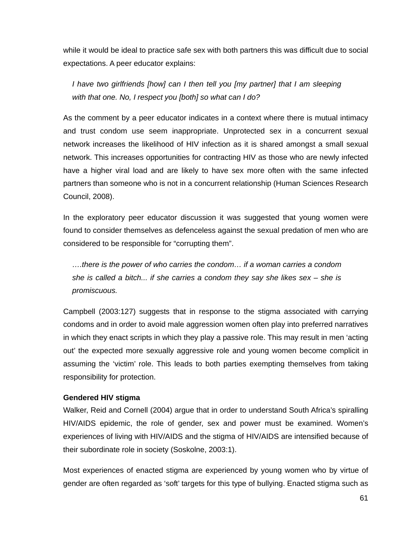while it would be ideal to practice safe sex with both partners this was difficult due to social expectations. A peer educator explains:

*I have two girlfriends [how] can I then tell you [my partner] that I am sleeping with that one. No, I respect you [both] so what can I do?* 

As the comment by a peer educator indicates in a context where there is mutual intimacy and trust condom use seem inappropriate. Unprotected sex in a concurrent sexual network increases the likelihood of HIV infection as it is shared amongst a small sexual network. This increases opportunities for contracting HIV as those who are newly infected have a higher viral load and are likely to have sex more often with the same infected partners than someone who is not in a concurrent relationship (Human Sciences Research Council, 2008).

In the exploratory peer educator discussion it was suggested that young women were found to consider themselves as defenceless against the sexual predation of men who are considered to be responsible for "corrupting them".

*….there is the power of who carries the condom… if a woman carries a condom she is called a bitch... if she carries a condom they say she likes sex – she is promiscuous.* 

Campbell (2003:127) suggests that in response to the stigma associated with carrying condoms and in order to avoid male aggression women often play into preferred narratives in which they enact scripts in which they play a passive role. This may result in men 'acting out' the expected more sexually aggressive role and young women become complicit in assuming the 'victim' role. This leads to both parties exempting themselves from taking responsibility for protection.

## **Gendered HIV stigma**

Walker, Reid and Cornell (2004) argue that in order to understand South Africa's spiralling HIV/AIDS epidemic, the role of gender, sex and power must be examined. Women's experiences of living with HIV/AIDS and the stigma of HIV/AIDS are intensified because of their subordinate role in society (Soskolne, 2003:1).

Most experiences of enacted stigma are experienced by young women who by virtue of gender are often regarded as 'soft' targets for this type of bullying. Enacted stigma such as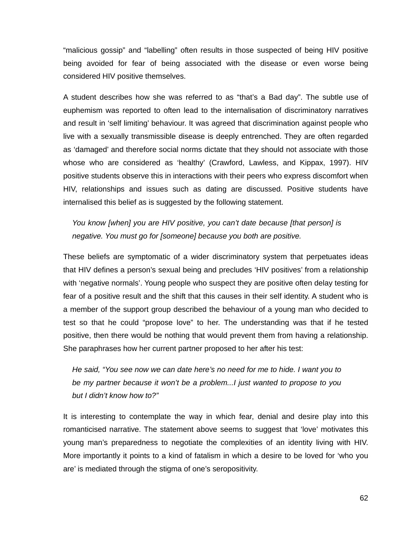"malicious gossip" and "labelling" often results in those suspected of being HIV positive being avoided for fear of being associated with the disease or even worse being considered HIV positive themselves.

A student describes how she was referred to as "that's a Bad day". The subtle use of euphemism was reported to often lead to the internalisation of discriminatory narratives and result in 'self limiting' behaviour. It was agreed that discrimination against people who live with a sexually transmissible disease is deeply entrenched. They are often regarded as 'damaged' and therefore social norms dictate that they should not associate with those whose who are considered as 'healthy' (Crawford, Lawless, and Kippax, 1997). HIV positive students observe this in interactions with their peers who express discomfort when HIV, relationships and issues such as dating are discussed. Positive students have internalised this belief as is suggested by the following statement.

*You know [when] you are HIV positive, you can't date because [that person] is negative. You must go for [someone] because you both are positive.* 

These beliefs are symptomatic of a wider discriminatory system that perpetuates ideas that HIV defines a person's sexual being and precludes 'HIV positives' from a relationship with 'negative normals'. Young people who suspect they are positive often delay testing for fear of a positive result and the shift that this causes in their self identity. A student who is a member of the support group described the behaviour of a young man who decided to test so that he could "propose love" to her. The understanding was that if he tested positive, then there would be nothing that would prevent them from having a relationship. She paraphrases how her current partner proposed to her after his test:

*He said, "You see now we can date here's no need for me to hide. I want you to be my partner because it won't be a problem...I just wanted to propose to you but I didn't know how to?"* 

It is interesting to contemplate the way in which fear, denial and desire play into this romanticised narrative. The statement above seems to suggest that 'love' motivates this young man's preparedness to negotiate the complexities of an identity living with HIV. More importantly it points to a kind of fatalism in which a desire to be loved for 'who you are' is mediated through the stigma of one's seropositivity.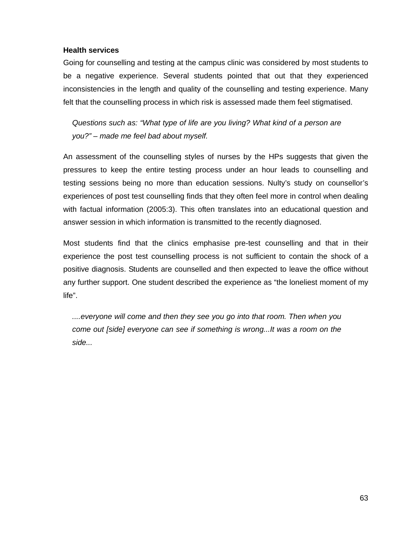### **Health services**

Going for counselling and testing at the campus clinic was considered by most students to be a negative experience. Several students pointed that out that they experienced inconsistencies in the length and quality of the counselling and testing experience. Many felt that the counselling process in which risk is assessed made them feel stigmatised.

*Questions such as: "What type of life are you living? What kind of a person are you?" – made me feel bad about myself.* 

An assessment of the counselling styles of nurses by the HPs suggests that given the pressures to keep the entire testing process under an hour leads to counselling and testing sessions being no more than education sessions. Nulty's study on counsellor's experiences of post test counselling finds that they often feel more in control when dealing with factual information (2005:3). This often translates into an educational question and answer session in which information is transmitted to the recently diagnosed.

Most students find that the clinics emphasise pre-test counselling and that in their experience the post test counselling process is not sufficient to contain the shock of a positive diagnosis. Students are counselled and then expected to leave the office without any further support. One student described the experience as "the loneliest moment of my life".

*....everyone will come and then they see you go into that room. Then when you come out [side] everyone can see if something is wrong...It was a room on the side...*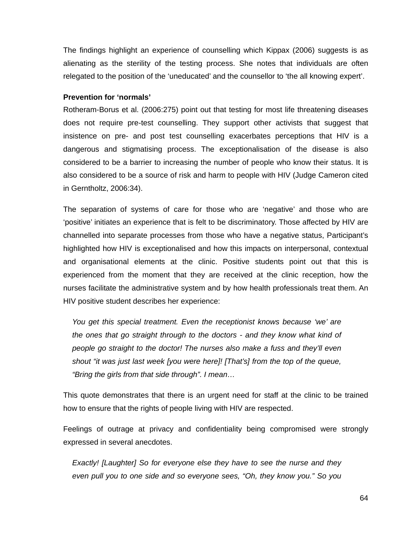The findings highlight an experience of counselling which Kippax (2006) suggests is as alienating as the sterility of the testing process. She notes that individuals are often relegated to the position of the 'uneducated' and the counsellor to 'the all knowing expert'.

### **Prevention for 'normals'**

Rotheram-Borus et al. (2006:275) point out that testing for most life threatening diseases does not require pre-test counselling. They support other activists that suggest that insistence on pre- and post test counselling exacerbates perceptions that HIV is a dangerous and stigmatising process. The exceptionalisation of the disease is also considered to be a barrier to increasing the number of people who know their status. It is also considered to be a source of risk and harm to people with HIV (Judge Cameron cited in Gerntholtz, 2006:34).

The separation of systems of care for those who are 'negative' and those who are 'positive' initiates an experience that is felt to be discriminatory. Those affected by HIV are channelled into separate processes from those who have a negative status, Participant's highlighted how HIV is exceptionalised and how this impacts on interpersonal, contextual and organisational elements at the clinic. Positive students point out that this is experienced from the moment that they are received at the clinic reception, how the nurses facilitate the administrative system and by how health professionals treat them. An HIV positive student describes her experience:

*You get this special treatment. Even the receptionist knows because 'we' are the ones that go straight through to the doctors - and they know what kind of people go straight to the doctor! The nurses also make a fuss and they'll even shout "it was just last week [you were here]! [That's] from the top of the queue, "Bring the girls from that side through". I mean…* 

This quote demonstrates that there is an urgent need for staff at the clinic to be trained how to ensure that the rights of people living with HIV are respected.

Feelings of outrage at privacy and confidentiality being compromised were strongly expressed in several anecdotes.

*Exactly! [Laughter] So for everyone else they have to see the nurse and they even pull you to one side and so everyone sees, "Oh, they know you." So you*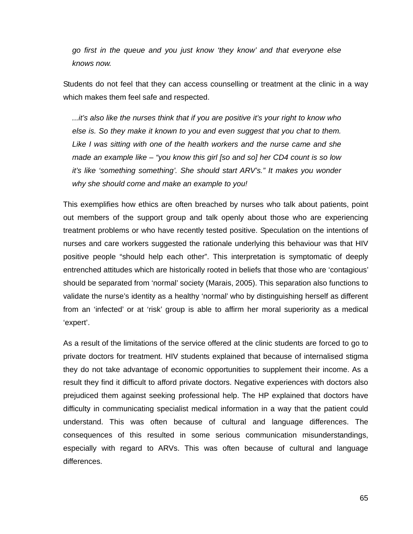*go first in the queue and you just know 'they know' and that everyone else knows now.* 

Students do not feel that they can access counselling or treatment at the clinic in a way which makes them feel safe and respected.

*...it's also like the nurses think that if you are positive it's your right to know who else is. So they make it known to you and even suggest that you chat to them. Like I was sitting with one of the health workers and the nurse came and she made an example like – "you know this girl [so and so] her CD4 count is so low it's like 'something something'. She should start ARV's." It makes you wonder why she should come and make an example to you!* 

This exemplifies how ethics are often breached by nurses who talk about patients, point out members of the support group and talk openly about those who are experiencing treatment problems or who have recently tested positive. Speculation on the intentions of nurses and care workers suggested the rationale underlying this behaviour was that HIV positive people "should help each other". This interpretation is symptomatic of deeply entrenched attitudes which are historically rooted in beliefs that those who are 'contagious' should be separated from 'normal' society (Marais, 2005). This separation also functions to validate the nurse's identity as a healthy 'normal' who by distinguishing herself as different from an 'infected' or at 'risk' group is able to affirm her moral superiority as a medical 'expert'.

As a result of the limitations of the service offered at the clinic students are forced to go to private doctors for treatment. HIV students explained that because of internalised stigma they do not take advantage of economic opportunities to supplement their income. As a result they find it difficult to afford private doctors. Negative experiences with doctors also prejudiced them against seeking professional help. The HP explained that doctors have difficulty in communicating specialist medical information in a way that the patient could understand. This was often because of cultural and language differences. The consequences of this resulted in some serious communication misunderstandings, especially with regard to ARVs. This was often because of cultural and language differences.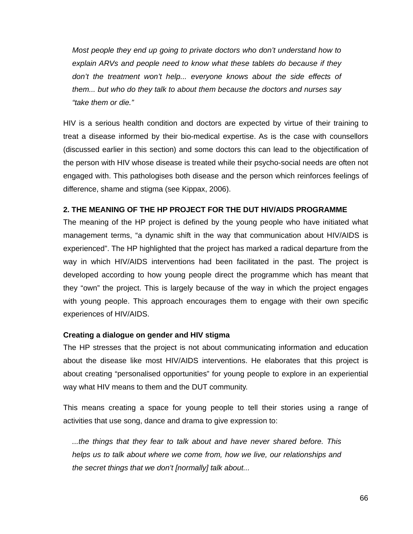*Most people they end up going to private doctors who don't understand how to explain ARVs and people need to know what these tablets do because if they*  don't the treatment won't help... everyone knows about the side effects of *them... but who do they talk to about them because the doctors and nurses say "take them or die."* 

HIV is a serious health condition and doctors are expected by virtue of their training to treat a disease informed by their bio-medical expertise. As is the case with counsellors (discussed earlier in this section) and some doctors this can lead to the objectification of the person with HIV whose disease is treated while their psycho-social needs are often not engaged with. This pathologises both disease and the person which reinforces feelings of difference, shame and stigma (see Kippax, 2006).

## **2. THE MEANING OF THE HP PROJECT FOR THE DUT HIV/AIDS PROGRAMME**

The meaning of the HP project is defined by the young people who have initiated what management terms, "a dynamic shift in the way that communication about HIV/AIDS is experienced". The HP highlighted that the project has marked a radical departure from the way in which HIV/AIDS interventions had been facilitated in the past. The project is developed according to how young people direct the programme which has meant that they "own" the project. This is largely because of the way in which the project engages with young people. This approach encourages them to engage with their own specific experiences of HIV/AIDS.

### **Creating a dialogue on gender and HIV stigma**

The HP stresses that the project is not about communicating information and education about the disease like most HIV/AIDS interventions. He elaborates that this project is about creating "personalised opportunities" for young people to explore in an experiential way what HIV means to them and the DUT community.

This means creating a space for young people to tell their stories using a range of activities that use song, dance and drama to give expression to:

*...the things that they fear to talk about and have never shared before. This helps us to talk about where we come from, how we live, our relationships and the secret things that we don't [normally] talk about...*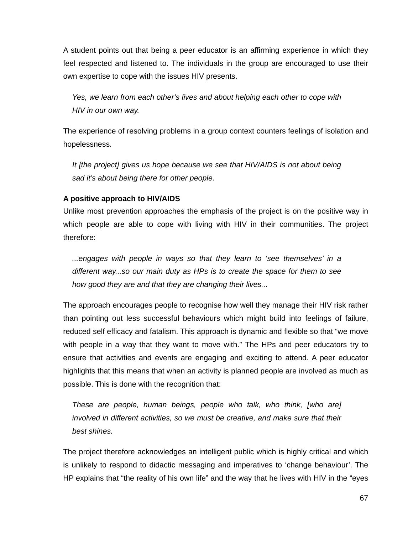A student points out that being a peer educator is an affirming experience in which they feel respected and listened to. The individuals in the group are encouraged to use their own expertise to cope with the issues HIV presents.

*Yes, we learn from each other's lives and about helping each other to cope with HIV in our own way.* 

The experience of resolving problems in a group context counters feelings of isolation and hopelessness.

*It [the project] gives us hope because we see that HIV/AIDS is not about being sad it's about being there for other people.* 

# **A positive approach to HIV/AIDS**

Unlike most prevention approaches the emphasis of the project is on the positive way in which people are able to cope with living with HIV in their communities. The project therefore:

*...engages with people in ways so that they learn to 'see themselves' in a different way...so our main duty as HPs is to create the space for them to see how good they are and that they are changing their lives...* 

The approach encourages people to recognise how well they manage their HIV risk rather than pointing out less successful behaviours which might build into feelings of failure, reduced self efficacy and fatalism. This approach is dynamic and flexible so that "we move with people in a way that they want to move with." The HPs and peer educators try to ensure that activities and events are engaging and exciting to attend. A peer educator highlights that this means that when an activity is planned people are involved as much as possible. This is done with the recognition that:

*These are people, human beings, people who talk, who think, [who are] involved in different activities, so we must be creative, and make sure that their best shines.* 

The project therefore acknowledges an intelligent public which is highly critical and which is unlikely to respond to didactic messaging and imperatives to 'change behaviour'. The HP explains that "the reality of his own life" and the way that he lives with HIV in the "eyes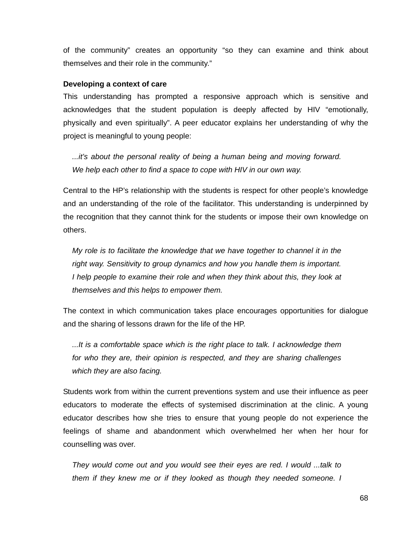of the community" creates an opportunity "so they can examine and think about themselves and their role in the community."

#### **Developing a context of care**

This understanding has prompted a responsive approach which is sensitive and acknowledges that the student population is deeply affected by HIV "emotionally, physically and even spiritually". A peer educator explains her understanding of why the project is meaningful to young people:

*...it's about the personal reality of being a human being and moving forward. We help each other to find a space to cope with HIV in our own way.* 

Central to the HP's relationship with the students is respect for other people's knowledge and an understanding of the role of the facilitator. This understanding is underpinned by the recognition that they cannot think for the students or impose their own knowledge on others.

*My role is to facilitate the knowledge that we have together to channel it in the right way. Sensitivity to group dynamics and how you handle them is important. I help people to examine their role and when they think about this, they look at themselves and this helps to empower them.* 

The context in which communication takes place encourages opportunities for dialogue and the sharing of lessons drawn for the life of the HP.

*...It is a comfortable space which is the right place to talk. I acknowledge them for who they are, their opinion is respected, and they are sharing challenges which they are also facing.* 

Students work from within the current preventions system and use their influence as peer educators to moderate the effects of systemised discrimination at the clinic. A young educator describes how she tries to ensure that young people do not experience the feelings of shame and abandonment which overwhelmed her when her hour for counselling was over.

*They would come out and you would see their eyes are red. I would ...talk to them if they knew me or if they looked as though they needed someone. I*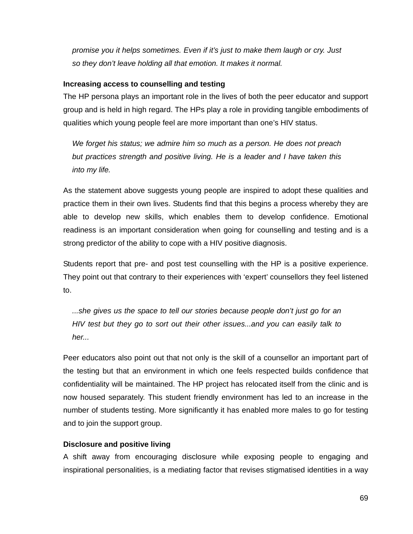*promise you it helps sometimes. Even if it's just to make them laugh or cry. Just so they don't leave holding all that emotion. It makes it normal.* 

## **Increasing access to counselling and testing**

The HP persona plays an important role in the lives of both the peer educator and support group and is held in high regard. The HPs play a role in providing tangible embodiments of qualities which young people feel are more important than one's HIV status.

*We forget his status; we admire him so much as a person. He does not preach but practices strength and positive living. He is a leader and I have taken this into my life.* 

As the statement above suggests young people are inspired to adopt these qualities and practice them in their own lives. Students find that this begins a process whereby they are able to develop new skills, which enables them to develop confidence. Emotional readiness is an important consideration when going for counselling and testing and is a strong predictor of the ability to cope with a HIV positive diagnosis.

Students report that pre- and post test counselling with the HP is a positive experience. They point out that contrary to their experiences with 'expert' counsellors they feel listened to.

*...she gives us the space to tell our stories because people don't just go for an HIV test but they go to sort out their other issues...and you can easily talk to her...* 

Peer educators also point out that not only is the skill of a counsellor an important part of the testing but that an environment in which one feels respected builds confidence that confidentiality will be maintained. The HP project has relocated itself from the clinic and is now housed separately. This student friendly environment has led to an increase in the number of students testing. More significantly it has enabled more males to go for testing and to join the support group.

# **Disclosure and positive living**

A shift away from encouraging disclosure while exposing people to engaging and inspirational personalities, is a mediating factor that revises stigmatised identities in a way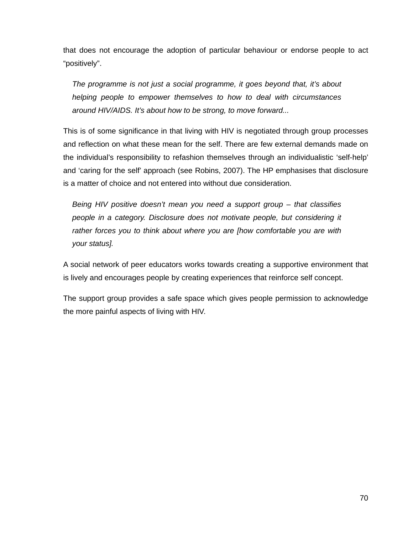that does not encourage the adoption of particular behaviour or endorse people to act "positively".

*The programme is not just a social programme, it goes beyond that, it's about helping people to empower themselves to how to deal with circumstances around HIV/AIDS. It's about how to be strong, to move forward...* 

This is of some significance in that living with HIV is negotiated through group processes and reflection on what these mean for the self. There are few external demands made on the individual's responsibility to refashion themselves through an individualistic 'self-help' and 'caring for the self' approach (see Robins, 2007). The HP emphasises that disclosure is a matter of choice and not entered into without due consideration.

*Being HIV positive doesn't mean you need a support group – that classifies people in a category. Disclosure does not motivate people, but considering it rather forces you to think about where you are [how comfortable you are with your status].* 

A social network of peer educators works towards creating a supportive environment that is lively and encourages people by creating experiences that reinforce self concept.

The support group provides a safe space which gives people permission to acknowledge the more painful aspects of living with HIV.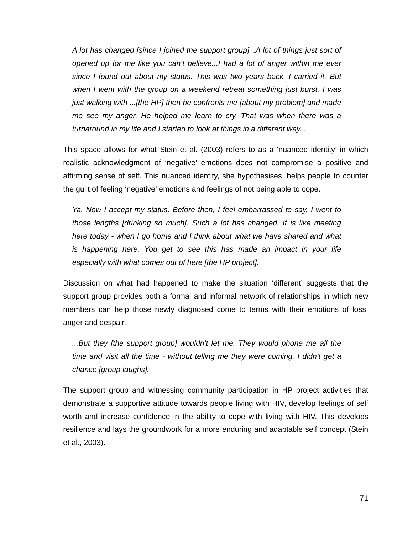*A lot has changed [since I joined the support group]...A lot of things just sort of opened up for me like you can't believe...I had a lot of anger within me ever since I found out about my status. This was two years back. I carried it. But when I went with the group on a weekend retreat something just burst. I was just walking with ...[the HP] then he confronts me [about my problem] and made me see my anger. He helped me learn to cry. That was when there was a turnaround in my life and I started to look at things in a different way...* 

This space allows for what Stein et al. (2003) refers to as a 'nuanced identity' in which realistic acknowledgment of 'negative' emotions does not compromise a positive and affirming sense of self. This nuanced identity, she hypothesises, helps people to counter the guilt of feeling 'negative' emotions and feelings of not being able to cope.

*Ya. Now I accept my status. Before then, I feel embarrassed to say, I went to those lengths [drinking so much]. Such a lot has changed. It is like meeting here today - when I go home and I think about what we have shared and what is happening here. You get to see this has made an impact in your life especially with what comes out of here [the HP project].* 

Discussion on what had happened to make the situation 'different' suggests that the support group provides both a formal and informal network of relationships in which new members can help those newly diagnosed come to terms with their emotions of loss, anger and despair.

*...But they [the support group] wouldn't let me. They would phone me all the time and visit all the time - without telling me they were coming. I didn't get a chance [group laughs].* 

The support group and witnessing community participation in HP project activities that demonstrate a supportive attitude towards people living with HIV, develop feelings of self worth and increase confidence in the ability to cope with living with HIV. This develops resilience and lays the groundwork for a more enduring and adaptable self concept (Stein et al., 2003).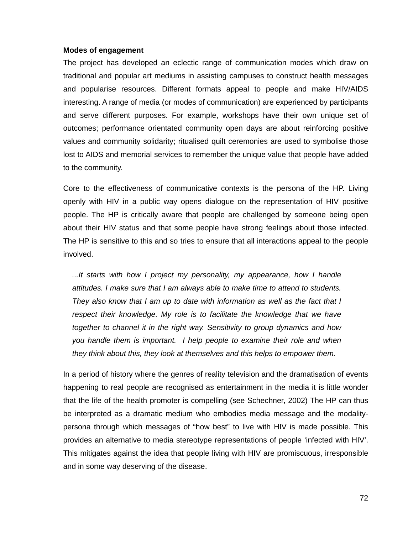#### **Modes of engagement**

The project has developed an eclectic range of communication modes which draw on traditional and popular art mediums in assisting campuses to construct health messages and popularise resources. Different formats appeal to people and make HIV/AIDS interesting. A range of media (or modes of communication) are experienced by participants and serve different purposes. For example, workshops have their own unique set of outcomes; performance orientated community open days are about reinforcing positive values and community solidarity; ritualised quilt ceremonies are used to symbolise those lost to AIDS and memorial services to remember the unique value that people have added to the community.

Core to the effectiveness of communicative contexts is the persona of the HP. Living openly with HIV in a public way opens dialogue on the representation of HIV positive people. The HP is critically aware that people are challenged by someone being open about their HIV status and that some people have strong feelings about those infected. The HP is sensitive to this and so tries to ensure that all interactions appeal to the people involved.

*...It starts with how I project my personality, my appearance, how I handle attitudes. I make sure that I am always able to make time to attend to students. They also know that I am up to date with information as well as the fact that I*  respect their knowledge. My role is to facilitate the knowledge that we have *together to channel it in the right way. Sensitivity to group dynamics and how you handle them is important. I help people to examine their role and when they think about this, they look at themselves and this helps to empower them.* 

In a period of history where the genres of reality television and the dramatisation of events happening to real people are recognised as entertainment in the media it is little wonder that the life of the health promoter is compelling (see Schechner, 2002) The HP can thus be interpreted as a dramatic medium who embodies media message and the modalitypersona through which messages of "how best" to live with HIV is made possible. This provides an alternative to media stereotype representations of people 'infected with HIV'. This mitigates against the idea that people living with HIV are promiscuous, irresponsible and in some way deserving of the disease.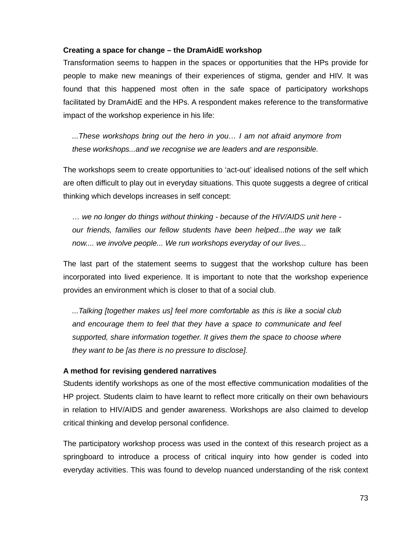## **Creating a space for change – the DramAidE workshop**

Transformation seems to happen in the spaces or opportunities that the HPs provide for people to make new meanings of their experiences of stigma, gender and HIV. It was found that this happened most often in the safe space of participatory workshops facilitated by DramAidE and the HPs. A respondent makes reference to the transformative impact of the workshop experience in his life:

*...These workshops bring out the hero in you… I am not afraid anymore from these workshops...and we recognise we are leaders and are responsible.* 

The workshops seem to create opportunities to 'act-out' idealised notions of the self which are often difficult to play out in everyday situations. This quote suggests a degree of critical thinking which develops increases in self concept:

*… we no longer do things without thinking - because of the HIV/AIDS unit here our friends, families our fellow students have been helped...the way we talk now.... we involve people... We run workshops everyday of our lives...* 

The last part of the statement seems to suggest that the workshop culture has been incorporated into lived experience. It is important to note that the workshop experience provides an environment which is closer to that of a social club.

*...Talking [together makes us] feel more comfortable as this is like a social club and encourage them to feel that they have a space to communicate and feel supported, share information together. It gives them the space to choose where they want to be [as there is no pressure to disclose].* 

## **A method for revising gendered narratives**

Students identify workshops as one of the most effective communication modalities of the HP project. Students claim to have learnt to reflect more critically on their own behaviours in relation to HIV/AIDS and gender awareness. Workshops are also claimed to develop critical thinking and develop personal confidence.

The participatory workshop process was used in the context of this research project as a springboard to introduce a process of critical inquiry into how gender is coded into everyday activities. This was found to develop nuanced understanding of the risk context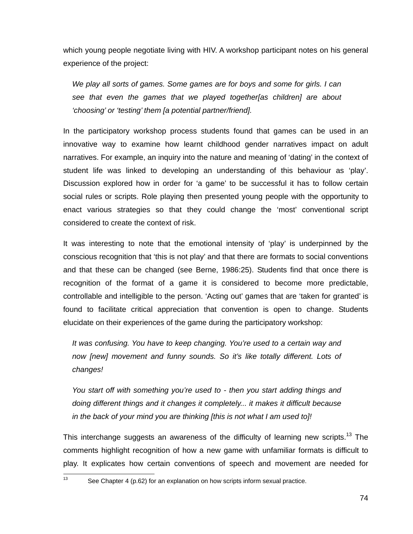which young people negotiate living with HIV. A workshop participant notes on his general experience of the project:

*We play all sorts of games. Some games are for boys and some for girls. I can see that even the games that we played together[as children] are about 'choosing' or 'testing' them [a potential partner/friend].* 

In the participatory workshop process students found that games can be used in an innovative way to examine how learnt childhood gender narratives impact on adult narratives. For example, an inquiry into the nature and meaning of 'dating' in the context of student life was linked to developing an understanding of this behaviour as 'play'. Discussion explored how in order for 'a game' to be successful it has to follow certain social rules or scripts. Role playing then presented young people with the opportunity to enact various strategies so that they could change the 'most' conventional script considered to create the context of risk.

It was interesting to note that the emotional intensity of 'play' is underpinned by the conscious recognition that 'this is not play' and that there are formats to social conventions and that these can be changed (see Berne, 1986:25). Students find that once there is recognition of the format of a game it is considered to become more predictable, controllable and intelligible to the person. 'Acting out' games that are 'taken for granted' is found to facilitate critical appreciation that convention is open to change. Students elucidate on their experiences of the game during the participatory workshop:

*It was confusing. You have to keep changing. You're used to a certain way and now [new] movement and funny sounds. So it's like totally different. Lots of changes!* 

*You start off with something you're used to - then you start adding things and doing different things and it changes it completely... it makes it difficult because in the back of your mind you are thinking [this is not what I am used to]!* 

This interchange suggests an awareness of the difficulty of learning new scripts.<sup>13</sup> The comments highlight recognition of how a new game with unfamiliar formats is difficult to play. It explicates how certain conventions of speech and movement are needed for

 $13$ 

See Chapter 4 (p.62) for an explanation on how scripts inform sexual practice.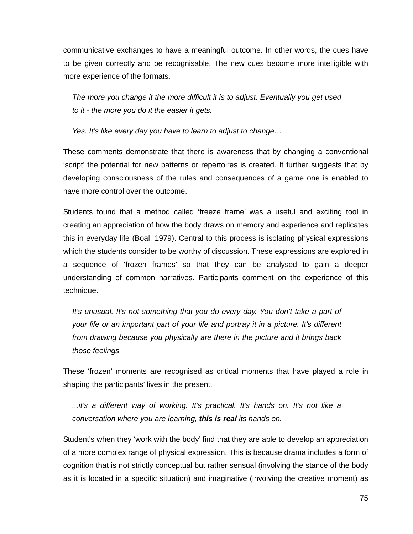communicative exchanges to have a meaningful outcome. In other words, the cues have to be given correctly and be recognisable. The new cues become more intelligible with more experience of the formats.

*The more you change it the more difficult it is to adjust. Eventually you get used to it - the more you do it the easier it gets.* 

*Yes. It's like every day you have to learn to adjust to change…* 

These comments demonstrate that there is awareness that by changing a conventional 'script' the potential for new patterns or repertoires is created. It further suggests that by developing consciousness of the rules and consequences of a game one is enabled to have more control over the outcome.

Students found that a method called 'freeze frame' was a useful and exciting tool in creating an appreciation of how the body draws on memory and experience and replicates this in everyday life (Boal, 1979). Central to this process is isolating physical expressions which the students consider to be worthy of discussion. These expressions are explored in a sequence of 'frozen frames' so that they can be analysed to gain a deeper understanding of common narratives. Participants comment on the experience of this technique.

It's unusual. It's not something that you do every day. You don't take a part of *your life or an important part of your life and portray it in a picture. It's different from drawing because you physically are there in the picture and it brings back those feelings* 

These 'frozen' moments are recognised as critical moments that have played a role in shaping the participants' lives in the present.

*...it's a different way of working. It's practical. It's hands on. It's not like a conversation where you are learning, this is real its hands on.* 

Student's when they 'work with the body' find that they are able to develop an appreciation of a more complex range of physical expression. This is because drama includes a form of cognition that is not strictly conceptual but rather sensual (involving the stance of the body as it is located in a specific situation) and imaginative (involving the creative moment) as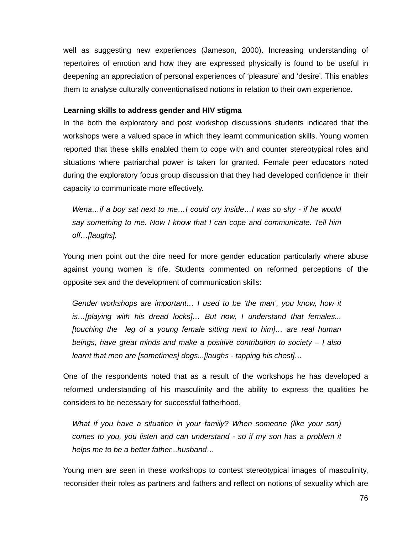well as suggesting new experiences (Jameson, 2000). Increasing understanding of repertoires of emotion and how they are expressed physically is found to be useful in deepening an appreciation of personal experiences of 'pleasure' and 'desire'. This enables them to analyse culturally conventionalised notions in relation to their own experience.

#### **Learning skills to address gender and HIV stigma**

In the both the exploratory and post workshop discussions students indicated that the workshops were a valued space in which they learnt communication skills. Young women reported that these skills enabled them to cope with and counter stereotypical roles and situations where patriarchal power is taken for granted. Female peer educators noted during the exploratory focus group discussion that they had developed confidence in their capacity to communicate more effectively.

*Wena…if a boy sat next to me…I could cry inside…I was so shy - if he would say something to me. Now I know that I can cope and communicate. Tell him off…[laughs].* 

Young men point out the dire need for more gender education particularly where abuse against young women is rife. Students commented on reformed perceptions of the opposite sex and the development of communication skills:

*Gender workshops are important… I used to be 'the man', you know, how it is…[playing with his dread locks]… But now, I understand that females... [touching the leg of a young female sitting next to him]… are real human beings, have great minds and make a positive contribution to society – I also learnt that men are [sometimes] dogs...[laughs - tapping his chest]…* 

One of the respondents noted that as a result of the workshops he has developed a reformed understanding of his masculinity and the ability to express the qualities he considers to be necessary for successful fatherhood.

*What if you have a situation in your family? When someone (like your son) comes to you, you listen and can understand - so if my son has a problem it helps me to be a better father...husband…* 

Young men are seen in these workshops to contest stereotypical images of masculinity, reconsider their roles as partners and fathers and reflect on notions of sexuality which are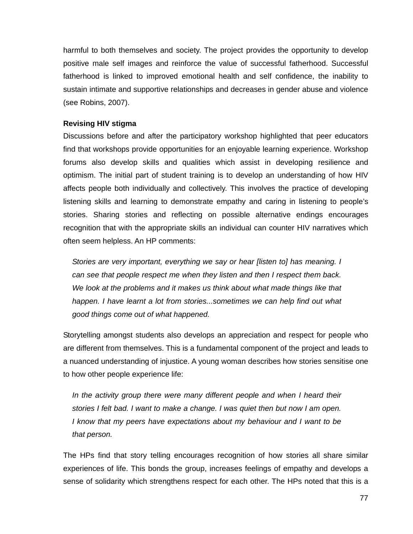harmful to both themselves and society. The project provides the opportunity to develop positive male self images and reinforce the value of successful fatherhood. Successful fatherhood is linked to improved emotional health and self confidence, the inability to sustain intimate and supportive relationships and decreases in gender abuse and violence (see Robins, 2007).

## **Revising HIV stigma**

Discussions before and after the participatory workshop highlighted that peer educators find that workshops provide opportunities for an enjoyable learning experience. Workshop forums also develop skills and qualities which assist in developing resilience and optimism. The initial part of student training is to develop an understanding of how HIV affects people both individually and collectively. This involves the practice of developing listening skills and learning to demonstrate empathy and caring in listening to people's stories. Sharing stories and reflecting on possible alternative endings encourages recognition that with the appropriate skills an individual can counter HIV narratives which often seem helpless. An HP comments:

*Stories are very important, everything we say or hear [listen to] has meaning. I can see that people respect me when they listen and then I respect them back. We look at the problems and it makes us think about what made things like that happen. I have learnt a lot from stories...sometimes we can help find out what good things come out of what happened.* 

Storytelling amongst students also develops an appreciation and respect for people who are different from themselves. This is a fundamental component of the project and leads to a nuanced understanding of injustice. A young woman describes how stories sensitise one to how other people experience life:

*In the activity group there were many different people and when I heard their stories I felt bad. I want to make a change. I was quiet then but now I am open. I know that my peers have expectations about my behaviour and I want to be that person.* 

The HPs find that story telling encourages recognition of how stories all share similar experiences of life. This bonds the group, increases feelings of empathy and develops a sense of solidarity which strengthens respect for each other. The HPs noted that this is a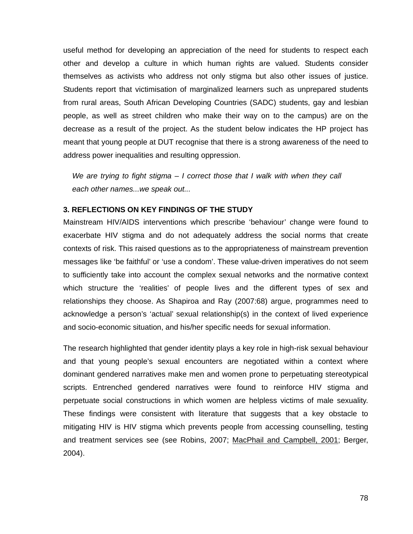useful method for developing an appreciation of the need for students to respect each other and develop a culture in which human rights are valued. Students consider themselves as activists who address not only stigma but also other issues of justice. Students report that victimisation of marginalized learners such as unprepared students from rural areas, South African Developing Countries (SADC) students, gay and lesbian people, as well as street children who make their way on to the campus) are on the decrease as a result of the project. As the student below indicates the HP project has meant that young people at DUT recognise that there is a strong awareness of the need to address power inequalities and resulting oppression.

*We are trying to fight stigma – I correct those that I walk with when they call each other names...we speak out...* 

## **3. REFLECTIONS ON KEY FINDINGS OF THE STUDY**

Mainstream HIV/AIDS interventions which prescribe 'behaviour' change were found to exacerbate HIV stigma and do not adequately address the social norms that create contexts of risk. This raised questions as to the appropriateness of mainstream prevention messages like 'be faithful' or 'use a condom'. These value-driven imperatives do not seem to sufficiently take into account the complex sexual networks and the normative context which structure the 'realities' of people lives and the different types of sex and relationships they choose. As Shapiroa and Ray (2007:68) argue, programmes need to acknowledge a person's 'actual' sexual relationship(s) in the context of lived experience and socio-economic situation, and his/her specific needs for sexual information.

The research highlighted that gender identity plays a key role in high-risk sexual behaviour and that young people's sexual encounters are negotiated within a context where dominant gendered narratives make men and women prone to perpetuating stereotypical scripts. Entrenched gendered narratives were found to reinforce HIV stigma and perpetuate social constructions in which women are helpless victims of male sexuality. These findings were consistent with literature that suggests that a key obstacle to mitigating HIV is HIV stigma which prevents people from accessing counselling, testing and treatment services see (see Robins, 2007; MacPhail and Campbell, 2001; Berger, 2004).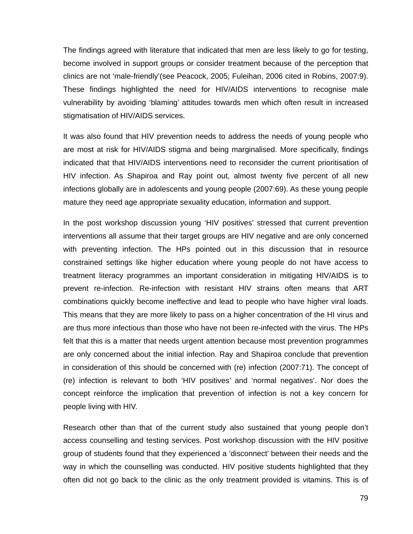The findings agreed with literature that indicated that men are less likely to go for testing, become involved in support groups or consider treatment because of the perception that clinics are not 'male-friendly'(see Peacock, 2005; Fuleihan, 2006 cited in Robins, 2007:9). These findings highlighted the need for HIV/AIDS interventions to recognise male vulnerability by avoiding 'blaming' attitudes towards men which often result in increased stigmatisation of HIV/AIDS services.

It was also found that HIV prevention needs to address the needs of young people who are most at risk for HIV/AIDS stigma and being marginalised. More specifically, findings indicated that that HIV/AIDS interventions need to reconsider the current prioritisation of HIV infection. As Shapiroa and Ray point out, almost twenty five percent of all new infections globally are in adolescents and young people (2007:69). As these young people mature they need age appropriate sexuality education, information and support.

In the post workshop discussion young 'HIV positives' stressed that current prevention interventions all assume that their target groups are HIV negative and are only concerned with preventing infection. The HPs pointed out in this discussion that in resource constrained settings like higher education where young people do not have access to treatment literacy programmes an important consideration in mitigating HIV/AIDS is to prevent re-infection. Re-infection with resistant HIV strains often means that ART combinations quickly become ineffective and lead to people who have higher viral loads. This means that they are more likely to pass on a higher concentration of the HI virus and are thus more infectious than those who have not been re-infected with the virus. The HPs felt that this is a matter that needs urgent attention because most prevention programmes are only concerned about the initial infection. Ray and Shapiroa conclude that prevention in consideration of this should be concerned with (re) infection (2007:71). The concept of (re) infection is relevant to both 'HIV positives' and 'normal negatives'. Nor does the concept reinforce the implication that prevention of infection is not a key concern for people living with HIV.

Research other than that of the current study also sustained that young people don't access counselling and testing services. Post workshop discussion with the HIV positive group of students found that they experienced a 'disconnect' between their needs and the way in which the counselling was conducted. HIV positive students highlighted that they often did not go back to the clinic as the only treatment provided is vitamins. This is of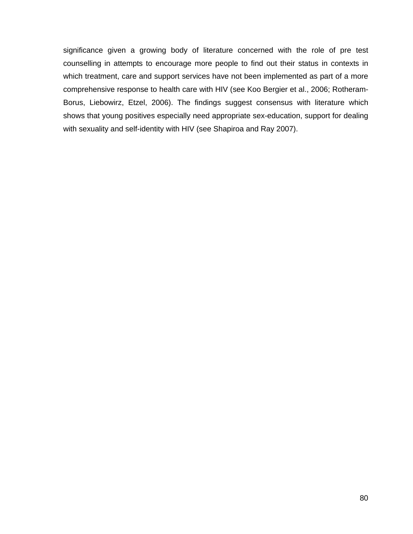significance given a growing body of literature concerned with the role of pre test counselling in attempts to encourage more people to find out their status in contexts in which treatment, care and support services have not been implemented as part of a more comprehensive response to health care with HIV (see Koo Bergier et al., 2006; Rotheram-Borus, Liebowirz, Etzel, 2006). The findings suggest consensus with literature which shows that young positives especially need appropriate sex-education, support for dealing with sexuality and self-identity with HIV (see Shapiroa and Ray 2007).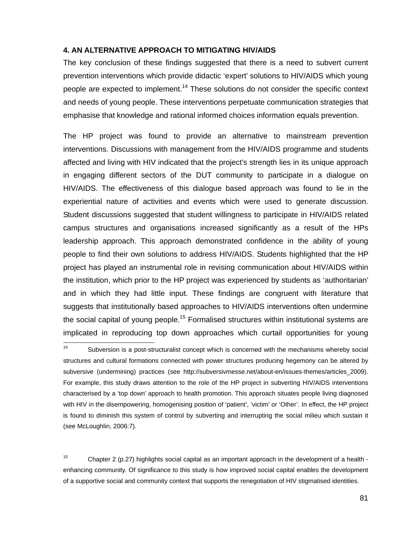## **4. AN ALTERNATIVE APPROACH TO MITIGATING HIV/AIDS**

The key conclusion of these findings suggested that there is a need to subvert current prevention interventions which provide didactic 'expert' solutions to HIV/AIDS which young people are expected to implement.<sup>14</sup> These solutions do not consider the specific context and needs of young people. These interventions perpetuate communication strategies that emphasise that knowledge and rational informed choices information equals prevention.

The HP project was found to provide an alternative to mainstream prevention interventions. Discussions with management from the HIV/AIDS programme and students affected and living with HIV indicated that the project's strength lies in its unique approach in engaging different sectors of the DUT community to participate in a dialogue on HIV/AIDS. The effectiveness of this dialogue based approach was found to lie in the experiential nature of activities and events which were used to generate discussion. Student discussions suggested that student willingness to participate in HIV/AIDS related campus structures and organisations increased significantly as a result of the HPs leadership approach. This approach demonstrated confidence in the ability of young people to find their own solutions to address HIV/AIDS. Students highlighted that the HP project has played an instrumental role in revising communication about HIV/AIDS within the institution, which prior to the HP project was experienced by students as 'authoritarian' and in which they had little input. These findings are congruent with literature that suggests that institutionally based approaches to HIV/AIDS interventions often undermine the social capital of young people.<sup>15</sup> Formalised structures within institutional systems are implicated in reproducing top down approaches which curtail opportunities for young

<sup>15</sup> Chapter 2 (p.27) highlights social capital as an important approach in the development of a health enhancing community. Of significance to this study is how improved social capital enables the development of a supportive social and community context that supports the renegotiation of HIV stigmatised identities.

 $14$ Subversion is a post-structuralist concept which is concerned with the mechanisms whereby social structures and cultural formations connected with power structures producing hegemony can be altered by subversive (undermining) practices (see http://subversivmesse.net/about-en/issues-themes/articles\_2009). For example, this study draws attention to the role of the HP project in subverting HIV/AIDS interventions characterised by a 'top down' approach to health promotion. This approach situates people living diagnosed with HIV in the disempowering, homogenising position of 'patient', 'victim' or 'Other'. In effect, the HP project is found to diminish this system of control by subverting and interrupting the social milieu which sustain it (see McLoughlin, 2006:7).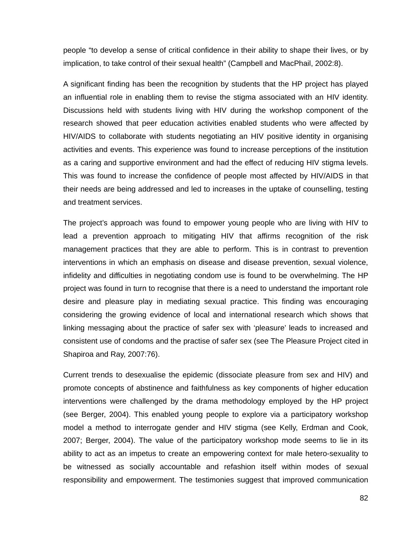people "to develop a sense of critical confidence in their ability to shape their lives, or by implication, to take control of their sexual health" (Campbell and MacPhail, 2002:8).

A significant finding has been the recognition by students that the HP project has played an influential role in enabling them to revise the stigma associated with an HIV identity. Discussions held with students living with HIV during the workshop component of the research showed that peer education activities enabled students who were affected by HIV/AIDS to collaborate with students negotiating an HIV positive identity in organising activities and events. This experience was found to increase perceptions of the institution as a caring and supportive environment and had the effect of reducing HIV stigma levels. This was found to increase the confidence of people most affected by HIV/AIDS in that their needs are being addressed and led to increases in the uptake of counselling, testing and treatment services.

The project's approach was found to empower young people who are living with HIV to lead a prevention approach to mitigating HIV that affirms recognition of the risk management practices that they are able to perform. This is in contrast to prevention interventions in which an emphasis on disease and disease prevention, sexual violence, infidelity and difficulties in negotiating condom use is found to be overwhelming. The HP project was found in turn to recognise that there is a need to understand the important role desire and pleasure play in mediating sexual practice. This finding was encouraging considering the growing evidence of local and international research which shows that linking messaging about the practice of safer sex with 'pleasure' leads to increased and consistent use of condoms and the practise of safer sex (see The Pleasure Project cited in Shapiroa and Ray, 2007:76).

Current trends to desexualise the epidemic (dissociate pleasure from sex and HIV) and promote concepts of abstinence and faithfulness as key components of higher education interventions were challenged by the drama methodology employed by the HP project (see Berger, 2004). This enabled young people to explore via a participatory workshop model a method to interrogate gender and HIV stigma (see Kelly, Erdman and Cook, 2007; Berger, 2004). The value of the participatory workshop mode seems to lie in its ability to act as an impetus to create an empowering context for male hetero-sexuality to be witnessed as socially accountable and refashion itself within modes of sexual responsibility and empowerment. The testimonies suggest that improved communication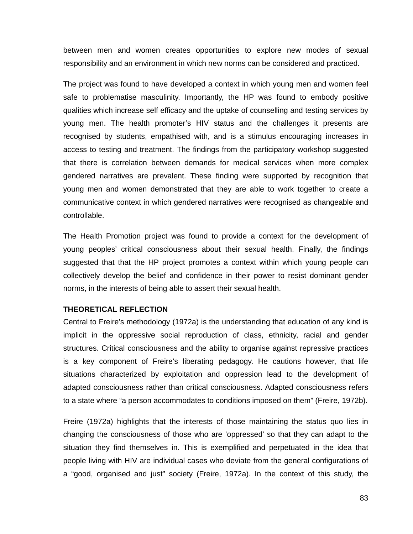between men and women creates opportunities to explore new modes of sexual responsibility and an environment in which new norms can be considered and practiced.

The project was found to have developed a context in which young men and women feel safe to problematise masculinity. Importantly, the HP was found to embody positive qualities which increase self efficacy and the uptake of counselling and testing services by young men. The health promoter's HIV status and the challenges it presents are recognised by students, empathised with, and is a stimulus encouraging increases in access to testing and treatment. The findings from the participatory workshop suggested that there is correlation between demands for medical services when more complex gendered narratives are prevalent. These finding were supported by recognition that young men and women demonstrated that they are able to work together to create a communicative context in which gendered narratives were recognised as changeable and controllable.

The Health Promotion project was found to provide a context for the development of young peoples' critical consciousness about their sexual health. Finally, the findings suggested that that the HP project promotes a context within which young people can collectively develop the belief and confidence in their power to resist dominant gender norms, in the interests of being able to assert their sexual health.

## **THEORETICAL REFLECTION**

Central to Freire's methodology (1972a) is the understanding that education of any kind is implicit in the oppressive social reproduction of class, ethnicity, racial and gender structures. Critical consciousness and the ability to organise against repressive practices is a key component of Freire's liberating pedagogy. He cautions however, that life situations characterized by exploitation and oppression lead to the development of adapted consciousness rather than critical consciousness. Adapted consciousness refers to a state where "a person accommodates to conditions imposed on them" (Freire, 1972b).

Freire (1972a) highlights that the interests of those maintaining the status quo lies in changing the consciousness of those who are 'oppressed' so that they can adapt to the situation they find themselves in. This is exemplified and perpetuated in the idea that people living with HIV are individual cases who deviate from the general configurations of a "good, organised and just" society (Freire, 1972a). In the context of this study, the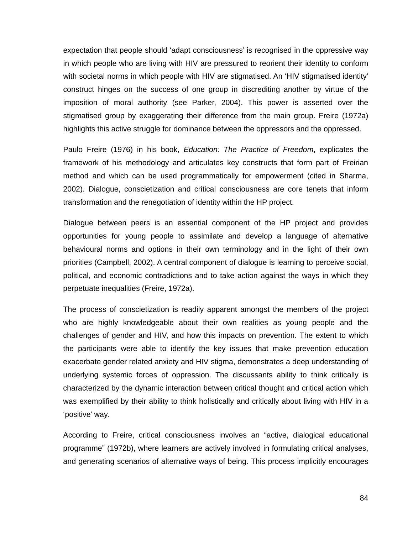expectation that people should 'adapt consciousness' is recognised in the oppressive way in which people who are living with HIV are pressured to reorient their identity to conform with societal norms in which people with HIV are stigmatised. An 'HIV stigmatised identity' construct hinges on the success of one group in discrediting another by virtue of the imposition of moral authority (see Parker, 2004). This power is asserted over the stigmatised group by exaggerating their difference from the main group. Freire (1972a) highlights this active struggle for dominance between the oppressors and the oppressed.

Paulo Freire (1976) in his book, *Education: The Practice of Freedom*, explicates the framework of his methodology and articulates key constructs that form part of Freirian method and which can be used programmatically for empowerment (cited in Sharma, 2002). Dialogue, conscietization and critical consciousness are core tenets that inform transformation and the renegotiation of identity within the HP project.

Dialogue between peers is an essential component of the HP project and provides opportunities for young people to assimilate and develop a language of alternative behavioural norms and options in their own terminology and in the light of their own priorities (Campbell, 2002). A central component of dialogue is learning to perceive social, political, and economic contradictions and to take action against the ways in which they perpetuate inequalities (Freire, 1972a).

The process of conscietization is readily apparent amongst the members of the project who are highly knowledgeable about their own realities as young people and the challenges of gender and HIV, and how this impacts on prevention. The extent to which the participants were able to identify the key issues that make prevention education exacerbate gender related anxiety and HIV stigma, demonstrates a deep understanding of underlying systemic forces of oppression. The discussants ability to think critically is characterized by the dynamic interaction between critical thought and critical action which was exemplified by their ability to think holistically and critically about living with HIV in a 'positive' way.

According to Freire, critical consciousness involves an "active, dialogical educational programme" (1972b), where learners are actively involved in formulating critical analyses, and generating scenarios of alternative ways of being. This process implicitly encourages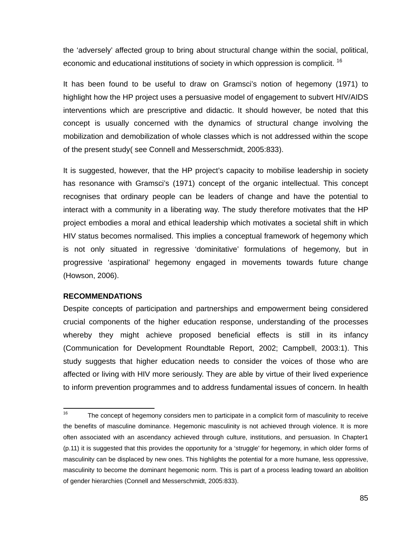the 'adversely' affected group to bring about structural change within the social, political, economic and educational institutions of society in which oppression is complicit. <sup>16</sup>

It has been found to be useful to draw on Gramsci's notion of hegemony (1971) to highlight how the HP project uses a persuasive model of engagement to subvert HIV/AIDS interventions which are prescriptive and didactic. It should however, be noted that this concept is usually concerned with the dynamics of structural change involving the mobilization and demobilization of whole classes which is not addressed within the scope of the present study( see Connell and Messerschmidt, 2005:833).

It is suggested, however, that the HP project's capacity to mobilise leadership in society has resonance with Gramsci's (1971) concept of the organic intellectual. This concept recognises that ordinary people can be leaders of change and have the potential to interact with a community in a liberating way. The study therefore motivates that the HP project embodies a moral and ethical leadership which motivates a societal shift in which HIV status becomes normalised. This implies a conceptual framework of hegemony which is not only situated in regressive 'dominitative' formulations of hegemony, but in progressive 'aspirational' hegemony engaged in movements towards future change (Howson, 2006).

#### **RECOMMENDATIONS**

Despite concepts of participation and partnerships and empowerment being considered crucial components of the higher education response, understanding of the processes whereby they might achieve proposed beneficial effects is still in its infancy (Communication for Development Roundtable Report, 2002; Campbell, 2003:1). This study suggests that higher education needs to consider the voices of those who are affected or living with HIV more seriously. They are able by virtue of their lived experience to inform prevention programmes and to address fundamental issues of concern. In health

<sup>16</sup> The concept of hegemony considers men to participate in a complicit form of masculinity to receive the benefits of masculine dominance. Hegemonic masculinity is not achieved through violence. It is more often associated with an ascendancy achieved through culture, institutions, and persuasion. In Chapter1 (p.11) it is suggested that this provides the opportunity for a 'struggle' for hegemony, in which older forms of masculinity can be displaced by new ones. This highlights the potential for a more humane, less oppressive, masculinity to become the dominant hegemonic norm. This is part of a process leading toward an abolition of gender hierarchies (Connell and Messerschmidt, 2005:833).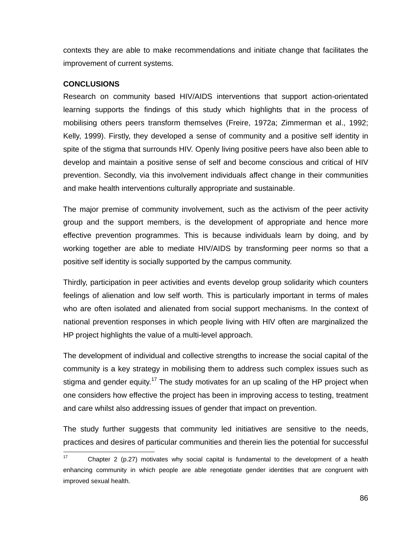contexts they are able to make recommendations and initiate change that facilitates the improvement of current systems.

# **CONCLUSIONS**

Research on community based HIV/AIDS interventions that support action-orientated learning supports the findings of this study which highlights that in the process of mobilising others peers transform themselves (Freire, 1972a; Zimmerman et al., 1992; Kelly, 1999). Firstly, they developed a sense of community and a positive self identity in spite of the stigma that surrounds HIV. Openly living positive peers have also been able to develop and maintain a positive sense of self and become conscious and critical of HIV prevention. Secondly, via this involvement individuals affect change in their communities and make health interventions culturally appropriate and sustainable.

The major premise of community involvement, such as the activism of the peer activity group and the support members, is the development of appropriate and hence more effective prevention programmes. This is because individuals learn by doing, and by working together are able to mediate HIV/AIDS by transforming peer norms so that a positive self identity is socially supported by the campus community.

Thirdly, participation in peer activities and events develop group solidarity which counters feelings of alienation and low self worth. This is particularly important in terms of males who are often isolated and alienated from social support mechanisms. In the context of national prevention responses in which people living with HIV often are marginalized the HP project highlights the value of a multi-level approach.

The development of individual and collective strengths to increase the social capital of the community is a key strategy in mobilising them to address such complex issues such as stigma and gender equity.<sup>17</sup> The study motivates for an up scaling of the HP project when one considers how effective the project has been in improving access to testing, treatment and care whilst also addressing issues of gender that impact on prevention.

The study further suggests that community led initiatives are sensitive to the needs, practices and desires of particular communities and therein lies the potential for successful

 $17$ Chapter 2 (p.27) motivates why social capital is fundamental to the development of a health enhancing community in which people are able renegotiate gender identities that are congruent with improved sexual health.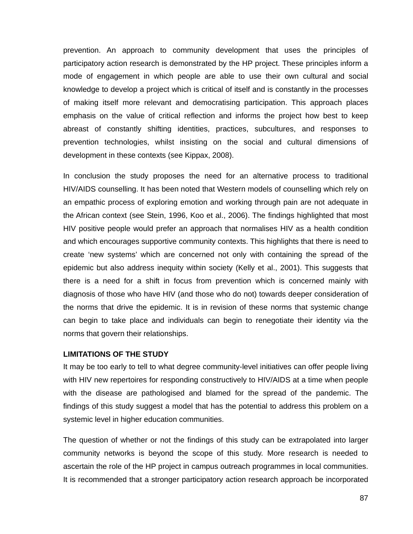prevention. An approach to community development that uses the principles of participatory action research is demonstrated by the HP project. These principles inform a mode of engagement in which people are able to use their own cultural and social knowledge to develop a project which is critical of itself and is constantly in the processes of making itself more relevant and democratising participation. This approach places emphasis on the value of critical reflection and informs the project how best to keep abreast of constantly shifting identities, practices, subcultures, and responses to prevention technologies, whilst insisting on the social and cultural dimensions of development in these contexts (see Kippax, 2008).

In conclusion the study proposes the need for an alternative process to traditional HIV/AIDS counselling. It has been noted that Western models of counselling which rely on an empathic process of exploring emotion and working through pain are not adequate in the African context (see Stein, 1996, Koo et al., 2006). The findings highlighted that most HIV positive people would prefer an approach that normalises HIV as a health condition and which encourages supportive community contexts. This highlights that there is need to create 'new systems' which are concerned not only with containing the spread of the epidemic but also address inequity within society (Kelly et al., 2001). This suggests that there is a need for a shift in focus from prevention which is concerned mainly with diagnosis of those who have HIV (and those who do not) towards deeper consideration of the norms that drive the epidemic. It is in revision of these norms that systemic change can begin to take place and individuals can begin to renegotiate their identity via the norms that govern their relationships.

#### **LIMITATIONS OF THE STUDY**

It may be too early to tell to what degree community-level initiatives can offer people living with HIV new repertoires for responding constructively to HIV/AIDS at a time when people with the disease are pathologised and blamed for the spread of the pandemic. The findings of this study suggest a model that has the potential to address this problem on a systemic level in higher education communities.

The question of whether or not the findings of this study can be extrapolated into larger community networks is beyond the scope of this study. More research is needed to ascertain the role of the HP project in campus outreach programmes in local communities. It is recommended that a stronger participatory action research approach be incorporated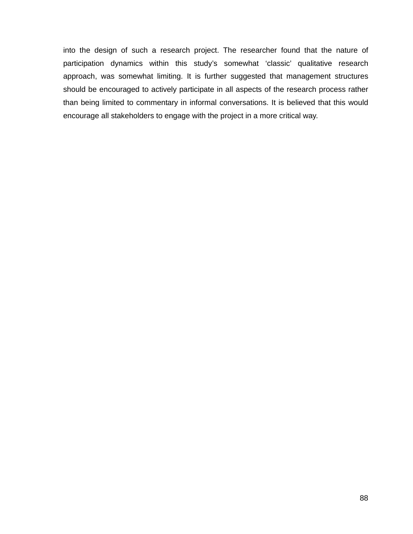into the design of such a research project. The researcher found that the nature of participation dynamics within this study's somewhat 'classic' qualitative research approach, was somewhat limiting. It is further suggested that management structures should be encouraged to actively participate in all aspects of the research process rather than being limited to commentary in informal conversations. It is believed that this would encourage all stakeholders to engage with the project in a more critical way.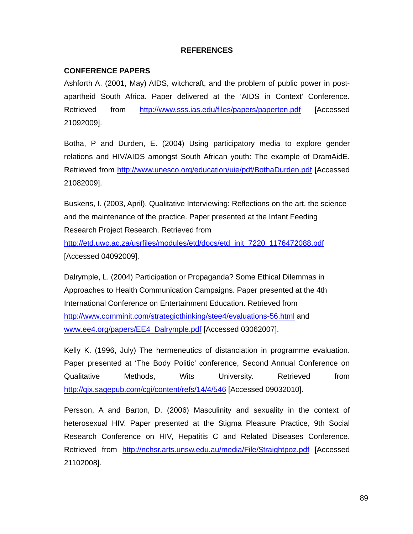## **REFERENCES**

## **CONFERENCE PAPERS**

Ashforth A. (2001, May) AIDS, witchcraft, and the problem of public power in postapartheid South Africa. Paper delivered at the 'AIDS in Context' Conference. Retrieved from http://www.sss.ias.edu/files/papers/paperten.pdf [Accessed 21092009].

Botha, P and Durden, E. (2004) Using participatory media to explore gender relations and HIV/AIDS amongst South African youth: The example of DramAidE. Retrieved from http://www.unesco.org/education/uie/pdf/BothaDurden.pdf [Accessed 21082009].

Buskens, I. (2003, April). Qualitative Interviewing: Reflections on the art, the science and the maintenance of the practice. Paper presented at the Infant Feeding Research Project Research. Retrieved from

http://etd.uwc.ac.za/usrfiles/modules/etd/docs/etd\_init\_7220\_1176472088.pdf [Accessed 04092009].

Dalrymple, L. (2004) Participation or Propaganda? Some Ethical Dilemmas in Approaches to Health Communication Campaigns. Paper presented at the 4th International Conference on Entertainment Education. Retrieved from http://www.comminit.com/strategicthinking/stee4/evaluations-56.html and www.ee4.org/papers/EE4\_Dalrymple.pdf [Accessed 03062007].

Kelly K. (1996, July) The hermeneutics of distanciation in programme evaluation. Paper presented at 'The Body Politic' conference, Second Annual Conference on Qualitative Methods, Wits University. Retrieved from http://qix.sagepub.com/cgi/content/refs/14/4/546 [Accessed 09032010].

Persson, A and Barton, D. (2006) Masculinity and sexuality in the context of heterosexual HIV. Paper presented at the Stigma Pleasure Practice, 9th Social Research Conference on HIV, Hepatitis C and Related Diseases Conference. Retrieved from http://nchsr.arts.unsw.edu.au/media/File/Straightpoz.pdf [Accessed 21102008].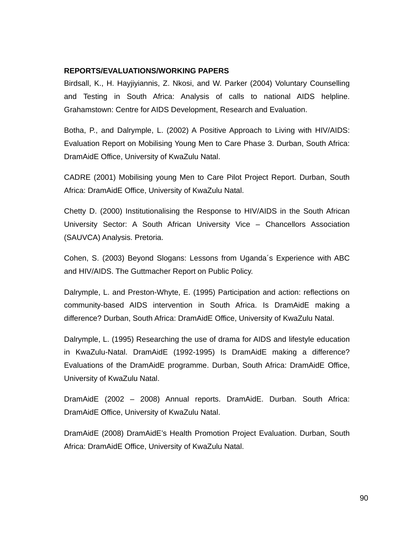## **REPORTS/EVALUATIONS/WORKING PAPERS**

Birdsall, K., H. Hayjiyiannis, Z. Nkosi, and W. Parker (2004) Voluntary Counselling and Testing in South Africa: Analysis of calls to national AIDS helpline. Grahamstown: Centre for AIDS Development, Research and Evaluation.

Botha, P., and Dalrymple, L. (2002) A Positive Approach to Living with HIV/AIDS: Evaluation Report on Mobilising Young Men to Care Phase 3. Durban, South Africa: DramAidE Office, University of KwaZulu Natal.

CADRE (2001) Mobilising young Men to Care Pilot Project Report. Durban, South Africa: DramAidE Office, University of KwaZulu Natal.

Chetty D. (2000) Institutionalising the Response to HIV/AIDS in the South African University Sector: A South African University Vice – Chancellors Association (SAUVCA) Analysis. Pretoria.

Cohen, S. (2003) Beyond Slogans: Lessons from Uganda´s Experience with ABC and HIV/AIDS. The Guttmacher Report on Public Policy.

Dalrymple, L. and Preston-Whyte, E. (1995) Participation and action: reflections on community-based AIDS intervention in South Africa. Is DramAidE making a difference? Durban, South Africa: DramAidE Office, University of KwaZulu Natal.

Dalrymple, L. (1995) Researching the use of drama for AIDS and lifestyle education in KwaZulu-Natal. DramAidE (1992-1995) Is DramAidE making a difference? Evaluations of the DramAidE programme. Durban, South Africa: DramAidE Office, University of KwaZulu Natal.

DramAidE (2002 – 2008) Annual reports. DramAidE. Durban. South Africa: DramAidE Office, University of KwaZulu Natal.

DramAidE (2008) DramAidE's Health Promotion Project Evaluation. Durban, South Africa: DramAidE Office, University of KwaZulu Natal.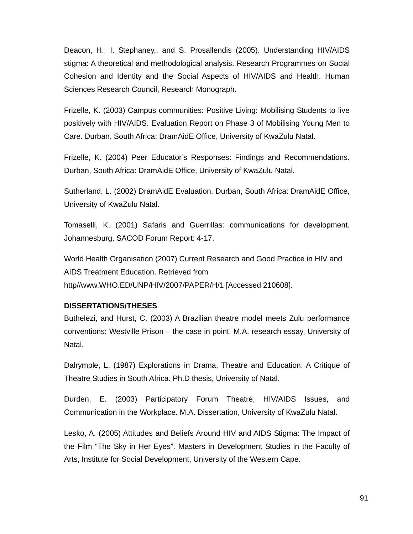Deacon, H.; I. Stephaney,. and S. Prosallendis (2005). Understanding HIV/AIDS stigma: A theoretical and methodological analysis. Research Programmes on Social Cohesion and Identity and the Social Aspects of HIV/AIDS and Health. Human Sciences Research Council, Research Monograph.

Frizelle, K. (2003) Campus communities: Positive Living: Mobilising Students to live positively with HIV/AIDS. Evaluation Report on Phase 3 of Mobilising Young Men to Care. Durban, South Africa: DramAidE Office, University of KwaZulu Natal.

Frizelle, K. (2004) Peer Educator's Responses: Findings and Recommendations. Durban, South Africa: DramAidE Office, University of KwaZulu Natal.

Sutherland, L. (2002) DramAidE Evaluation. Durban, South Africa: DramAidE Office, University of KwaZulu Natal.

Tomaselli, K. (2001) Safaris and Guerrillas: communications for development. Johannesburg. SACOD Forum Report: 4-17.

World Health Organisation (2007) Current Research and Good Practice in HIV and AIDS Treatment Education. Retrieved from http//www.WHO.ED/UNP/HIV/2007/PAPER/H/1 [Accessed 210608].

## **DISSERTATIONS/THESES**

Buthelezi, and Hurst, C. (2003) A Brazilian theatre model meets Zulu performance conventions: Westville Prison – the case in point. M.A. research essay, University of Natal.

Dalrymple, L. (1987) Explorations in Drama, Theatre and Education. A Critique of Theatre Studies in South Africa. Ph.D thesis, University of Natal.

Durden, E. (2003) Participatory Forum Theatre, HIV/AIDS Issues, and Communication in the Workplace. M.A. Dissertation, University of KwaZulu Natal.

Lesko, A. (2005) Attitudes and Beliefs Around HIV and AIDS Stigma: The Impact of the Film "The Sky in Her Eyes". Masters in Development Studies in the Faculty of Arts, Institute for Social Development, University of the Western Cape.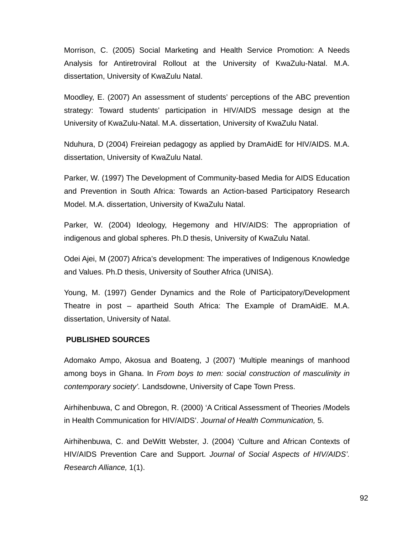Morrison, C. (2005) Social Marketing and Health Service Promotion: A Needs Analysis for Antiretroviral Rollout at the University of KwaZulu-Natal. M.A. dissertation, University of KwaZulu Natal.

Moodley, E. (2007) An assessment of students' perceptions of the ABC prevention strategy: Toward students' participation in HIV/AIDS message design at the University of KwaZulu-Natal. M.A. dissertation, University of KwaZulu Natal.

Nduhura, D (2004) Freireian pedagogy as applied by DramAidE for HIV/AIDS. M.A. dissertation, University of KwaZulu Natal.

Parker, W. (1997) The Development of Community-based Media for AIDS Education and Prevention in South Africa: Towards an Action-based Participatory Research Model. M.A. dissertation, University of KwaZulu Natal.

Parker, W. (2004) Ideology, Hegemony and HIV/AIDS: The appropriation of indigenous and global spheres. Ph.D thesis, University of KwaZulu Natal.

Odei Ajei, M (2007) Africa's development: The imperatives of Indigenous Knowledge and Values. Ph.D thesis, University of Souther Africa (UNISA).

Young, M. (1997) Gender Dynamics and the Role of Participatory/Development Theatre in post – apartheid South Africa: The Example of DramAidE. M.A. dissertation, University of Natal.

## **PUBLISHED SOURCES**

Adomako Ampo, Akosua and Boateng, J (2007) 'Multiple meanings of manhood among boys in Ghana. In *From boys to men: social construction of masculinity in contemporary society'.* Landsdowne, University of Cape Town Press.

Airhihenbuwa, C and Obregon, R. (2000) 'A Critical Assessment of Theories /Models in Health Communication for HIV/AIDS'. *Journal of Health Communication,* 5.

Airhihenbuwa, C. and DeWitt Webster, J. (2004) 'Culture and African Contexts of HIV/AIDS Prevention Care and Support. *Journal of Social Aspects of HIV/AIDS'. Research Alliance,* 1(1).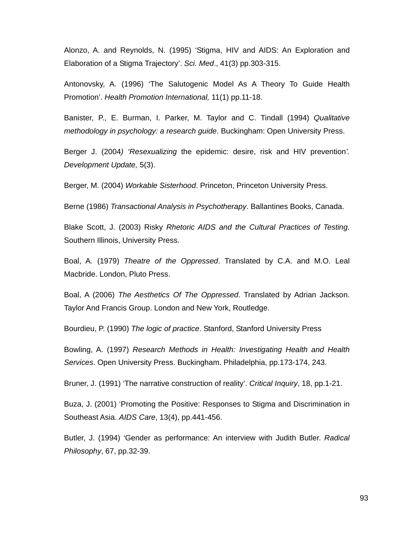Alonzo, A. and Reynolds, N. (1995) 'Stigma, HIV and AIDS: An Exploration and Elaboration of a Stigma Trajectory'. *Sci. Med*., 41(3) pp.303-315.

Antonovsky, A. (1996) 'The Salutogenic Model As A Theory To Guide Health Promotion'. *Health Promotion International,* 11(1) pp.11-18.

Banister, P., E. Burman, I. Parker, M. Taylor and C. Tindall (1994) *Qualitative methodology in psychology: a research guide*. Buckingham: Open University Press.

Berger J. (2004*) 'Resexualizing* the epidemic: desire, risk and HIV prevention*'. Development Update,* 5(3).

Berger, M. (2004) *Workable Sisterhood*. Princeton, Princeton University Press.

Berne (1986) *Transactional Analysis in Psychotherapy*. Ballantines Books, Canada.

Blake Scott, J. (2003) Risky *Rhetoric AIDS and the Cultural Practices of Testing*. Southern Illinois, University Press.

Boal, A. (1979) *Theatre of the Oppressed*. Translated by C.A. and M.O. Leal Macbride. London, Pluto Press.

Boal, A (2006) *The Aesthetics Of The Oppressed*. Translated by Adrian Jackson. Taylor And Francis Group. London and New York, Routledge.

Bourdieu, P. (1990) *The logic of practice*. Stanford, Stanford University Press

Bowling, A. (1997) *Research Methods in Health: Investigating Health and Health Services*. Open University Press. Buckingham. Philadelphia, pp.173-174, 243.

Bruner, J. (1991) 'The narrative construction of reality'. *Critical Inquiry*, 18, pp.1-21.

Buza, J. (2001) 'Promoting the Positive: Responses to Stigma and Discrimination in Southeast Asia. *AIDS Care*, 13(4), pp.441-456.

Butler, J. (1994) 'Gender as performance: An interview with Judith Butler. *Radical Philosophy*, 67, pp.32-39.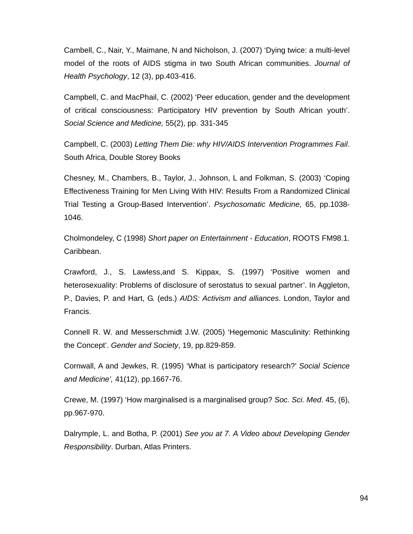Cambell, C., Nair, Y., Maimane, N and Nicholson, J. (2007) 'Dying twice: a multi-level model of the roots of AIDS stigma in two South African communities. *Journal of Health Psychology*, 12 (3), pp.403-416.

Campbell, C. and MacPhail, C. (2002) 'Peer education, gender and the development of critical consciousness: Participatory HIV prevention by South African youth'. *Social Science and Medicine,* 55(2), pp. 331-345

Campbell, C. (2003) *Letting Them Die: why HIV/AIDS Intervention Programmes Fail*. South Africa, Double Storey Books

Chesney, M., Chambers, B., Taylor, J., Johnson, L and Folkman, S. (2003) 'Coping Effectiveness Training for Men Living With HIV: Results From a Randomized Clinical Trial Testing a Group-Based Intervention'. *Psychosomatic Medicine,* 65, pp.1038- 1046.

Cholmondeley, C (1998) *Short paper on Entertainment - Education*, ROOTS FM98.1. Caribbean.

Crawford, J., S. Lawless,and S. Kippax, S. (1997) 'Positive women and heterosexuality: Problems of disclosure of serostatus to sexual partner'. In Aggleton, P., Davies, P. and Hart, G. (eds.) *AIDS: Activism and alliances*. London, Taylor and Francis.

Connell R. W. and Messerschmidt J.W. (2005) 'Hegemonic Masculinity: Rethinking the Concept'. *Gender and Society*, 19, pp.829-859.

Cornwall, A and Jewkes, R. (1995) 'What is participatory research?' *Social Science and Medicine',* 41(12), pp.1667-76.

Crewe, M. (1997) 'How marginalised is a marginalised group? *Soc. Sci. Med*. 45, (6), pp.967-970.

Dalrymple, L. and Botha, P. (2001) *See you at 7. A Video about Developing Gender Responsibility*. Durban, Atlas Printers.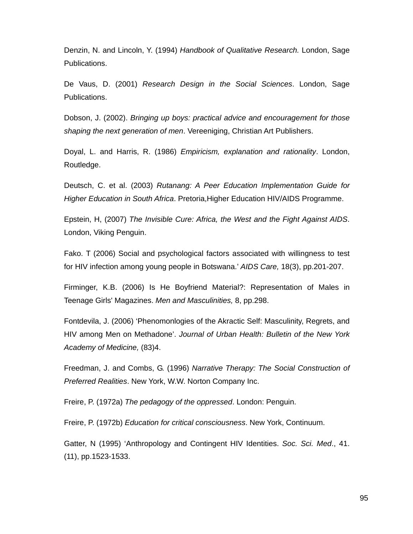Denzin, N. and Lincoln, Y. (1994) *Handbook of Qualitative Research.* London, Sage Publications.

De Vaus, D. (2001) *Research Design in the Social Sciences*. London, Sage Publications.

Dobson, J. (2002). *Bringing up boys: practical advice and encouragement for those shaping the next generation of men*. Vereeniging, Christian Art Publishers.

Doyal, L. and Harris, R. (1986) *Empiricism, explanation and rationality*. London, Routledge.

Deutsch, C. et al. (2003) *Rutanang: A Peer Education Implementation Guide for Higher Education in South Africa*. Pretoria,Higher Education HIV/AIDS Programme.

Epstein, H, (2007) *The Invisible Cure: Africa, the West and the Fight Against AIDS*. London, Viking Penguin.

Fako. T (2006) Social and psychological factors associated with willingness to test for HIV infection among young people in Botswana.' *AIDS Care,* 18(3), pp.201-207.

Firminger, K.B. (2006) Is He Boyfriend Material?: Representation of Males in Teenage Girls' Magazines. *Men and Masculinities,* 8, pp.298.

Fontdevila, J. (2006) 'Phenomonlogies of the Akractic Self: Masculinity, Regrets, and HIV among Men on Methadone'. *Journal of Urban Health: Bulletin of the New York Academy of Medicine,* (83)4.

Freedman, J. and Combs, G. (1996) *Narrative Therapy: The Social Construction of Preferred Realities*. New York, W.W. Norton Company Inc.

Freire, P. (1972a) *The pedagogy of the oppressed*. London: Penguin.

Freire, P. (1972b) *Education for critical consciousness*. New York, Continuum.

Gatter, N (1995) 'Anthropology and Contingent HIV Identities. *Soc. Sci. Med*., 41. (11), pp.1523-1533.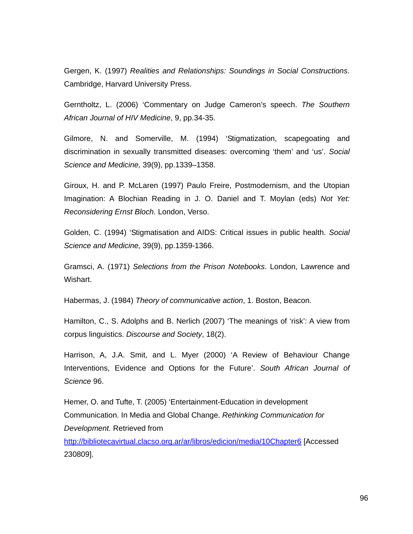Gergen, K. (1997) *Realities and Relationships: Soundings in Social Constructions*. Cambridge, Harvard University Press.

Gerntholtz, L. (2006) 'Commentary on Judge Cameron's speech. *The Southern African Journal of HIV Medicine*, 9, pp.34-35.

Gilmore, N. and Somerville, M. (1994) 'Stigmatization, scapegoating and discrimination in sexually transmitted diseases: overcoming 'them' and 'us'. *Social Science and Medicine,* 39(9), pp.1339–1358.

Giroux, H. and P. McLaren (1997) Paulo Freire, Postmodernism, and the Utopian Imagination: A Blochian Reading in J. O. Daniel and T. Moylan (eds) *Not Yet: Reconsidering Ernst Bloch.* London, Verso.

Golden, C. (1994) 'Stigmatisation and AIDS: Critical issues in public health. *Social Science and Medicine,* 39(9), pp.1359-1366.

Gramsci, A. (1971) *Selections from the Prison Notebooks*. London, Lawrence and Wishart.

Habermas, J. (1984) *Theory of communicative action*, 1. Boston, Beacon.

Hamilton, C., S. Adolphs and B. Nerlich (2007) 'The meanings of 'risk': A view from corpus linguistics. *Discourse and Society*, 18(2).

Harrison, A, J.A. Smit, and L. Myer (2000) 'A Review of Behaviour Change Interventions, Evidence and Options for the Future'. *South African Journal of Science* 96.

Hemer, O. and Tufte, T. (2005) 'Entertainment-Education in development Communication. In Media and Global Change. *Rethinking Communication for Development.* Retrieved from

http://bibliotecavirtual.clacso.org.ar/ar/libros/edicion/media/10Chapter6 [Accessed 230809].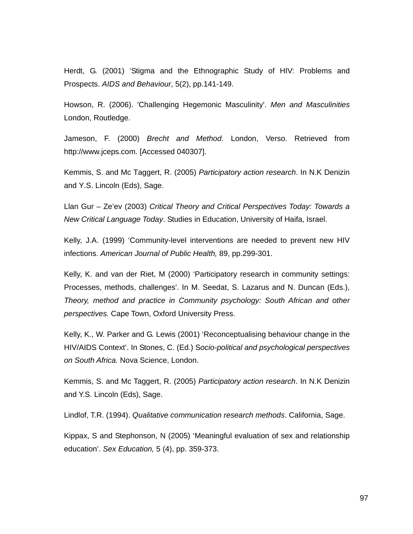Herdt, G. (2001) 'Stigma and the Ethnographic Study of HIV: Problems and Prospects. *AIDS and Behaviour*, 5(2), pp.141-149.

Howson, R. (2006). 'Challenging Hegemonic Masculinity'. *Men and Masculinities* London, Routledge.

Jameson, F. (2000) *Brecht and Method*. London, Verso. Retrieved from http://www.jceps.com. [Accessed 040307].

Kemmis, S. and Mc Taggert, R. (2005) *Participatory action research*. In N.K Denizin and Y.S. Lincoln (Eds), Sage.

Llan Gur – Ze'ev (2003) *Critical Theory and Critical Perspectives Today: Towards a New Critical Language Today*. Studies in Education, University of Haifa, Israel.

Kelly, J.A. (1999) 'Community-level interventions are needed to prevent new HIV infections. *American Journal of Public Health,* 89, pp.299-301.

Kelly, K. and van der Riet, M (2000) 'Participatory research in community settings: Processes, methods, challenges'. In M. Seedat, S. Lazarus and N. Duncan (Eds.), *Theory, method and practice in Community psychology: South African and other perspectives.* Cape Town, Oxford University Press.

Kelly, K., W. Parker and G. Lewis (2001) 'Reconceptualising behaviour change in the HIV/AIDS Context'. In Stones, C. (Ed.) S*ocio-political and psychological perspectives on South Africa.* Nova Science, London.

Kemmis, S. and Mc Taggert, R. (2005) *Participatory action research*. In N.K Denizin and Y.S. Lincoln (Eds), Sage.

Lindlof, T.R. (1994). *Qualitative communication research methods*. California, Sage.

Kippax, S and Stephonson, N (2005) 'Meaningful evaluation of sex and relationship education'. *Sex Education,* 5 (4), pp. 359-373.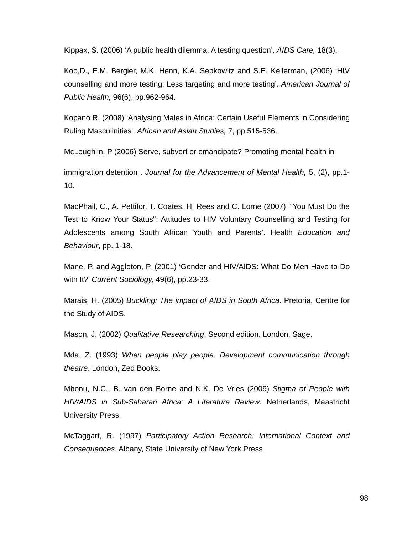Kippax, S. (2006) 'A public health dilemma: A testing question'. *AIDS Care,* 18(3).

Koo,D., E.M. Bergier, M.K. Henn, K.A. Sepkowitz and S.E. Kellerman, (2006) 'HIV counselling and more testing: Less targeting and more testing'. *American Journal of Public Health,* 96(6), pp.962-964.

Kopano R. (2008) 'Analysing Males in Africa: Certain Useful Elements in Considering Ruling Masculinities'. *African and Asian Studies,* 7, pp.515-536.

McLoughlin, P (2006) Serve, subvert or emancipate? Promoting mental health in

immigration detention . *Journal for the Advancement of Mental Health,* 5, (2), pp.1- 10.

MacPhail, C., A. Pettifor, T. Coates, H. Rees and C. Lorne (2007) '"You Must Do the Test to Know Your Status": Attitudes to HIV Voluntary Counselling and Testing for Adolescents among South African Youth and Parents'. Health *Education and Behaviour*, pp. 1-18.

Mane, P. and Aggleton, P. (2001) 'Gender and HIV/AIDS: What Do Men Have to Do with It?' *Current Sociology,* 49(6), pp.23-33.

Marais, H. (2005) *Buckling: The impact of AIDS in South Africa*. Pretoria, Centre for the Study of AIDS.

Mason, J. (2002) *Qualitative Researching*. Second edition. London, Sage.

Mda, Z. (1993) *When people play people: Development communication through theatre*. London, Zed Books.

Mbonu, N.C., B. van den Borne and N.K. De Vries (2009) *Stigma of People with HIV/AIDS in Sub-Saharan Africa: A Literature Review*. Netherlands, Maastricht University Press.

McTaggart, R. (1997) *Participatory Action Research: International Context and Consequences*. Albany, State University of New York Press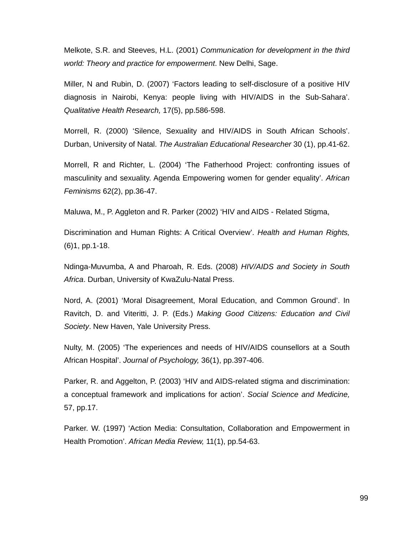Melkote, S.R. and Steeves, H.L. (2001) *Communication for development in the third world: Theory and practice for empowerment*. New Delhi, Sage.

Miller, N and Rubin, D. (2007) 'Factors leading to self-disclosure of a positive HIV diagnosis in Nairobi, Kenya: people living with HIV/AIDS in the Sub-Sahara'. *Qualitative Health Research,* 17(5), pp.586-598.

Morrell, R. (2000) 'Silence, Sexuality and HIV/AIDS in South African Schools'. Durban, University of Natal. *The Australian Educational Researcher* 30 (1), pp.41-62.

Morrell, R and Richter, L. (2004) 'The Fatherhood Project: confronting issues of masculinity and sexuality. Agenda Empowering women for gender equality'. *African Feminisms* 62(2), pp.36-47.

Maluwa, M., P. Aggleton and R. Parker (2002) 'HIV and AIDS - Related Stigma,

Discrimination and Human Rights: A Critical Overview'. *Health and Human Rights,* (6)1, pp.1-18.

Ndinga-Muvumba, A and Pharoah, R. Eds. (2008) *HIV/AIDS and Society in South Africa*. Durban, University of KwaZulu-Natal Press.

Nord, A. (2001) 'Moral Disagreement, Moral Education, and Common Ground'. In Ravitch, D. and Viteritti, J. P. (Eds.) *Making Good Citizens: Education and Civil Society*. New Haven, Yale University Press.

Nulty, M. (2005) 'The experiences and needs of HIV/AIDS counsellors at a South African Hospital'. *Journal of Psychology,* 36(1), pp.397-406.

Parker, R. and Aggelton, P. (2003) 'HIV and AIDS-related stigma and discrimination: a conceptual framework and implications for action'. *Social Science and Medicine,* 57, pp.17.

Parker. W. (1997) 'Action Media: Consultation, Collaboration and Empowerment in Health Promotion'. *African Media Review,* 11(1), pp.54-63.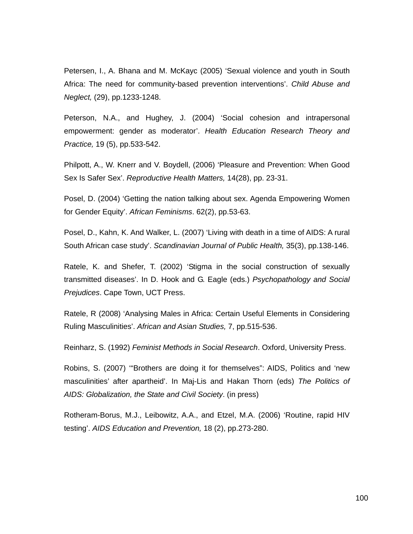Petersen, I., A. Bhana and M. McKayc (2005) 'Sexual violence and youth in South Africa: The need for community-based prevention interventions'. *Child Abuse and Neglect,* (29), pp.1233-1248.

Peterson, N.A., and Hughey, J. (2004) 'Social cohesion and intrapersonal empowerment: gender as moderator'. *Health Education Research Theory and Practice,* 19 (5), pp.533-542.

Philpott, A., W. Knerr and V. Boydell, (2006) 'Pleasure and Prevention: When Good Sex Is Safer Sex'. *Reproductive Health Matters,* 14(28), pp. 23-31.

Posel, D. (2004) 'Getting the nation talking about sex. Agenda Empowering Women for Gender Equity'. *African Feminisms*. 62(2), pp.53-63.

Posel, D., Kahn, K. And Walker, L. (2007) 'Living with death in a time of AIDS: A rural South African case study'. *Scandinavian Journal of Public Health,* 35(3), pp.138-146.

Ratele, K. and Shefer, T. (2002) 'Stigma in the social construction of sexually transmitted diseases'. In D. Hook and G. Eagle (eds.) *Psychopathology and Social Prejudices*. Cape Town, UCT Press.

Ratele, R (2008) 'Analysing Males in Africa: Certain Useful Elements in Considering Ruling Masculinities'. *African and Asian Studies,* 7, pp.515-536.

Reinharz, S. (1992) *Feminist Methods in Social Research*. Oxford, University Press.

Robins, S. (2007) '"Brothers are doing it for themselves": AIDS, Politics and 'new masculinities' after apartheid'. In Maj-Lis and Hakan Thorn (eds) *The Politics of AIDS: Globalization, the State and Civil Society*. (in press)

Rotheram-Borus, M.J., Leibowitz, A.A., and Etzel, M.A. (2006) 'Routine, rapid HIV testing'. *AIDS Education and Prevention,* 18 (2), pp.273-280.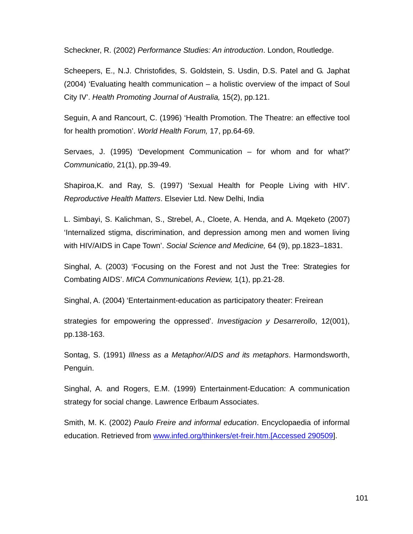Scheckner, R. (2002) *Performance Studies: An introduction*. London, Routledge.

Scheepers, E., N.J. Christofides, S. Goldstein, S. Usdin, D.S. Patel and G. Japhat (2004) 'Evaluating health communication – a holistic overview of the impact of Soul City IV'. *Health Promoting Journal of Australia,* 15(2), pp.121.

Seguin, A and Rancourt, C. (1996) 'Health Promotion. The Theatre: an effective tool for health promotion'. *World Health Forum,* 17, pp.64-69.

Servaes, J. (1995) 'Development Communication – for whom and for what?' *Communicatio*, 21(1), pp.39-49.

Shapiroa,K. and Ray, S. (1997) 'Sexual Health for People Living with HIV'. *Reproductive Health Matters*. Elsevier Ltd. New Delhi, India

L. Simbayi, S. Kalichman, S., Strebel, A., Cloete, A. Henda, and A. Mqeketo (2007) 'Internalized stigma, discrimination, and depression among men and women living with HIV/AIDS in Cape Town'. *Social Science and Medicine,* 64 (9), pp.1823–1831.

Singhal, A. (2003) 'Focusing on the Forest and not Just the Tree: Strategies for Combating AIDS'. *MICA Communications Review,* 1(1), pp.21-28.

Singhal, A. (2004) 'Entertainment-education as participatory theater: Freirean

strategies for empowering the oppressed'. *Investigacion y Desarrerollo*, 12(001), pp.138-163.

Sontag, S. (1991) *Illness as a Metaphor/AIDS and its metaphors*. Harmondsworth, Penguin.

Singhal, A. and Rogers, E.M. (1999) Entertainment-Education: A communication strategy for social change. Lawrence Erlbaum Associates.

Smith, M. K. (2002) *Paulo Freire and informal education*. Encyclopaedia of informal education. Retrieved from www.infed.org/thinkers/et-freir.htm.[Accessed 290509].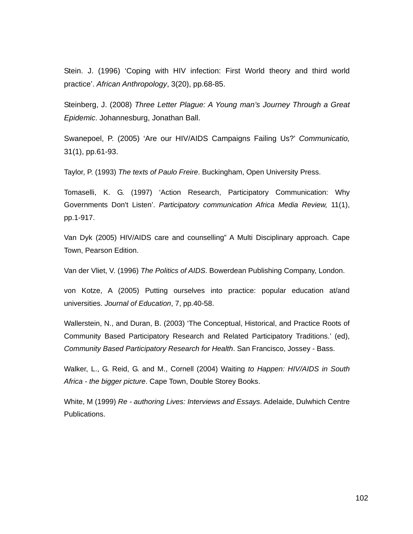Stein. J. (1996) 'Coping with HIV infection: First World theory and third world practice'. *African Anthropology*, 3(20), pp.68-85.

Steinberg, J. (2008) *Three Letter Plague: A Young man's Journey Through a Great Epidemic*. Johannesburg, Jonathan Ball.

Swanepoel, P. (2005) 'Are our HIV/AIDS Campaigns Failing Us?' *Communicatio,*  31(1), pp.61-93.

Taylor, P. (1993) *The texts of Paulo Freire*. Buckingham, Open University Press.

Tomaselli, K. G. (1997) 'Action Research, Participatory Communication: Why Governments Don't Listen'. *Participatory communication Africa Media Review,* 11(1), pp.1-917.

Van Dyk (2005) HIV/AIDS care and counselling" A Multi Disciplinary approach. Cape Town, Pearson Edition.

Van der Vliet, V. (1996) *The Politics of AIDS*. Bowerdean Publishing Company, London.

von Kotze, A (2005) Putting ourselves into practice: popular education at/and universities. *Journal of Education*, 7, pp.40-58.

Wallerstein, N., and Duran, B. (2003) 'The Conceptual, Historical, and Practice Roots of Community Based Participatory Research and Related Participatory Traditions.' (ed), *Community Based Participatory Research for Health*. San Francisco, Jossey - Bass.

Walker, L., G. Reid, G. and M., Cornell (2004) Waiting *to Happen: HIV/AIDS in South Africa - the bigger picture*. Cape Town, Double Storey Books.

White, M (1999) *Re - authoring Lives: Interviews and Essays*. Adelaide, Dulwhich Centre Publications.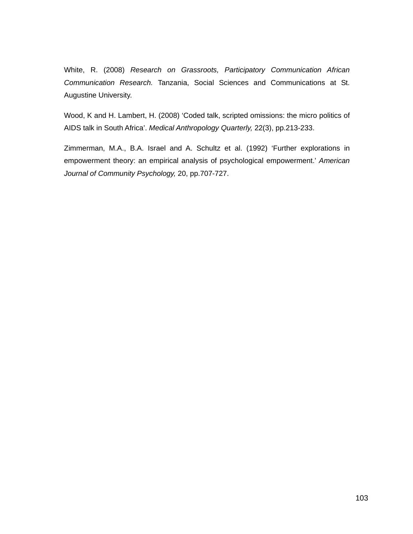White, R. (2008) *Research on Grassroots, Participatory Communication African Communication Research.* Tanzania, Social Sciences and Communications at St. Augustine University.

Wood, K and H. Lambert, H. (2008) 'Coded talk, scripted omissions: the micro politics of AIDS talk in South Africa'. *Medical Anthropology Quarterly,* 22(3), pp.213-233.

Zimmerman, M.A., B.A. Israel and A. Schultz et al. (1992) 'Further explorations in empowerment theory: an empirical analysis of psychological empowerment.' *American Journal of Community Psychology,* 20, pp.707-727.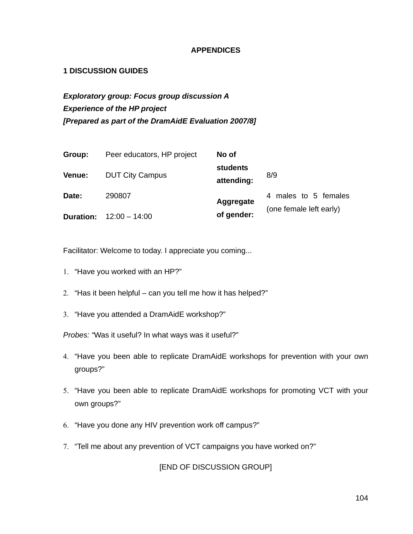# **APPENDICES**

# **1 DISCUSSION GUIDES**

*Exploratory group: Focus group discussion A Experience of the HP project [Prepared as part of the DramAidE Evaluation 2007/8]* 

| Group:           | Peer educators, HP project | No of                  |                         |  |
|------------------|----------------------------|------------------------|-------------------------|--|
| Venue:           | <b>DUT City Campus</b>     | students<br>attending: | 8/9                     |  |
| Date:            | 290807                     | Aggregate              | 4 males to 5 females    |  |
| <b>Duration:</b> | $12:00 - 14:00$            | of gender:             | (one female left early) |  |

Facilitator: Welcome to today. I appreciate you coming...

- 1. "Have you worked with an HP?"
- 2. "Has it been helpful can you tell me how it has helped?"
- 3. "Have you attended a DramAidE workshop?"

*Probes: "*Was it useful? In what ways was it useful?"

- 4. "Have you been able to replicate DramAidE workshops for prevention with your own groups?"
- 5. "Have you been able to replicate DramAidE workshops for promoting VCT with your own groups?"
- 6. "Have you done any HIV prevention work off campus?"
- 7. "Tell me about any prevention of VCT campaigns you have worked on?"

[END OF DISCUSSION GROUP]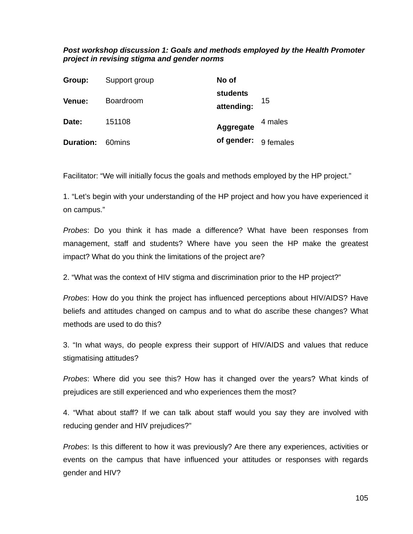# *Post workshop discussion 1: Goals and methods employed by the Health Promoter project in revising stigma and gender norms*

| Group:           | Support group    | No of                  |         |
|------------------|------------------|------------------------|---------|
| Venue:           | <b>Boardroom</b> | students<br>attending: | 15      |
| Date:            | 151108           | Aggregate              | 4 males |
| <b>Duration:</b> | 60mins           | of gender: 9 females   |         |

Facilitator: "We will initially focus the goals and methods employed by the HP project."

1. "Let's begin with your understanding of the HP project and how you have experienced it on campus."

*Probes*: Do you think it has made a difference? What have been responses from management, staff and students? Where have you seen the HP make the greatest impact? What do you think the limitations of the project are?

2. "What was the context of HIV stigma and discrimination prior to the HP project?"

*Probes*: How do you think the project has influenced perceptions about HIV/AIDS? Have beliefs and attitudes changed on campus and to what do ascribe these changes? What methods are used to do this?

3. "In what ways, do people express their support of HIV/AIDS and values that reduce stigmatising attitudes?

*Probes*: Where did you see this? How has it changed over the years? What kinds of prejudices are still experienced and who experiences them the most?

4. "What about staff? If we can talk about staff would you say they are involved with reducing gender and HIV prejudices?"

*Probes*: Is this different to how it was previously? Are there any experiences, activities or events on the campus that have influenced your attitudes or responses with regards gender and HIV?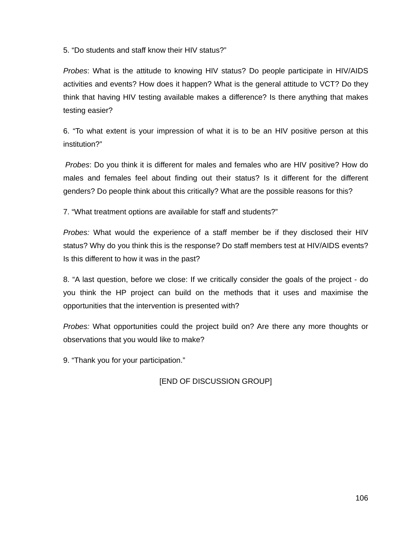5. "Do students and staff know their HIV status?"

*Probes*: What is the attitude to knowing HIV status? Do people participate in HIV/AIDS activities and events? How does it happen? What is the general attitude to VCT? Do they think that having HIV testing available makes a difference? Is there anything that makes testing easier?

6. "To what extent is your impression of what it is to be an HIV positive person at this institution?"

 *Probes*: Do you think it is different for males and females who are HIV positive? How do males and females feel about finding out their status? Is it different for the different genders? Do people think about this critically? What are the possible reasons for this?

7. "What treatment options are available for staff and students?"

*Probes:* What would the experience of a staff member be if they disclosed their HIV status? Why do you think this is the response? Do staff members test at HIV/AIDS events? Is this different to how it was in the past?

8. "A last question, before we close: If we critically consider the goals of the project - do you think the HP project can build on the methods that it uses and maximise the opportunities that the intervention is presented with?

*Probes:* What opportunities could the project build on? Are there any more thoughts or observations that you would like to make?

9. "Thank you for your participation."

[END OF DISCUSSION GROUP]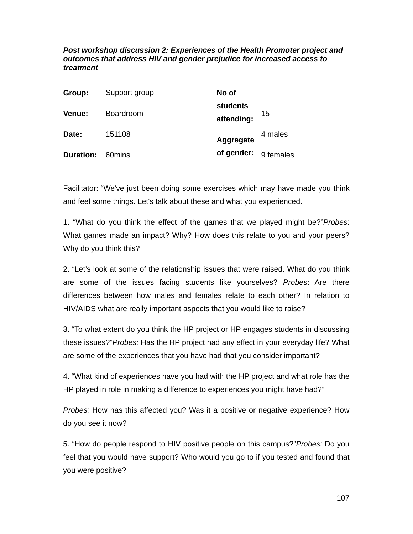*Post workshop discussion 2: Experiences of the Health Promoter project and outcomes that address HIV and gender prejudice for increased access to treatment* 

| Group:           | Support group    | No of                  |           |
|------------------|------------------|------------------------|-----------|
| Venue:           | <b>Boardroom</b> | students<br>attending: | 15        |
| Date:            | 151108           | Aggregate              | 4 males   |
| <b>Duration:</b> | 60mins           | of gender:             | 9 females |

Facilitator: "We've just been doing some exercises which may have made you think and feel some things. Let's talk about these and what you experienced.

1. "What do you think the effect of the games that we played might be?"*Probes*: What games made an impact? Why? How does this relate to you and your peers? Why do you think this?

2. "Let's look at some of the relationship issues that were raised. What do you think are some of the issues facing students like yourselves? *Probes*: Are there differences between how males and females relate to each other? In relation to HIV/AIDS what are really important aspects that you would like to raise?

3. "To what extent do you think the HP project or HP engages students in discussing these issues?"*Probes:* Has the HP project had any effect in your everyday life? What are some of the experiences that you have had that you consider important?

4. "What kind of experiences have you had with the HP project and what role has the HP played in role in making a difference to experiences you might have had?"

*Probes:* How has this affected you? Was it a positive or negative experience? How do you see it now?

5. "How do people respond to HIV positive people on this campus?"*Probes:* Do you feel that you would have support? Who would you go to if you tested and found that you were positive?